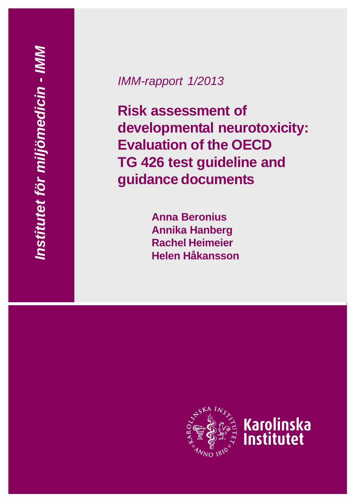# *IMM-rapport 1/2013*

**Risk assessment of developmental neurotoxicity: Evaluation of the OECD TG 426 test guideline and guidance documents**

> **Anna Beronius Annika Hanberg Rachel Heimeier Helen Håkansson**

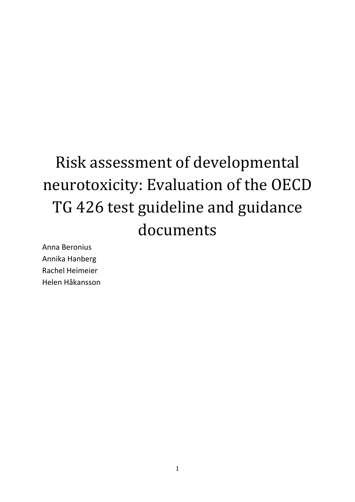# Risk assessment of developmental neurotoxicity: Evaluation of the OECD TG 426 test guideline and guidance documents

Anna Beronius Annika Hanberg Rachel Heimeier Helen Håkansson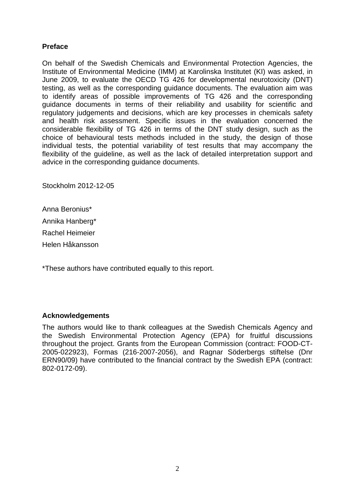# **Preface**

On behalf of the Swedish Chemicals and Environmental Protection Agencies, the Institute of Environmental Medicine (IMM) at Karolinska Institutet (KI) was asked, in June 2009, to evaluate the OECD TG 426 for developmental neurotoxicity (DNT) testing, as well as the corresponding guidance documents. The evaluation aim was to identify areas of possible improvements of TG 426 and the corresponding guidance documents in terms of their reliability and usability for scientific and regulatory judgements and decisions, which are key processes in chemicals safety and health risk assessment. Specific issues in the evaluation concerned the considerable flexibility of TG 426 in terms of the DNT study design, such as the choice of behavioural tests methods included in the study, the design of those individual tests, the potential variability of test results that may accompany the flexibility of the guideline, as well as the lack of detailed interpretation support and advice in the corresponding guidance documents.

Stockholm 2012-12-05

Anna Beronius\* Annika Hanberg\* Rachel Heimeier Helen Håkansson

\*These authors have contributed equally to this report.

# **Acknowledgements**

The authors would like to thank colleagues at the Swedish Chemicals Agency and the Swedish Environmental Protection Agency (EPA) for fruitful discussions throughout the project. Grants from the European Commission (contract: FOOD-CT-2005-022923), Formas (216-2007-2056), and Ragnar Söderbergs stiftelse (Dnr ERN90/09) have contributed to the financial contract by the Swedish EPA (contract: 802-0172-09).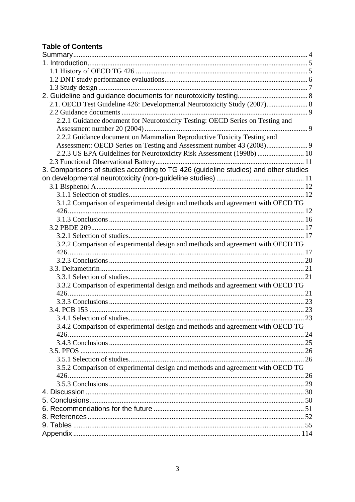# **Table of Contents**

| 2.1. OECD Test Guideline 426: Developmental Neurotoxicity Study (2007) 8            |     |
|-------------------------------------------------------------------------------------|-----|
|                                                                                     |     |
| 2.2.1 Guidance document for Neurotoxicity Testing: OECD Series on Testing and       |     |
|                                                                                     |     |
| 2.2.2 Guidance document on Mammalian Reproductive Toxicity Testing and              |     |
|                                                                                     |     |
| 2.2.3 US EPA Guidelines for Neurotoxicity Risk Assessment (1998b)  10               |     |
|                                                                                     |     |
| 3. Comparisons of studies according to TG 426 (guideline studies) and other studies |     |
|                                                                                     |     |
|                                                                                     |     |
|                                                                                     |     |
| 3.1.2 Comparison of experimental design and methods and agreement with OECD TG      |     |
|                                                                                     |     |
|                                                                                     |     |
|                                                                                     |     |
|                                                                                     |     |
| 3.2.2 Comparison of experimental design and methods and agreement with OECD TG      |     |
|                                                                                     |     |
|                                                                                     |     |
|                                                                                     |     |
|                                                                                     |     |
| 3.3.2 Comparison of experimental design and methods and agreement with OECD TG      |     |
|                                                                                     |     |
|                                                                                     |     |
|                                                                                     |     |
| 3.4.1 Selection of studies                                                          | .23 |
| 3.4.2 Comparison of experimental design and methods and agreement with OECD TG      |     |
|                                                                                     |     |
|                                                                                     |     |
|                                                                                     |     |
|                                                                                     |     |
| 3.5.2 Comparison of experimental design and methods and agreement with OECD TG      |     |
|                                                                                     |     |
|                                                                                     |     |
|                                                                                     |     |
|                                                                                     |     |
|                                                                                     |     |
|                                                                                     |     |
|                                                                                     |     |
|                                                                                     |     |
|                                                                                     |     |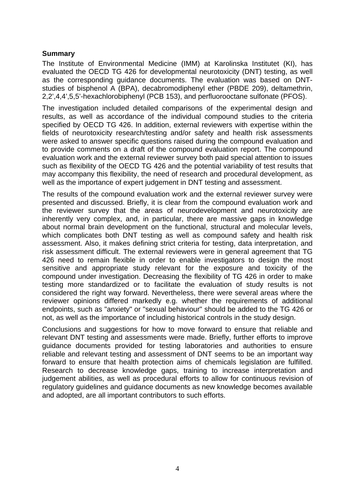# **Summary**

The Institute of Environmental Medicine (IMM) at Karolinska Institutet (KI), has evaluated the OECD TG 426 for developmental neurotoxicity (DNT) testing, as well as the corresponding guidance documents. The evaluation was based on DNTstudies of bisphenol A (BPA), decabromodiphenyl ether (PBDE 209), deltamethrin, 2,2',4,4',5,5'-hexachlorobiphenyl (PCB 153), and perfluorooctane sulfonate (PFOS).

The investigation included detailed comparisons of the experimental design and results, as well as accordance of the individual compound studies to the criteria specified by OECD TG 426. In addition, external reviewers with expertise within the fields of neurotoxicity research/testing and/or safety and health risk assessments were asked to answer specific questions raised during the compound evaluation and to provide comments on a draft of the compound evaluation report. The compound evaluation work and the external reviewer survey both paid special attention to issues such as flexibility of the OECD TG 426 and the potential variability of test results that may accompany this flexibility, the need of research and procedural development, as well as the importance of expert judgement in DNT testing and assessment.

The results of the compound evaluation work and the external reviewer survey were presented and discussed. Briefly, it is clear from the compound evaluation work and the reviewer survey that the areas of neurodevelopment and neurotoxicity are inherently very complex, and, in particular, there are massive gaps in knowledge about normal brain development on the functional, structural and molecular levels, which complicates both DNT testing as well as compound safety and health risk assessment. Also, it makes defining strict criteria for testing, data interpretation, and risk assessment difficult. The external reviewers were in general agreement that TG 426 need to remain flexible in order to enable investigators to design the most sensitive and appropriate study relevant for the exposure and toxicity of the compound under investigation. Decreasing the flexibility of TG 426 in order to make testing more standardized or to facilitate the evaluation of study results is not considered the right way forward. Nevertheless, there were several areas where the reviewer opinions differed markedly e.g. whether the requirements of additional endpoints, such as "anxiety" or "sexual behaviour" should be added to the TG 426 or not, as well as the importance of including historical controls in the study design.

Conclusions and suggestions for how to move forward to ensure that reliable and relevant DNT testing and assessments were made. Briefly, further efforts to improve guidance documents provided for testing laboratories and authorities to ensure reliable and relevant testing and assessment of DNT seems to be an important way forward to ensure that health protection aims of chemicals legislation are fulfilled. Research to decrease knowledge gaps, training to increase interpretation and judgement abilities, as well as procedural efforts to allow for continuous revision of regulatory guidelines and guidance documents as new knowledge becomes available and adopted, are all important contributors to such efforts.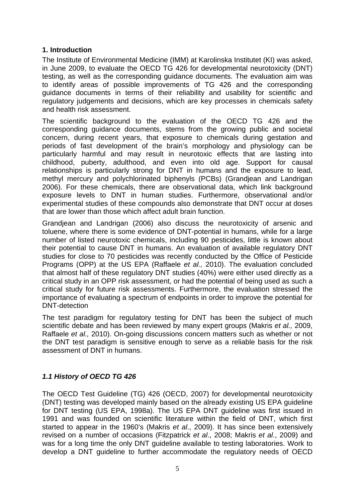# **1. Introduction**

The Institute of Environmental Medicine (IMM) at Karolinska Institutet (KI) was asked, in June 2009, to evaluate the OECD TG 426 for developmental neurotoxicity (DNT) testing, as well as the corresponding guidance documents. The evaluation aim was to identify areas of possible improvements of TG 426 and the corresponding guidance documents in terms of their reliability and usability for scientific and regulatory judgements and decisions, which are key processes in chemicals safety and health risk assessment.

The scientific background to the evaluation of the OECD TG 426 and the corresponding guidance documents, stems from the growing public and societal concern, during recent years, that exposure to chemicals during gestation and periods of fast development of the brain's morphology and physiology can be particularly harmful and may result in neurotoxic effects that are lasting into childhood, puberty, adulthood, and even into old age. Support for causal relationships is particularly strong for DNT in humans and the exposure to lead, methyl mercury and polychlorinated biphenyls (PCBs) (Grandjean and Landrigan 2006). For these chemicals, there are observational data, which link background exposure levels to DNT in human studies. Furthermore, observational and/or experimental studies of these compounds also demonstrate that DNT occur at doses that are lower than those which affect adult brain function.

Grandjean and Landrigan (2006) also discuss the neurotoxicity of arsenic and toluene, where there is some evidence of DNT-potential in humans, while for a large number of listed neurotoxic chemicals, including 90 pesticides, little is known about their potential to cause DNT in humans. An evaluation of available regulatory DNT studies for close to 70 pesticides was recently conducted by the Office of Pesticide Programs (OPP) at the US EPA (Raffaele *et al.,* 2010). The evaluation concluded that almost half of these regulatory DNT studies (40%) were either used directly as a critical study in an OPP risk assessment, or had the potential of being used as such a critical study for future risk assessments. Furthermore, the evaluation stressed the importance of evaluating a spectrum of endpoints in order to improve the potential for DNT-detection

The test paradigm for regulatory testing for DNT has been the subject of much scientific debate and has been reviewed by many expert groups (Makris *et al.,* 2009, Raffaele *et al.,* 2010). On-going discussions concern matters such as whether or not the DNT test paradigm is sensitive enough to serve as a reliable basis for the risk assessment of DNT in humans.

# *1.1 History of OECD TG 426*

The OECD Test Guideline (TG) 426 (OECD, 2007) for developmental neurotoxicity (DNT) testing was developed mainly based on the already existing US EPA guideline for DNT testing (US EPA, 1998a). The US EPA DNT guideline was first issued in 1991 and was founded on scientific literature within the field of DNT, which first started to appear in the 1960's (Makris *et al*., 2009). It has since been extensively revised on a number of occasions (Fitzpatrick *et al*., 2008; Makris *et al*., 2009) and was for a long time the only DNT guideline available to testing laboratories. Work to develop a DNT guideline to further accommodate the regulatory needs of OECD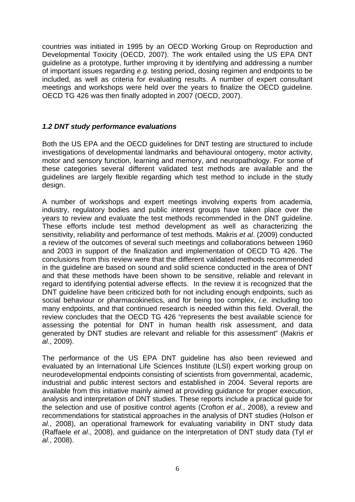countries was initiated in 1995 by an OECD Working Group on Reproduction and Developmental Toxicity (OECD, 2007). The work entailed using the US EPA DNT guideline as a prototype, further improving it by identifying and addressing a number of important issues regarding *e.g.* testing period, dosing regimen and endpoints to be included, as well as criteria for evaluating results. A number of expert consultant meetings and workshops were held over the years to finalize the OECD guideline. OECD TG 426 was then finally adopted in 2007 (OECD, 2007).

# *1.2 DNT study performance evaluations*

Both the US EPA and the OECD guidelines for DNT testing are structured to include investigations of developmental landmarks and behavioural ontogeny, motor activity, motor and sensory function, learning and memory, and neuropathology. For some of these categories several different validated test methods are available and the guidelines are largely flexible regarding which test method to include in the study design.

A number of workshops and expert meetings involving experts from academia, industry, regulatory bodies and public interest groups have taken place over the years to review and evaluate the test methods recommended in the DNT guideline. These efforts include test method development as well as characterizing the sensitivity, reliability and performance of test methods. Makris *et al*. (2009) conducted a review of the outcomes of several such meetings and collaborations between 1960 and 2003 in support of the finalization and implementation of OECD TG 426. The conclusions from this review were that the different validated methods recommended in the guideline are based on sound and solid science conducted in the area of DNT and that these methods have been shown to be sensitive, reliable and relevant in regard to identifying potential adverse effects. In the review it is recognized that the DNT guideline have been criticized both for not including enough endpoints, such as social behaviour or pharmacokinetics, and for being too complex, *i.e.* including too many endpoints, and that continued research is needed within this field. Overall, the review concludes that the OECD TG 426 "represents the best available science for assessing the potential for DNT in human health risk assessment, and data generated by DNT studies are relevant and reliable for this assessment" (Makris *et al*., 2009).

The performance of the US EPA DNT guideline has also been reviewed and evaluated by an International Life Sciences Institute (ILSI) expert working group on neurodevelopmental endpoints consisting of scientists from governmental, academic, industrial and public interest sectors and established in 2004. Several reports are available from this initiative mainly aimed at providing guidance for proper execution, analysis and interpretation of DNT studies. These reports include a practical guide for the selection and use of positive control agents (Crofton *et al*., 2008), a review and recommendations for statistical approaches in the analysis of DNT studies (Holson *et al*., 2008), an operational framework for evaluating variability in DNT study data (Raffaele *et al*., 2008), and guidance on the interpretation of DNT study data (Tyl *et al*., 2008).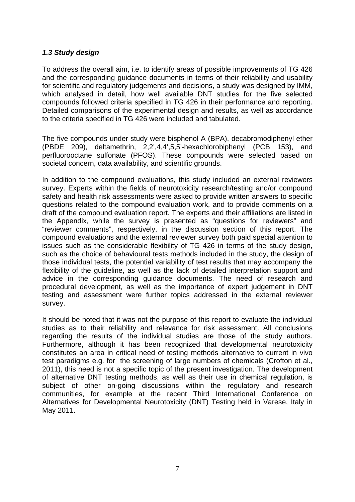# *1.3 Study design*

To address the overall aim, i.e. to identify areas of possible improvements of TG 426 and the corresponding guidance documents in terms of their reliability and usability for scientific and regulatory judgements and decisions, a study was designed by IMM, which analysed in detail, how well available DNT studies for the five selected compounds followed criteria specified in TG 426 in their performance and reporting. Detailed comparisons of the experimental design and results, as well as accordance to the criteria specified in TG 426 were included and tabulated.

The five compounds under study were bisphenol A (BPA), decabromodiphenyl ether (PBDE 209), deltamethrin, 2,2',4,4',5,5'-hexachlorobiphenyl (PCB 153), and perfluorooctane sulfonate (PFOS). These compounds were selected based on societal concern, data availability, and scientific grounds.

In addition to the compound evaluations, this study included an external reviewers survey. Experts within the fields of neurotoxicity research/testing and/or compound safety and health risk assessments were asked to provide written answers to specific questions related to the compound evaluation work, and to provide comments on a draft of the compound evaluation report. The experts and their affiliations are listed in the Appendix, while the survey is presented as "questions for reviewers" and "reviewer comments", respectively, in the discussion section of this report. The compound evaluations and the external reviewer survey both paid special attention to issues such as the considerable flexibility of TG 426 in terms of the study design, such as the choice of behavioural tests methods included in the study, the design of those individual tests, the potential variability of test results that may accompany the flexibility of the guideline, as well as the lack of detailed interpretation support and advice in the corresponding guidance documents. The need of research and procedural development, as well as the importance of expert judgement in DNT testing and assessment were further topics addressed in the external reviewer survey.

It should be noted that it was not the purpose of this report to evaluate the individual studies as to their reliability and relevance for risk assessment. All conclusions regarding the results of the individual studies are those of the study authors. Furthermore, although it has been recognized that developmental neurotoxicity constitutes an area in critical need of testing methods alternative to current in vivo test paradigms e.g. for the screening of large numbers of chemicals (Crofton et al., 2011), this need is not a specific topic of the present investigation. The development of alternative DNT testing methods, as well as their use in chemical regulation, is subject of other on-going discussions within the regulatory and research communities, for example at the recent Third International Conference on Alternatives for Developmental Neurotoxicity (DNT) Testing held in Varese, Italy in May 2011.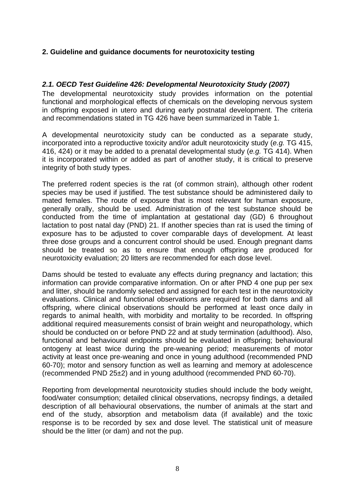# **2. Guideline and guidance documents for neurotoxicity testing**

# *2.1. OECD Test Guideline 426: Developmental Neurotoxicity Study (2007)*

The developmental neurotoxicity study provides information on the potential functional and morphological effects of chemicals on the developing nervous system in offspring exposed in utero and during early postnatal development. The criteria and recommendations stated in TG 426 have been summarized in Table 1.

A developmental neurotoxicity study can be conducted as a separate study, incorporated into a reproductive toxicity and/or adult neurotoxicity study (*e.g.* TG 415, 416, 424) or it may be added to a prenatal developmental study (*e.g.* TG 414). When it is incorporated within or added as part of another study, it is critical to preserve integrity of both study types.

The preferred rodent species is the rat (of common strain), although other rodent species may be used if justified. The test substance should be administered daily to mated females. The route of exposure that is most relevant for human exposure, generally orally, should be used. Administration of the test substance should be conducted from the time of implantation at gestational day (GD) 6 throughout lactation to post natal day (PND) 21. If another species than rat is used the timing of exposure has to be adjusted to cover comparable days of development. At least three dose groups and a concurrent control should be used. Enough pregnant dams should be treated so as to ensure that enough offspring are produced for neurotoxicity evaluation; 20 litters are recommended for each dose level.

Dams should be tested to evaluate any effects during pregnancy and lactation; this information can provide comparative information. On or after PND 4 one pup per sex and litter, should be randomly selected and assigned for each test in the neurotoxicity evaluations. Clinical and functional observations are required for both dams and all offspring, where clinical observations should be performed at least once daily in regards to animal health, with morbidity and mortality to be recorded. In offspring additional required measurements consist of brain weight and neuropathology, which should be conducted on or before PND 22 and at study termination (adulthood). Also, functional and behavioural endpoints should be evaluated in offspring; behavioural ontogeny at least twice during the pre-weaning period; measurements of motor activity at least once pre-weaning and once in young adulthood (recommended PND 60-70); motor and sensory function as well as learning and memory at adolescence (recommended PND 25±2) and in young adulthood (recommended PND 60-70).

Reporting from developmental neurotoxicity studies should include the body weight, food/water consumption; detailed clinical observations, necropsy findings, a detailed description of all behavioural observations, the number of animals at the start and end of the study, absorption and metabolism data (if available) and the toxic response is to be recorded by sex and dose level. The statistical unit of measure should be the litter (or dam) and not the pup.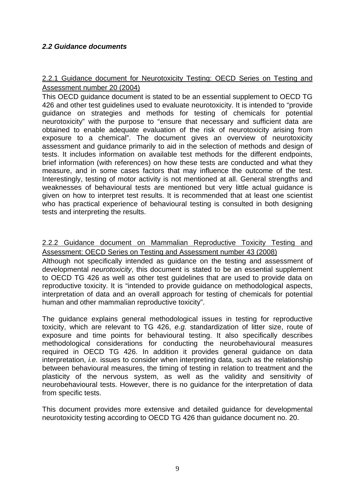# *2.2 Guidance documents*

# 2.2.1 Guidance document for Neurotoxicity Testing: OECD Series on Testing and Assessment number 20 (2004)

This OECD guidance document is stated to be an essential supplement to OECD TG 426 and other test guidelines used to evaluate neurotoxicity. It is intended to "provide guidance on strategies and methods for testing of chemicals for potential neurotoxicity" with the purpose to "ensure that necessary and sufficient data are obtained to enable adequate evaluation of the risk of neurotoxicity arising from exposure to a chemical". The document gives an overview of neurotoxicity assessment and guidance primarily to aid in the selection of methods and design of tests. It includes information on available test methods for the different endpoints, brief information (with references) on how these tests are conducted and what they measure, and in some cases factors that may influence the outcome of the test. Interestingly, testing of motor activity is not mentioned at all. General strengths and weaknesses of behavioural tests are mentioned but very little actual guidance is given on how to interpret test results. It is recommended that at least one scientist who has practical experience of behavioural testing is consulted in both designing tests and interpreting the results.

# 2.2.2 Guidance document on Mammalian Reproductive Toxicity Testing and Assessment: OECD Series on Testing and Assessment number 43 (2008)

Although not specifically intended as guidance on the testing and assessment of developmental *neurotoxicity*, this document is stated to be an essential supplement to OECD TG 426 as well as other test guidelines that are used to provide data on reproductive toxicity. It is "intended to provide guidance on methodological aspects, interpretation of data and an overall approach for testing of chemicals for potential human and other mammalian reproductive toxicity".

The guidance explains general methodological issues in testing for reproductive toxicity, which are relevant to TG 426, *e.g.* standardization of litter size, route of exposure and time points for behavioural testing. It also specifically describes methodological considerations for conducting the neurobehavioural measures required in OECD TG 426. In addition it provides general guidance on data interpretation, *i.e.* issues to consider when interpreting data, such as the relationship between behavioural measures, the timing of testing in relation to treatment and the plasticity of the nervous system, as well as the validity and sensitivity of neurobehavioural tests. However, there is no guidance for the interpretation of data from specific tests.

This document provides more extensive and detailed guidance for developmental neurotoxicity testing according to OECD TG 426 than guidance document no. 20.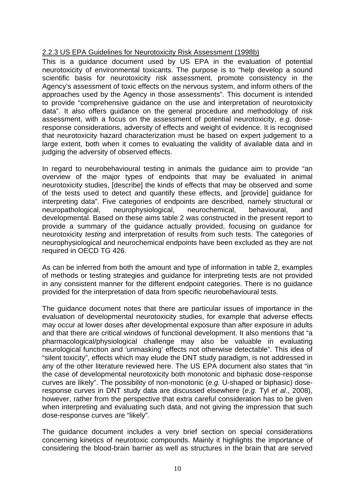# 2.2.3 US EPA Guidelines for Neurotoxicity Risk Assessment (1998b)

This is a guidance document used by US EPA in the evaluation of potential neurotoxicity of environmental toxicants. The purpose is to "help develop a sound scientific basis for neurotoxicity risk assessment, promote consistency in the Agency's assessment of toxic effects on the nervous system, and inform others of the approaches used by the Agency in those assessments". This document is intended to provide "comprehensive guidance on the use and interpretation of neurotoxicity data". It also offers guidance on the general procedure and methodology of risk assessment, with a focus on the assessment of potential neurotoxicity, *e.g.* doseresponse considerations, adversity of effects and weight of evidence. It is recognised that neurotoxicity hazard characterization must be based on expert judgement to a large extent, both when it comes to evaluating the validity of available data and in judging the adversity of observed effects.

In regard to neurobehavioural testing in animals the guidance aim to provide "an overview of the major types of endpoints that may be evaluated in animal neurotoxicity studies, [describe] the kinds of effects that may be observed and some of the tests used to detect and quantify these effects, and [provide] guidance for interpreting data". Five categories of endpoints are described, namely structural or neuropathological, neurophysiological, neurochemical, behavioural, and developmental. Based on these aims table 2 was constructed in the present report to provide a summary of the guidance actually provided, focusing on guidance for neurotoxicity *testing* and interpretation of results from such tests. The categories of neurophysiological and neurochemical endpoints have been excluded as they are not required in OECD TG 426.

As can be inferred from both the amount and type of information in table 2, examples of methods or testing strategies and guidance for interpreting tests are not provided in any consistent manner for the different endpoint categories. There is no guidance provided for the interpretation of data from specific neurobehavioural tests.

The guidance document notes that there are particular issues of importance in the evaluation of developmental neurotoxicity studies, for example that adverse effects may occur at lower doses after developmental exposure than after exposure in adults and that there are critical windows of functional development. It also mentions that "a pharmacological/physiological challenge may also be valuable in evaluating neurological function and 'unmasking' effects not otherwise detectable". This idea of "silent toxicity", effects which may elude the DNT study paradigm, is not addressed in any of the other literature reviewed here. The US EPA document also states that "in the case of developmental neurotoxicity both monotonic and biphasic dose-response curves are likely". The possibility of non-monotonic (*e.g.* U-shaped or biphasic) doseresponse curves in DNT study data are discussed elsewhere (*e.g.* Tyl *et al*., 2008), however, rather from the perspective that extra careful consideration has to be given when interpreting and evaluating such data, and not giving the impression that such dose-response curves are "likely".

The guidance document includes a very brief section on special considerations concerning kinetics of neurotoxic compounds. Mainly it highlights the importance of considering the blood-brain barrier as well as structures in the brain that are served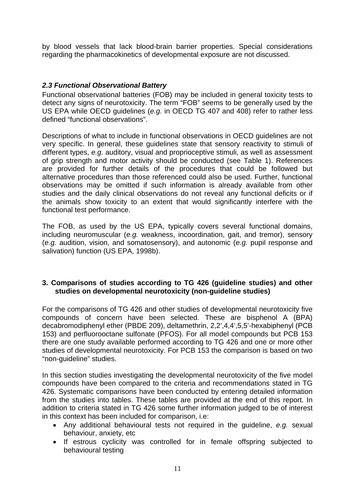by blood vessels that lack blood-brain barrier properties. Special considerations regarding the pharmacokinetics of developmental exposure are not discussed.

# *2.3 Functional Observational Battery*

Functional observational batteries (FOB) may be included in general toxicity tests to detect any signs of neurotoxicity. The term "FOB" seems to be generally used by the US EPA while OECD guidelines (*e.g.* in OECD TG 407 and 408) refer to rather less defined "functional observations".

Descriptions of what to include in functional observations in OECD guidelines are not very specific. In general, these guidelines state that sensory reactivity to stimuli of different types, *e.g.* auditory, visual and proprioceptive stimuli, as well as assessment of grip strength and motor activity should be conducted (see Table 1). References are provided for further details of the procedures that could be followed but alternative procedures than those referenced could also be used. Further, functional observations may be omitted if such information is already available from other studies and the daily clinical observations do not reveal any functional deficits or if the animals show toxicity to an extent that would significantly interfere with the functional test performance.

The FOB, as used by the US EPA, typically covers several functional domains, including neuromuscular (*e.g.* weakness, incoordination, gait, and tremor), sensory (*e.g.* audition, vision, and somatosensory), and autonomic (*e.g.* pupil response and salivation) function (US EPA, 1998b).

# **3. Comparisons of studies according to TG 426 (guideline studies) and other studies on developmental neurotoxicity (non-guideline studies)**

For the comparisons of TG 426 and other studies of developmental neurotoxicity five compounds of concern have been selected. These are bisphenol A (BPA) decabromodiphenyl ether (PBDE 209), deltamethrin, 2,2',4,4',5,5'-hexabiphenyl (PCB 153) and perfluorooctane sulfonate (PFOS). For all model compounds but PCB 153 there are one study available performed according to TG 426 and one or more other studies of developmental neurotoxicity. For PCB 153 the comparison is based on two "non-guideline" studies.

In this section studies investigating the developmental neurotoxicity of the five model compounds have been compared to the criteria and recommendations stated in TG 426. Systematic comparisons have been conducted by entering detailed information from the studies into tables. These tables are provided at the end of this report. In addition to criteria stated in TG 426 some further information judged to be of interest in this context has been included for comparison, i.e:

- Any additional behavioural tests not required in the guideline, *e.g.* sexual behaviour, anxiety, etc
- If estrous cyclicity was controlled for in female offspring subjected to behavioural testing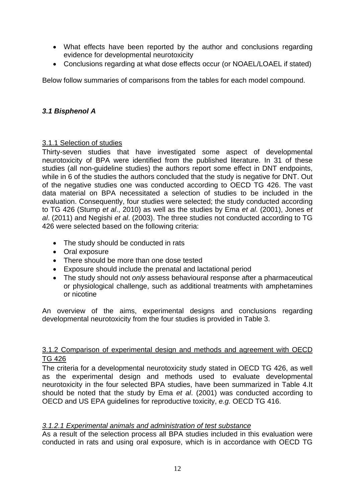- What effects have been reported by the author and conclusions regarding evidence for developmental neurotoxicity
- Conclusions regarding at what dose effects occur (or NOAEL/LOAEL if stated)

Below follow summaries of comparisons from the tables for each model compound.

# *3.1 Bisphenol A*

# 3.1.1 Selection of studies

Thirty-seven studies that have investigated some aspect of developmental neurotoxicity of BPA were identified from the published literature. In 31 of these studies (all non-guideline studies) the authors report some effect in DNT endpoints, while in 6 of the studies the authors concluded that the study is negative for DNT. Out of the negative studies one was conducted according to OECD TG 426. The vast data material on BPA necessitated a selection of studies to be included in the evaluation. Consequently, four studies were selected; the study conducted according to TG 426 (Stump *et al*., 2010) as well as the studies by Ema *et al*. (2001), Jones *et al*. (2011) and Negishi *et al*. (2003). The three studies not conducted according to TG 426 were selected based on the following criteria:

- The study should be conducted in rats
- Oral exposure
- There should be more than one dose tested
- Exposure should include the prenatal and lactational period
- The study should not *only* assess behavioural response after a pharmaceutical or physiological challenge, such as additional treatments with amphetamines or nicotine

An overview of the aims, experimental designs and conclusions regarding developmental neurotoxicity from the four studies is provided in Table 3.

# 3.1.2 Comparison of experimental design and methods and agreement with OECD TG 426

The criteria for a developmental neurotoxicity study stated in OECD TG 426, as well as the experimental design and methods used to evaluate developmental neurotoxicity in the four selected BPA studies, have been summarized in Table 4.It should be noted that the study by Ema *et al*. (2001) was conducted according to OECD and US EPA guidelines for reproductive toxicity, *e.g.* OECD TG 416.

# *3.1.2.1 Experimental animals and administration of test substance*

As a result of the selection process all BPA studies included in this evaluation were conducted in rats and using oral exposure, which is in accordance with OECD TG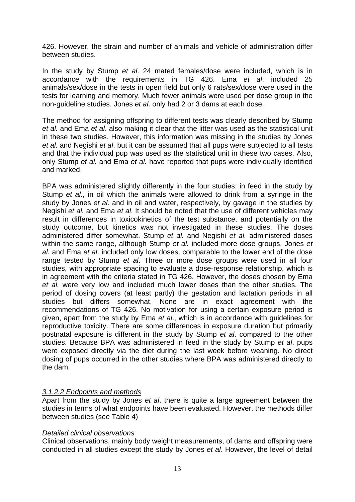426. However, the strain and number of animals and vehicle of administration differ between studies.

In the study by Stump *et al*. 24 mated females/dose were included, which is in accordance with the requirements in TG 426. Ema *et al*. included 25 animals/sex/dose in the tests in open field but only 6 rats/sex/dose were used in the tests for learning and memory. Much fewer animals were used per dose group in the non-guideline studies. Jones *et al*. only had 2 or 3 dams at each dose.

The method for assigning offspring to different tests was clearly described by Stump *et al.* and Ema *et al*. also making it clear that the litter was used as the statistical unit in these two studies. However, this information was missing in the studies by Jones *et al.* and Negishi *et al*. but it can be assumed that all pups were subjected to all tests and that the individual pup was used as the statistical unit in these two cases. Also, only Stump *et al.* and Ema *et al.* have reported that pups were individually identified and marked.

BPA was administered slightly differently in the four studies; in feed in the study by Stump *et al*., in oil which the animals were allowed to drink from a syringe in the study by Jones *et al*. and in oil and water, respectively, by gavage in the studies by Negishi *et al.* and Ema *et al*. It should be noted that the use of different vehicles may result in differences in toxicokinetics of the test substance, and potentially on the study outcome, but kinetics was not investigated in these studies. The doses administered differ somewhat. Stump *et al.* and Negishi *et al.* administered doses within the same range, although Stump *et al.* included more dose groups. Jones *et al.* and Ema *et al*. included only low doses, comparable to the lower end of the dose range tested by Stump *et al*. Three or more dose groups were used in all four studies, with appropriate spacing to evaluate a dose-response relationship, which is in agreement with the criteria stated in TG 426. However, the doses chosen by Ema *et al.* were very low and included much lower doses than the other studies. The period of dosing covers (at least partly) the gestation and lactation periods in all studies but differs somewhat. None are in exact agreement with the recommendations of TG 426. No motivation for using a certain exposure period is given, apart from the study by Ema *et al*., which is in accordance with guidelines for reproductive toxicity. There are some differences in exposure duration but primarily postnatal exposure is different in the study by Stump *et al*. compared to the other studies. Because BPA was administered in feed in the study by Stump *et al*. pups were exposed directly via the diet during the last week before weaning. No direct dosing of pups occurred in the other studies where BPA was administered directly to the dam.

# *3.1.2.2 Endpoints and methods*

Apart from the study by Jones *et al*. there is quite a large agreement between the studies in terms of what endpoints have been evaluated. However, the methods differ between studies (see Table 4)

#### *Detailed clinical observations*

Clinical observations, mainly body weight measurements, of dams and offspring were conducted in all studies except the study by Jones *et al*. However, the level of detail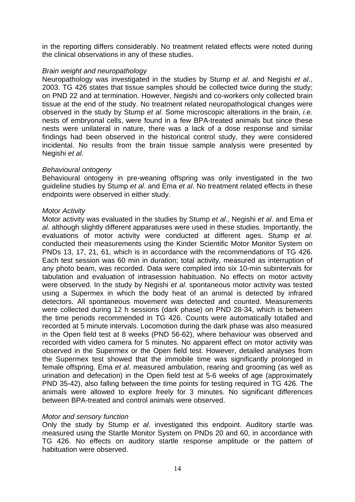in the reporting differs considerably. No treatment related effects were noted during the clinical observations in any of these studies.

# *Brain weight and neuropathology*

Neuropathology was investigated in the studies by Stump *et al*. and Negishi *et al*., 2003. TG 426 states that tissue samples should be collected twice during the study; on PND 22 and at termination. However, Negishi and co-workers only collected brain tissue at the end of the study. No treatment related neuropathological changes were observed in the study by Stump *et al*. Some microscopic alterations in the brain, *i.e.* nests of embryonal cells, were found in a few BPA-treated animals but since these nests were unilateral in nature, there was a lack of a dose response and similar findings had been observed in the historical control study, they were considered incidental. No results from the brain tissue sample analysis were presented by Negishi *et al*.

# *Behavioural ontogeny*

Behavioural ontogeny in pre-weaning offspring was only investigated in the two guideline studies by Stump *et al*. and Ema *et al*. No treatment related effects in these endpoints were observed in either study.

# *Motor Activity*

Motor activity was evaluated in the studies by Stump *et al*., Negishi *et al*. and Ema *et al*. although slightly different apparatuses were used in these studies. Importantly, the evaluations of motor activity were conducted at different ages. Stump *et al.*  conducted their measurements using the Kinder Scientific Motor Monitor System on PNDs 13, 17, 21, 61, which is in accordance with the recommendations of TG 426. Each test session was 60 min in duration; total activity, measured as interruption of any photo beam, was recorded. Data were compiled into six 10-min subintervals for tabulation and evaluation of intrasession habituation. No effects on motor activity were observed. In the study by Negishi *et al*. spontaneous motor activity was tested using a Supermex in which the body heat of an animal is detected by infrared detectors. All spontaneous movement was detected and counted. Measurements were collected during 12 h sessions (dark phase) on PND 28-34, which is between the time periods recommended in TG 426. Counts were automatically totalled and recorded at 5 minute intervals. Locomotion during the dark phase was also measured in the Open field test at 8 weeks (PND 56-62), where behaviour was observed and recorded with video camera for 5 minutes. No apparent effect on motor activity was observed in the Supermex or the Open field test. However, detailed analyses from the Supermex test showed that the immobile time was significantly prolonged in female offspring. Ema *et al*. measured ambulation, rearing and grooming (as well as urination and defecation) in the Open field test at 5-6 weeks of age (approximately PND 35-42), also falling between the time points for testing required in TG 426. The animals were allowed to explore freely for 3 minutes. No significant differences between BPA-treated and control animals were observed.

# *Motor and sensory function*

Only the study by Stump *et al*. investigated this endpoint. Auditory startle was measured using the Startle Monitor System on PNDs 20 and 60, in accordance with TG 426. No effects on auditory startle response amplitude or the pattern of habituation were observed.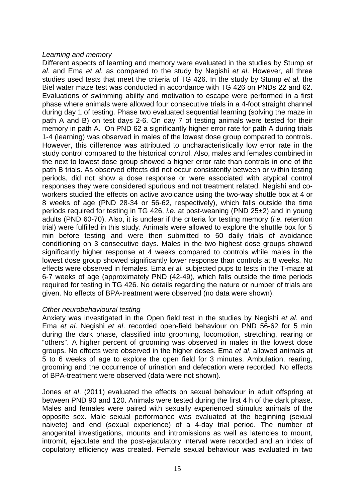# *Learning and memory*

Different aspects of learning and memory were evaluated in the studies by Stump *et al*. and Ema *et al*. as compared to the study by Negishi *et al*. However, all three studies used tests that meet the criteria of TG 426. In the study by Stump *et al.* the Biel water maze test was conducted in accordance with TG 426 on PNDs 22 and 62. Evaluations of swimming ability and motivation to escape were performed in a first phase where animals were allowed four consecutive trials in a 4-foot straight channel during day 1 of testing. Phase two evaluated sequential learning (solving the maze in path A and B) on test days 2-6. On day 7 of testing animals were tested for their memory in path A. On PND 62 a significantly higher error rate for path A during trials 1-4 (learning) was observed in males of the lowest dose group compared to controls. However, this difference was attributed to uncharacteristically low error rate in the study control compared to the historical control. Also, males and females combined in the next to lowest dose group showed a higher error rate than controls in one of the path B trials. As observed effects did not occur consistently between or within testing periods, did not show a dose response or were associated with atypical control responses they were considered spurious and not treatment related. Negishi and coworkers studied the effects on active avoidance using the two-way shuttle box at 4 or 8 weeks of age (PND 28-34 or 56-62, respectively), which falls outside the time periods required for testing in TG 426, *i.e.* at post-weaning (PND 25±2) and in young adults (PND 60-70). Also, it is unclear if the criteria for testing memory (*i.e.* retention trial) were fulfilled in this study. Animals were allowed to explore the shuttle box for 5 min before testing and were then submitted to 50 daily trials of avoidance conditioning on 3 consecutive days. Males in the two highest dose groups showed significantly higher response at 4 weeks compared to controls while males in the lowest dose group showed significantly lower response than controls at 8 weeks. No effects were observed in females. Ema *et al.* subjected pups to tests in the T-maze at 6-7 weeks of age (approximately PND (42-49), which falls outside the time periods required for testing in TG 426. No details regarding the nature or number of trials are given. No effects of BPA-treatment were observed (no data were shown).

#### *Other neurobehavioural testing*

Anxiety was investigated in the Open field test in the studies by Negishi *et al*. and Ema *et al*. Negishi *et al*. recorded open-field behaviour on PND 56-62 for 5 min during the dark phase, classified into grooming, locomotion, stretching, rearing or "others". A higher percent of grooming was observed in males in the lowest dose groups. No effects were observed in the higher doses. Ema *et al*. allowed animals at 5 to 6 weeks of age to explore the open field for 3 minutes. Ambulation, rearing, grooming and the occurrence of urination and defecation were recorded. No effects of BPA-treatment were observed (data were not shown).

Jones *et al*. (2011) evaluated the effects on sexual behaviour in adult offspring at between PND 90 and 120. Animals were tested during the first 4 h of the dark phase. Males and females were paired with sexually experienced stimulus animals of the opposite sex. Male sexual performance was evaluated at the beginning (sexual naivete) and end (sexual experience) of a 4-day trial period. The number of anogenital investigations, mounts and intromissions as well as latencies to mount, intromit, ejaculate and the post-ejaculatory interval were recorded and an index of copulatory efficiency was created. Female sexual behaviour was evaluated in two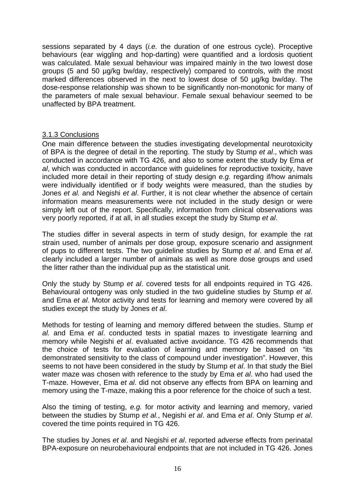sessions separated by 4 days (*i.e.* the duration of one estrous cycle). Proceptive behaviours (ear wiggling and hop-darting) were quantified and a lordosis quotient was calculated. Male sexual behaviour was impaired mainly in the two lowest dose groups (5 and 50 µg/kg bw/day, respectively) compared to controls, with the most marked differences observed in the next to lowest dose of 50 µg/kg bw/day. The dose-response relationship was shown to be significantly non-monotonic for many of the parameters of male sexual behaviour. Female sexual behaviour seemed to be unaffected by BPA treatment.

# 3.1.3 Conclusions

One main difference between the studies investigating developmental neurotoxicity of BPA is the degree of detail in the reporting. The study by Stump *et al*., which was conducted in accordance with TG 426, and also to some extent the study by Ema *et al*, which was conducted in accordance with guidelines for reproductive toxicity, have included more detail in their reporting of study design *e.g.* regarding if/how animals were individually identified or if body weights were measured, than the studies by Jones *et al.* and Negishi *et al*. Further, it is not clear whether the absence of certain information means measurements were not included in the study design or were simply left out of the report. Specifically, information from clinical observations was very poorly reported, if at all, in all studies except the study by Stump *et al*.

The studies differ in several aspects in term of study design, for example the rat strain used, number of animals per dose group, exposure scenario and assignment of pups to different tests. The two guideline studies by Stump *et al*. and Ema *et al*. clearly included a larger number of animals as well as more dose groups and used the litter rather than the individual pup as the statistical unit.

Only the study by Stump *et al*. covered tests for all endpoints required in TG 426. Behavioural ontogeny was only studied in the two guideline studies by Stump *et al*. and Ema *et al*. Motor activity and tests for learning and memory were covered by all studies except the study by Jones *et al*.

Methods for testing of learning and memory differed between the studies. Stump *et al.* and Ema *et al*. conducted tests in spatial mazes to investigate learning and memory while Negishi *et al*. evaluated active avoidance. TG 426 recommends that the choice of tests for evaluation of learning and memory be based on "its demonstrated sensitivity to the class of compound under investigation". However, this seems to not have been considered in the study by Stump *et al*. In that study the Biel water maze was chosen with reference to the study by Ema *et al*. who had used the T-maze. However, Ema *et al*. did not observe any effects from BPA on learning and memory using the T-maze, making this a poor reference for the choice of such a test.

Also the timing of testing, *e.g.* for motor activity and learning and memory, varied between the studies by Stump *et al.*, Negishi *et al*. and Ema *et al*. Only Stump *et al*. covered the time points required in TG 426.

The studies by Jones *et al*. and Negishi *et al*. reported adverse effects from perinatal BPA-exposure on neurobehavioural endpoints that are not included in TG 426. Jones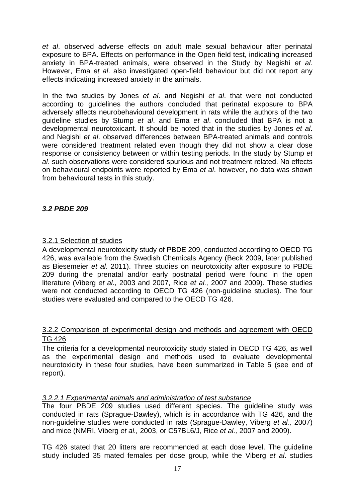*et al*. observed adverse effects on adult male sexual behaviour after perinatal exposure to BPA. Effects on performance in the Open field test, indicating increased anxiety in BPA-treated animals, were observed in the Study by Negishi *et al*. However, Ema *et al*. also investigated open-field behaviour but did not report any effects indicating increased anxiety in the animals.

In the two studies by Jones *et al*. and Negishi *et al*. that were not conducted according to guidelines the authors concluded that perinatal exposure to BPA adversely affects neurobehavioural development in rats while the authors of the two guideline studies by Stump *et al*. and Ema *et al*. concluded that BPA is not a developmental neurotoxicant. It should be noted that in the studies by Jones *et al*. and Negishi *et al*. observed differences between BPA-treated animals and controls were considered treatment related even though they did not show a clear dose response or consistency between or within testing periods. In the study by Stump *et al*. such observations were considered spurious and not treatment related. No effects on behavioural endpoints were reported by Ema *et al*. however, no data was shown from behavioural tests in this study.

# *3.2 PBDE 209*

# 3.2.1 Selection of studies

A developmental neurotoxicity study of PBDE 209, conducted according to OECD TG 426, was available from the Swedish Chemicals Agency (Beck 2009, later published as Biesemeier *et al*. 2011). Three studies on neurotoxicity after exposure to PBDE 209 during the prenatal and/or early postnatal period were found in the open literature (Viberg *et al.,* 2003 and 2007, Rice *et al.,* 2007 and 2009). These studies were not conducted according to OECD TG 426 (non-guideline studies). The four studies were evaluated and compared to the OECD TG 426.

# 3.2.2 Comparison of experimental design and methods and agreement with OECD TG 426

The criteria for a developmental neurotoxicity study stated in OECD TG 426, as well as the experimental design and methods used to evaluate developmental neurotoxicity in these four studies, have been summarized in Table 5 (see end of report).

# *3.2.2.1 Experimental animals and administration of test substance*

The four PBDE 209 studies used different species. The guideline study was conducted in rats (Sprague-Dawley), which is in accordance with TG 426, and the non-guideline studies were conducted in rats (Sprague-Dawley, Viberg *et al.,* 2007) and mice (NMRI, Viberg *et al.,* 2003, or C57BL6/J, Rice *et al.,* 2007 and 2009).

TG 426 stated that 20 litters are recommended at each dose level. The guideline study included 35 mated females per dose group, while the Viberg *et al*. studies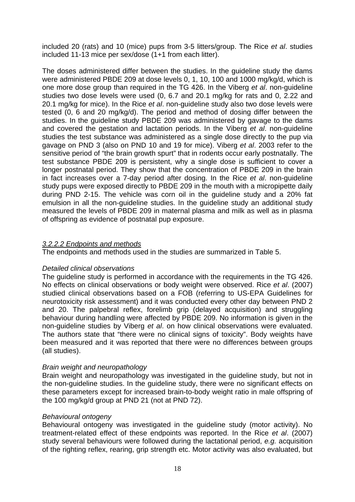included 20 (rats) and 10 (mice) pups from 3-5 litters/group. The Rice *et al*. studies included 11-13 mice per sex/dose (1+1 from each litter).

The doses administered differ between the studies. In the guideline study the dams were administered PBDE 209 at dose levels 0, 1, 10, 100 and 1000 mg/kg/d, which is one more dose group than required in the TG 426. In the Viberg *et al*. non-guideline studies two dose levels were used (0, 6.7 and 20.1 mg/kg for rats and 0, 2.22 and 20.1 mg/kg for mice). In the Rice *et al*. non-guideline study also two dose levels were tested (0, 6 and 20 mg/kg/d). The period and method of dosing differ between the studies. In the guideline study PBDE 209 was administered by gavage to the dams and covered the gestation and lactation periods. In the Viberg *et al*. non-guideline studies the test substance was administered as a single dose directly to the pup via gavage on PND 3 (also on PND 10 and 19 for mice). Viberg *et al*. 2003 refer to the sensitive period of "the brain growth spurt" that in rodents occur early postnatally. The test substance PBDE 209 is persistent, why a single dose is sufficient to cover a longer postnatal period. They show that the concentration of PBDE 209 in the brain in fact increases over a 7-day period after dosing. In the Rice *et al*. non-guideline study pups were exposed directly to PBDE 209 in the mouth with a micropipette daily during PND 2-15. The vehicle was corn oil in the guideline study and a 20% fat emulsion in all the non-guideline studies. In the guideline study an additional study measured the levels of PBDE 209 in maternal plasma and milk as well as in plasma of offspring as evidence of postnatal pup exposure.

# *3.2.2.2 Endpoints and methods*

The endpoints and methods used in the studies are summarized in Table 5.

# *Detailed clinical observations*

The guideline study is performed in accordance with the requirements in the TG 426. No effects on clinical observations or body weight were observed. Rice *et al*. (2007) studied clinical observations based on a FOB (referring to US-EPA Guidelines for neurotoxicity risk assessment) and it was conducted every other day between PND 2 and 20. The palpebral reflex, forelimb grip (delayed acquisition) and struggling behaviour during handling were affected by PBDE 209. No information is given in the non-guideline studies by Viberg *et al*. on how clinical observations were evaluated. The authors state that "there were no clinical signs of toxicity". Body weights have been measured and it was reported that there were no differences between groups (all studies).

# *Brain weight and neuropathology*

Brain weight and neuropathology was investigated in the guideline study, but not in the non-guideline studies. In the guideline study, there were no significant effects on these parameters except for increased brain-to-body weight ratio in male offspring of the 100 mg/kg/d group at PND 21 (not at PND 72).

#### *Behavioural ontogeny*

Behavioural ontogeny was investigated in the guideline study (motor activity). No treatment-related effect of these endpoints was reported. In the Rice *et al*. (2007) study several behaviours were followed during the lactational period, *e.g.* acquisition of the righting reflex, rearing, grip strength etc. Motor activity was also evaluated, but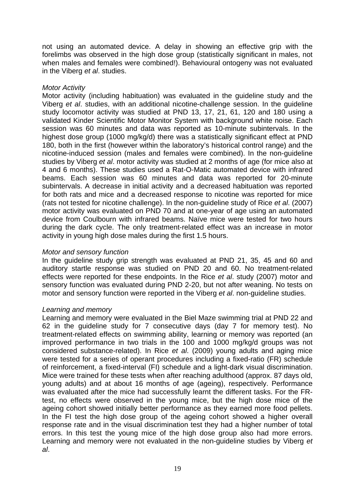not using an automated device. A delay in showing an effective grip with the forelimbs was observed in the high dose group (statistically significant in males, not when males and females were combined!). Behavioural ontogeny was not evaluated in the Viberg *et al*. studies.

# *Motor Activity*

Motor activity (including habituation) was evaluated in the guideline study and the Viberg *et al*. studies, with an additional nicotine-challenge session. In the guideline study locomotor activity was studied at PND 13, 17, 21, 61, 120 and 180 using a validated Kinder Scientific Motor Monitor System with background white noise. Each session was 60 minutes and data was reported as 10-minute subintervals. In the highest dose group (1000 mg/kg/d) there was a statistically significant effect at PND 180, both in the first (however within the laboratory's historical control range) and the nicotine-induced session (males and females were combined). In the non-guideline studies by Viberg *et al*. motor activity was studied at 2 months of age (for mice also at 4 and 6 months). These studies used a Rat-O-Matic automated device with infrared beams. Each session was 60 minutes and data was reported for 20-minute subintervals. A decrease in initial activity and a decreased habituation was reported for both rats and mice and a decreased response to nicotine was reported for mice (rats not tested for nicotine challenge). In the non-guideline study of Rice *et al*. (2007) motor activity was evaluated on PND 70 and at one-year of age using an automated device from Coulbourn with infrared beams. Naïve mice were tested for two hours during the dark cycle. The only treatment-related effect was an increase in motor activity in young high dose males during the first 1.5 hours.

# *Motor and sensory function*

In the guideline study grip strength was evaluated at PND 21, 35, 45 and 60 and auditory startle response was studied on PND 20 and 60. No treatment-related effects were reported for these endpoints. In the Rice *et al*. study (2007) motor and sensory function was evaluated during PND 2-20, but not after weaning. No tests on motor and sensory function were reported in the Viberg *et al*. non-guideline studies.

#### *Learning and memory*

Learning and memory were evaluated in the Biel Maze swimming trial at PND 22 and 62 in the guideline study for 7 consecutive days (day 7 for memory test). No treatment-related effects on swimming ability, learning or memory was reported (an improved performance in two trials in the 100 and 1000 mg/kg/d groups was not considered substance-related). In Rice *et al*. (2009) young adults and aging mice were tested for a series of operant procedures including a fixed-ratio (FR) schedule of reinforcement, a fixed-interval (FI) schedule and a light-dark visual discrimination. Mice were trained for these tests when after reaching adulthood (approx. 87 days old, young adults) and at about 16 months of age (ageing), respectively. Performance was evaluated after the mice had successfully learnt the different tasks. For the FRtest, no effects were observed in the young mice, but the high dose mice of the ageing cohort showed initially better performance as they earned more food pellets. In the FI test the high dose group of the ageing cohort showed a higher overall response rate and in the visual discrimination test they had a higher number of total errors. In this test the young mice of the high dose group also had more errors. Learning and memory were not evaluated in the non-guideline studies by Viberg *et al*.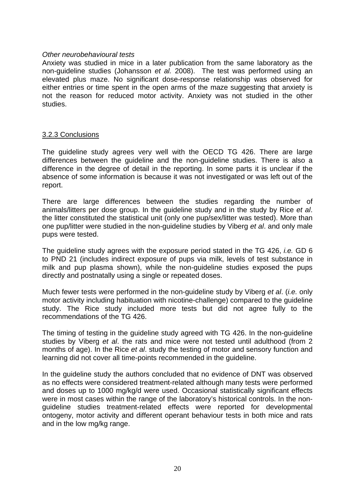#### *Other neurobehavioural tests*

Anxiety was studied in mice in a later publication from the same laboratory as the non-guideline studies (Johansson *et al.* 2008). The test was performed using an elevated plus maze. No significant dose-response relationship was observed for either entries or time spent in the open arms of the maze suggesting that anxiety is not the reason for reduced motor activity. Anxiety was not studied in the other studies.

#### 3.2.3 Conclusions

The guideline study agrees very well with the OECD TG 426. There are large differences between the guideline and the non-guideline studies. There is also a difference in the degree of detail in the reporting. In some parts it is unclear if the absence of some information is because it was not investigated or was left out of the report.

There are large differences between the studies regarding the number of animals/litters per dose group. In the guideline study and in the study by Rice *et al*. the litter constituted the statistical unit (only one pup/sex/litter was tested). More than one pup/litter were studied in the non-guideline studies by Viberg *et al*. and only male pups were tested.

The guideline study agrees with the exposure period stated in the TG 426, *i.e.* GD 6 to PND 21 (includes indirect exposure of pups via milk, levels of test substance in milk and pup plasma shown), while the non-guideline studies exposed the pups directly and postnatally using a single or repeated doses.

Much fewer tests were performed in the non-guideline study by Viberg *et al*. (*i.e.* only motor activity including habituation with nicotine-challenge) compared to the guideline study. The Rice study included more tests but did not agree fully to the recommendations of the TG 426.

The timing of testing in the guideline study agreed with TG 426. In the non-guideline studies by Viberg *et al*. the rats and mice were not tested until adulthood (from 2 months of age). In the Rice *et al*. study the testing of motor and sensory function and learning did not cover all time-points recommended in the guideline.

In the guideline study the authors concluded that no evidence of DNT was observed as no effects were considered treatment-related although many tests were performed and doses up to 1000 mg/kg/d were used. Occasional statistically significant effects were in most cases within the range of the laboratory's historical controls. In the nonguideline studies treatment-related effects were reported for developmental ontogeny, motor activity and different operant behaviour tests in both mice and rats and in the low mg/kg range.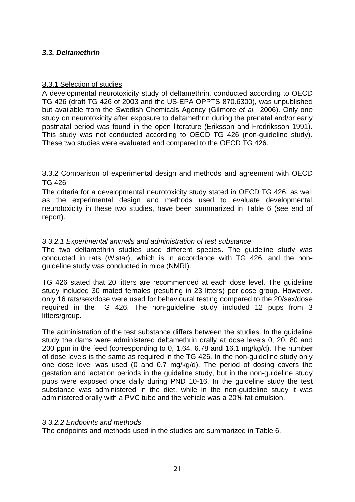# *3.3. Deltamethrin*

# 3.3.1 Selection of studies

A developmental neurotoxicity study of deltamethrin, conducted according to OECD TG 426 (draft TG 426 of 2003 and the US-EPA OPPTS 870.6300), was unpublished but available from the Swedish Chemicals Agency (Gilmore *et al.,* 2006). Only one study on neurotoxicity after exposure to deltamethrin during the prenatal and/or early postnatal period was found in the open literature (Eriksson and Fredriksson 1991). This study was not conducted according to OECD TG 426 (non-guideline study). These two studies were evaluated and compared to the OECD TG 426.

# 3.3.2 Comparison of experimental design and methods and agreement with OECD TG 426

The criteria for a developmental neurotoxicity study stated in OECD TG 426, as well as the experimental design and methods used to evaluate developmental neurotoxicity in these two studies, have been summarized in Table 6 (see end of report).

# *3.3.2.1 Experimental animals and administration of test substance*

The two deltamethrin studies used different species. The guideline study was conducted in rats (Wistar), which is in accordance with TG 426, and the nonguideline study was conducted in mice (NMRI).

TG 426 stated that 20 litters are recommended at each dose level. The guideline study included 30 mated females (resulting in 23 litters) per dose group. However, only 16 rats/sex/dose were used for behavioural testing compared to the 20/sex/dose required in the TG 426. The non-guideline study included 12 pups from 3 litters/group.

The administration of the test substance differs between the studies. In the guideline study the dams were administered deltamethrin orally at dose levels 0, 20, 80 and 200 ppm in the feed (corresponding to 0, 1.64, 6.78 and 16.1 mg/kg/d). The number of dose levels is the same as required in the TG 426. In the non-guideline study only one dose level was used (0 and 0.7 mg/kg/d). The period of dosing covers the gestation and lactation periods in the guideline study, but in the non-guideline study pups were exposed once daily during PND 10-16. In the guideline study the test substance was administered in the diet, while in the non-guideline study it was administered orally with a PVC tube and the vehicle was a 20% fat emulsion.

#### *3.3.2.2 Endpoints and methods*

The endpoints and methods used in the studies are summarized in Table 6.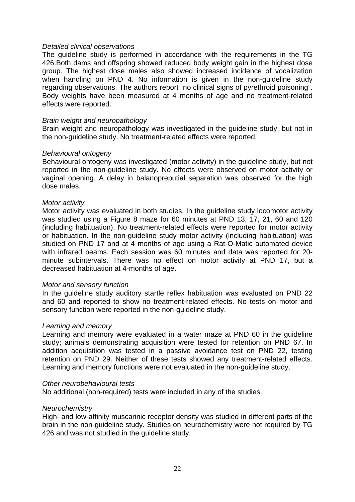#### *Detailed clinical observations*

The guideline study is performed in accordance with the requirements in the TG 426.Both dams and offspring showed reduced body weight gain in the highest dose group. The highest dose males also showed increased incidence of vocalization when handling on PND 4. No information is given in the non-guideline study regarding observations. The authors report "no clinical signs of pyrethroid poisoning". Body weights have been measured at 4 months of age and no treatment-related effects were reported.

#### *Brain weight and neuropathology*

Brain weight and neuropathology was investigated in the guideline study, but not in the non-guideline study. No treatment-related effects were reported.

#### *Behavioural ontogeny*

Behavioural ontogeny was investigated (motor activity) in the guideline study, but not reported in the non-guideline study. No effects were observed on motor activity or vaginal opening. A delay in balanopreputial separation was observed for the high dose males.

#### *Motor activity*

Motor activity was evaluated in both studies. In the guideline study locomotor activity was studied using a Figure 8 maze for 60 minutes at PND 13, 17, 21, 60 and 120 (including habituation). No treatment-related effects were reported for motor activity or habituation. In the non-guideline study motor activity (including habituation) was studied on PND 17 and at 4 months of age using a Rat-O-Matic automated device with infrared beams. Each session was 60 minutes and data was reported for 20 minute subintervals. There was no effect on motor activity at PND 17, but a decreased habituation at 4-months of age.

#### *Motor and sensory function*

In the guideline study auditory startle reflex habituation was evaluated on PND 22 and 60 and reported to show no treatment-related effects. No tests on motor and sensory function were reported in the non-guideline study.

#### *Learning and memory*

Learning and memory were evaluated in a water maze at PND 60 in the guideline study; animals demonstrating acquisition were tested for retention on PND 67. In addition acquisition was tested in a passive avoidance test on PND 22, testing retention on PND 29. Neither of these tests showed any treatment-related effects. Learning and memory functions were not evaluated in the non-guideline study.

#### *Other neurobehavioural tests*

No additional (non-required) tests were included in any of the studies.

#### *Neurochemistry*

High- and low-affinity muscarinic receptor density was studied in different parts of the brain in the non-guideline study. Studies on neurochemistry were not required by TG 426 and was not studied in the guideline study.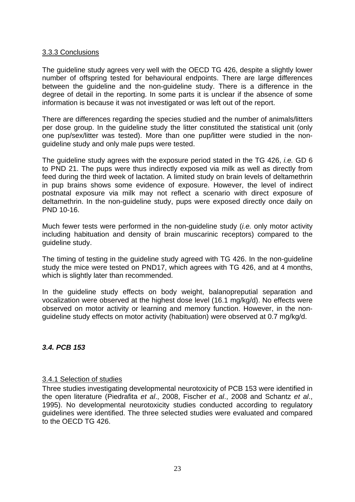# 3.3.3 Conclusions

The guideline study agrees very well with the OECD TG 426, despite a slightly lower number of offspring tested for behavioural endpoints. There are large differences between the guideline and the non-guideline study. There is a difference in the degree of detail in the reporting. In some parts it is unclear if the absence of some information is because it was not investigated or was left out of the report.

There are differences regarding the species studied and the number of animals/litters per dose group. In the guideline study the litter constituted the statistical unit (only one pup/sex/litter was tested). More than one pup/litter were studied in the nonguideline study and only male pups were tested.

The guideline study agrees with the exposure period stated in the TG 426, *i.e.* GD 6 to PND 21. The pups were thus indirectly exposed via milk as well as directly from feed during the third week of lactation. A limited study on brain levels of deltamethrin in pup brains shows some evidence of exposure. However, the level of indirect postnatal exposure via milk may not reflect a scenario with direct exposure of deltamethrin. In the non-guideline study, pups were exposed directly once daily on PND 10-16.

Much fewer tests were performed in the non-guideline study (*i.e.* only motor activity including habituation and density of brain muscarinic receptors) compared to the guideline study.

The timing of testing in the guideline study agreed with TG 426. In the non-guideline study the mice were tested on PND17, which agrees with TG 426, and at 4 months, which is slightly later than recommended.

In the guideline study effects on body weight, balanopreputial separation and vocalization were observed at the highest dose level (16.1 mg/kg/d). No effects were observed on motor activity or learning and memory function. However, in the nonguideline study effects on motor activity (habituation) were observed at 0.7 mg/kg/d.

# *3.4. PCB 153*

#### 3.4.1 Selection of studies

Three studies investigating developmental neurotoxicity of PCB 153 were identified in the open literature (Piedrafita *et al*., 2008, Fischer *et al*., 2008 and Schantz *et al*., 1995). No developmental neurotoxicity studies conducted according to regulatory guidelines were identified. The three selected studies were evaluated and compared to the OECD TG 426.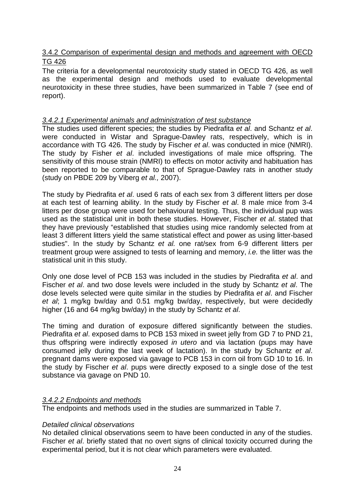# 3.4.2 Comparison of experimental design and methods and agreement with OECD TG 426

The criteria for a developmental neurotoxicity study stated in OECD TG 426, as well as the experimental design and methods used to evaluate developmental neurotoxicity in these three studies, have been summarized in Table 7 (see end of report).

# *3.4.2.1 Experimental animals and administration of test substance*

The studies used different species; the studies by Piedrafita *et al*. and Schantz *et al*. were conducted in Wistar and Sprague-Dawley rats, respectively, which is in accordance with TG 426. The study by Fischer *et al*. was conducted in mice (NMRI). The study by Fisher *et al*. included investigations of male mice offspring. The sensitivity of this mouse strain (NMRI) to effects on motor activity and habituation has been reported to be comparable to that of Sprague-Dawley rats in another study (study on PBDE 209 by Viberg *et al.,* 2007).

The study by Piedrafita *et al*. used 6 rats of each sex from 3 different litters per dose at each test of learning ability. In the study by Fischer *et al*. 8 male mice from 3-4 litters per dose group were used for behavioural testing. Thus, the individual pup was used as the statistical unit in both these studies. However, Fischer *et al*. stated that they have previously "established that studies using mice randomly selected from at least 3 different litters yield the same statistical effect and power as using litter-based studies". In the study by Schantz *et al.* one rat/sex from 6-9 different litters per treatment group were assigned to tests of learning and memory, *i.e.* the litter was the statistical unit in this study.

Only one dose level of PCB 153 was included in the studies by Piedrafita *et al*. and Fischer *et al*. and two dose levels were included in the study by Schantz *et al*. The dose levels selected were quite similar in the studies by Piedrafita *et al*. and Fischer *et al*; 1 mg/kg bw/day and 0.51 mg/kg bw/day, respectively, but were decidedly higher (16 and 64 mg/kg bw/day) in the study by Schantz *et al*.

The timing and duration of exposure differed significantly between the studies. Piedrafita *et al*. exposed dams to PCB 153 mixed in sweet jelly from GD 7 to PND 21, thus offspring were indirectly exposed *in utero* and via lactation (pups may have consumed jelly during the last week of lactation). In the study by Schantz *et al*. pregnant dams were exposed via gavage to PCB 153 in corn oil from GD 10 to 16. In the study by Fischer *et al*. pups were directly exposed to a single dose of the test substance via gavage on PND 10.

# *3.4.2.2 Endpoints and methods*

The endpoints and methods used in the studies are summarized in Table 7.

#### *Detailed clinical observations*

No detailed clinical observations seem to have been conducted in any of the studies. Fischer *et al*. briefly stated that no overt signs of clinical toxicity occurred during the experimental period, but it is not clear which parameters were evaluated.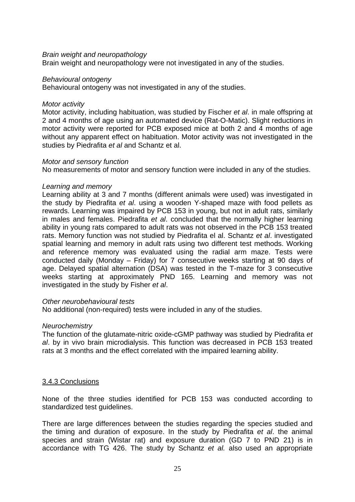#### *Brain weight and neuropathology*

Brain weight and neuropathology were not investigated in any of the studies.

#### *Behavioural ontogeny*

Behavioural ontogeny was not investigated in any of the studies.

#### *Motor activity*

Motor activity, including habituation, was studied by Fischer *et al*. in male offspring at 2 and 4 months of age using an automated device (Rat-O-Matic). Slight reductions in motor activity were reported for PCB exposed mice at both 2 and 4 months of age without any apparent effect on habituation. Motor activity was not investigated in the studies by Piedrafita *et al* and Schantz et al.

#### *Motor and sensory function*

No measurements of motor and sensory function were included in any of the studies.

#### *Learning and memory*

Learning ability at 3 and 7 months (different animals were used) was investigated in the study by Piedrafita *et al*. using a wooden Y-shaped maze with food pellets as rewards. Learning was impaired by PCB 153 in young, but not in adult rats, similarly in males and females. Piedrafita *et al*. concluded that the normally higher learning ability in young rats compared to adult rats was not observed in the PCB 153 treated rats. Memory function was not studied by Piedrafita el al. Schantz *et al*. investigated spatial learning and memory in adult rats using two different test methods. Working and reference memory was evaluated using the radial arm maze. Tests were conducted daily (Monday – Friday) for 7 consecutive weeks starting at 90 days of age. Delayed spatial alternation (DSA) was tested in the T-maze for 3 consecutive weeks starting at approximately PND 165. Learning and memory was not investigated in the study by Fisher *et al*.

#### *Other neurobehavioural tests*

No additional (non-required) tests were included in any of the studies.

# *Neurochemistry*

The function of the glutamate-nitric oxide-cGMP pathway was studied by Piedrafita *et al*. by in vivo brain microdialysis. This function was decreased in PCB 153 treated rats at 3 months and the effect correlated with the impaired learning ability.

#### 3.4.3 Conclusions

None of the three studies identified for PCB 153 was conducted according to standardized test guidelines.

There are large differences between the studies regarding the species studied and the timing and duration of exposure. In the study by Piedrafita *et al*. the animal species and strain (Wistar rat) and exposure duration (GD 7 to PND 21) is in accordance with TG 426. The study by Schantz *et al.* also used an appropriate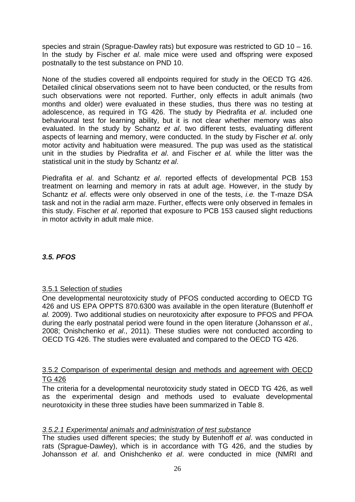species and strain (Sprague-Dawley rats) but exposure was restricted to GD 10 – 16. In the study by Fischer *et al*. male mice were used and offspring were exposed postnatally to the test substance on PND 10.

None of the studies covered all endpoints required for study in the OECD TG 426. Detailed clinical observations seem not to have been conducted, or the results from such observations were not reported. Further, only effects in adult animals (two months and older) were evaluated in these studies, thus there was no testing at adolescence, as required in TG 426. The study by Piedrafita *et al*. included one behavioural test for learning ability, but it is not clear whether memory was also evaluated. In the study by Schantz *et al*. two different tests, evaluating different aspects of learning and memory, were conducted. In the study by Fischer *et al*. only motor activity and habituation were measured. The pup was used as the statistical unit in the studies by Piedrafita *et al*. and Fischer *et al.* while the litter was the statistical unit in the study by Schantz *et al*.

Piedrafita *et al*. and Schantz *et al*. reported effects of developmental PCB 153 treatment on learning and memory in rats at adult age. However, in the study by Schantz *et al*. effects were only observed in one of the tests, *i.e.* the T-maze DSA task and not in the radial arm maze. Further, effects were only observed in females in this study. Fischer *et al*. reported that exposure to PCB 153 caused slight reductions in motor activity in adult male mice.

# *3.5. PFOS*

# 3.5.1 Selection of studies

One developmental neurotoxicity study of PFOS conducted according to OECD TG 426 and US EPA OPPTS 870.6300 was available in the open literature (Butenhoff *et al.* 2009). Two additional studies on neurotoxicity after exposure to PFOS and PFOA during the early postnatal period were found in the open literature (Johansson *et al*., 2008; Onishchenko *et al*., 2011). These studies were not conducted according to OECD TG 426. The studies were evaluated and compared to the OECD TG 426.

#### 3.5.2 Comparison of experimental design and methods and agreement with OECD TG 426

The criteria for a developmental neurotoxicity study stated in OECD TG 426, as well as the experimental design and methods used to evaluate developmental neurotoxicity in these three studies have been summarized in Table 8.

# *3.5.2.1 Experimental animals and administration of test substance*

The studies used different species; the study by Butenhoff *et al*. was conducted in rats (Sprague-Dawley), which is in accordance with TG 426, and the studies by Johansson *et al*. and Onishchenko *et al*. were conducted in mice (NMRI and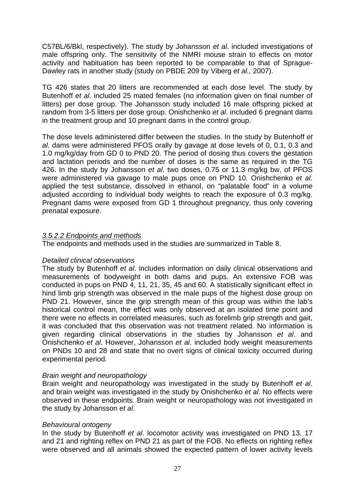C57BL/6/Bkl, respectively). The study by Johansson *et al*. included investigations of male offspring only. The sensitivity of the NMRI mouse strain to effects on motor activity and habituation has been reported to be comparable to that of Sprague-Dawley rats in another study (study on PBDE 209 by Viberg *et al.,* 2007).

TG 426 states that 20 litters are recommended at each dose level. The study by Butenhoff *et al*. included 25 mated females (no information given on final number of litters) per dose group. The Johansson study included 16 male offspring picked at random from 3-5 litters per dose group. Onishchenko *et al*. included 6 pregnant dams in the treatment group and 10 pregnant dams in the control group.

The dose levels administered differ between the studies. In the study by Butenhoff *et al*. dams were administered PFOS orally by gavage at dose levels of 0, 0.1, 0.3 and 1.0 mg/kg/day from GD 0 to PND 20. The period of dosing thus covers the gestation and lactation periods and the number of doses is the same as required in the TG 426. In the study by Johansson *et al*. two doses, 0.75 or 11.3 mg/kg bw, of PFOS were administered via gavage to male pups once on PND 10. Onishchenko *et al*. applied the test substance, dissolved in ethanol, on "palatable food" in a volume adjusted according to individual body weights to reach the exposure of 0.3 mg/kg. Pregnant dams were exposed from GD 1 throughout pregnancy, thus only covering prenatal exposure.

# *3.5.2.2 Endpoints and methods*

The endpoints and methods used in the studies are summarized in Table 8.

# *Detailed clinical observations*

The study by Butenhoff *et al*. includes information on daily clinical observations and measurements of bodyweight in both dams and pups. An extensive FOB was conducted in pups on PND 4, 11, 21, 35, 45 and 60. A statistically significant effect in hind limb grip strength was observed in the male pups of the highest dose group on PND 21. However, since the grip strength mean of this group was within the lab's historical control mean, the effect was only observed at an isolated time point and there were no effects in correlated measures, such as forelimb grip strength and gait, it was concluded that this observation was not treatment related. No information is given regarding clinical observations in the studies by Johansson *et al*. and Onishchenko *et al*. However, Johansson *et al*. included body weight measurements on PNDs 10 and 28 and state that no overt signs of clinical toxicity occurred during experimental period.

# *Brain weight and neuropathology*

Brain weight and neuropathology was investigated in the study by Butenhoff *et al*. and brain weight was investigated in the study by Onishchenko *et al*. No effects were observed in these endpoints. Brain weight or neuropathology was not investigated in the study by Johansson *et al*.

#### *Behavioural ontogeny*

In the study by Butenhoff *et al*. locomotor activity was investigated on PND 13, 17 and 21 and righting reflex on PND 21 as part of the FOB. No effects on righting reflex were observed and all animals showed the expected pattern of lower activity levels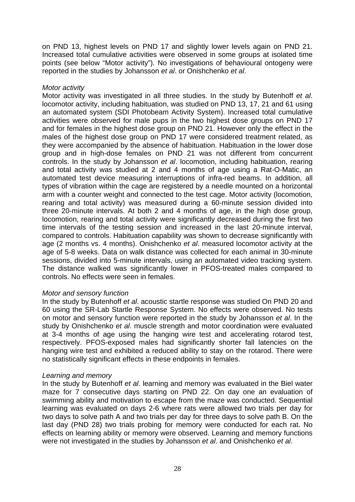on PND 13, highest levels on PND 17 and slightly lower levels again on PND 21. Increased total cumulative activities were observed in some groups at isolated time points (see below "Motor activity"). No investigations of behavioural ontogeny were reported in the studies by Johansson *et al*. or Onishchenko *et al*.

# *Motor activity*

Motor activity was investigated in all three studies. In the study by Butenhoff *et al*. locomotor activity, including habituation, was studied on PND 13, 17, 21 and 61 using an automated system (SDI Photobeam Activity System). Increased total cumulative activities were observed for male pups in the two highest dose groups on PND 17 and for females in the highest dose group on PND 21. However only the effect in the males of the highest dose group on PND 17 were considered treatment related, as they were accompanied by the absence of habituation. Habituation in the lower dose group and in high-dose females on PND 21 was not different from concurrent controls. In the study by Johansson *et al*. locomotion, including habituation, rearing and total activity was studied at 2 and 4 months of age using a Rat-O-Matic, an automated test device measuring interruptions of infra-red beams. In addition, all types of vibration within the cage are registered by a needle mounted on a horizontal arm with a counter weight and connected to the test cage. Motor activity (locomotion, rearing and total activity) was measured during a 60-minute session divided into three 20-minute intervals. At both 2 and 4 months of age, in the high dose group, locomotion, rearing and total activity were significantly decreased during the first two time intervals of the testing session and increased in the last 20-minute interval, compared to controls. Habituation capability was shown to decrease significantly with age (2 months vs. 4 months). Onishchenko *et al*. measured locomotor activity at the age of 5-8 weeks. Data on walk distance was collected for each animal in 30-minute sessions, divided into 5-minute intervals, using an automated video tracking system. The distance walked was significantly lower in PFOS-treated males compared to controls. No effects were seen in females.

# *Motor and sensory function*

In the study by Butenhoff *et al*. acoustic startle response was studied On PND 20 and 60 using the SR-Lab Startle Response System. No effects were observed. No tests on motor and sensory function were reported in the study by Johansson *et al*. In the study by Onishchenko *et al*. muscle strength and motor coordination were evaluated at 3-4 months of age using the hanging wire test and accelerating rotarod test, respectively. PFOS-exposed males had significantly shorter fall latencies on the hanging wire test and exhibited a reduced ability to stay on the rotarod. There were no statistically significant effects in these endpoints in females.

#### *Learning and memory*

In the study by Butenhoff *et al*. learning and memory was evaluated in the Biel water maze for 7 consecutive days starting on PND 22. On day one an evaluation of swimming ability and motivation to escape from the maze was conducted. Sequential learning was evaluated on days 2-6 where rats were allowed two trials per day for two days to solve path A and two trials per day for three days to solve path B. On the last day (PND 28) two trials probing for memory were conducted for each rat. No effects on learning ability or memory were observed. Learning and memory functions were not investigated in the studies by Johansson *et al*. and Onishchenko *et al*.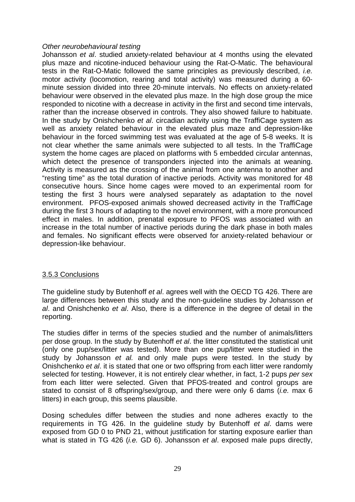# *Other neurobehavioural testing*

Johansson *et al*. studied anxiety-related behaviour at 4 months using the elevated plus maze and nicotine-induced behaviour using the Rat-O-Matic. The behavioural tests in the Rat-O-Matic followed the same principles as previously described, *i.e.* motor activity (locomotion, rearing and total activity) was measured during a 60 minute session divided into three 20-minute intervals. No effects on anxiety-related behaviour were observed in the elevated plus maze. In the high dose group the mice responded to nicotine with a decrease in activity in the first and second time intervals, rather than the increase observed in controls. They also showed failure to habituate. In the study by Onishchenko *et al*. circadian activity using the TraffiCage system as well as anxiety related behaviour in the elevated plus maze and depression-like behaviour in the forced swimming test was evaluated at the age of 5-8 weeks. It is not clear whether the same animals were subjected to all tests. In the TraffiCage system the home cages are placed on platforms with 5 embedded circular antennas, which detect the presence of transponders injected into the animals at weaning. Activity is measured as the crossing of the animal from one antenna to another and "resting time" as the total duration of inactive periods. Activity was monitored for 48 consecutive hours. Since home cages were moved to an experimental room for testing the first 3 hours were analysed separately as adaptation to the novel environment. PFOS-exposed animals showed decreased activity in the TraffiCage during the first 3 hours of adapting to the novel environment, with a more pronounced effect in males. In addition, prenatal exposure to PFOS was associated with an increase in the total number of inactive periods during the dark phase in both males and females. No significant effects were observed for anxiety-related behaviour or depression-like behaviour.

# 3.5.3 Conclusions

The guideline study by Butenhoff *et al*. agrees well with the OECD TG 426. There are large differences between this study and the non-guideline studies by Johansson *et al*. and Onishchenko *et al*. Also, there is a difference in the degree of detail in the reporting.

The studies differ in terms of the species studied and the number of animals/litters per dose group. In the study by Butenhoff *et al*. the litter constituted the statistical unit (only one pup/sex/litter was tested). More than one pup/litter were studied in the study by Johansson *et al.* and only male pups were tested. In the study by Onishchenko *et al*. it is stated that one or two offspring from each litter were randomly selected for testing. However, it is not entirely clear whether, in fact, 1-2 pups *per sex* from each litter were selected. Given that PFOS-treated and control groups are stated to consist of 8 offspring/sex/group, and there were only 6 dams (*i.e.* max 6 litters) in each group, this seems plausible.

Dosing schedules differ between the studies and none adheres exactly to the requirements in TG 426. In the guideline study by Butenhoff *et al*. dams were exposed from GD 0 to PND 21, without justification for starting exposure earlier than what is stated in TG 426 (*i.e.* GD 6). Johansson *et al*. exposed male pups directly,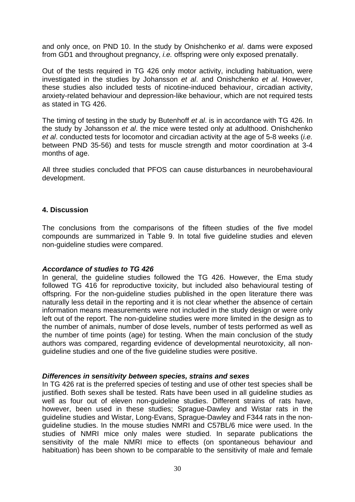and only once, on PND 10. In the study by Onishchenko *et al*. dams were exposed from GD1 and throughout pregnancy, *i.e.* offspring were only exposed prenatally.

Out of the tests required in TG 426 only motor activity, including habituation, were investigated in the studies by Johansson *et al*. and Onishchenko *et al*. However, these studies also included tests of nicotine-induced behaviour, circadian activity, anxiety-related behaviour and depression-like behaviour, which are not required tests as stated in TG 426.

The timing of testing in the study by Butenhoff *et al*. is in accordance with TG 426. In the study by Johansson *et al*. the mice were tested only at adulthood. Onishchenko *et al*. conducted tests for locomotor and circadian activity at the age of 5-8 weeks (*i.e.* between PND 35-56) and tests for muscle strength and motor coordination at 3-4 months of age.

All three studies concluded that PFOS can cause disturbances in neurobehavioural development.

# **4. Discussion**

The conclusions from the comparisons of the fifteen studies of the five model compounds are summarized in Table 9. In total five guideline studies and eleven non-guideline studies were compared.

# *Accordance of studies to TG 426*

In general, the guideline studies followed the TG 426. However, the Ema study followed TG 416 for reproductive toxicity, but included also behavioural testing of offspring. For the non-guideline studies published in the open literature there was naturally less detail in the reporting and it is not clear whether the absence of certain information means measurements were not included in the study design or were only left out of the report. The non-guideline studies were more limited in the design as to the number of animals, number of dose levels, number of tests performed as well as the number of time points (age) for testing. When the main conclusion of the study authors was compared, regarding evidence of developmental neurotoxicity, all nonguideline studies and one of the five guideline studies were positive.

#### *Differences in sensitivity between species, strains and sexes*

In TG 426 rat is the preferred species of testing and use of other test species shall be justified. Both sexes shall be tested. Rats have been used in all guideline studies as well as four out of eleven non-guideline studies. Different strains of rats have, however, been used in these studies; Sprague-Dawley and Wistar rats in the guideline studies and Wistar, Long-Evans, Sprague-Dawley and F344 rats in the nonguideline studies. In the mouse studies NMRI and C57BL/6 mice were used. In the studies of NMRI mice only males were studied. In separate publications the sensitivity of the male NMRI mice to effects (on spontaneous behaviour and habituation) has been shown to be comparable to the sensitivity of male and female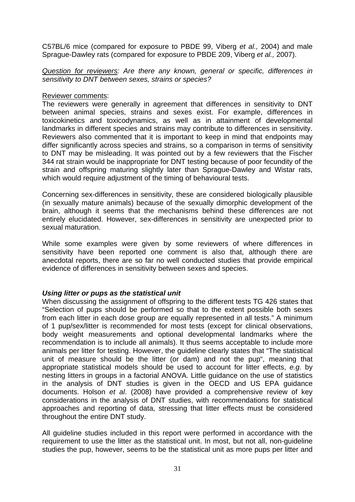C57BL/6 mice (compared for exposure to PBDE 99, Viberg *et al.,* 2004) and male Sprague-Dawley rats (compared for exposure to PBDE 209, Viberg *et al.,* 2007).

*Question for reviewers: Are there any known, general or specific, differences in sensitivity to DNT between sexes, strains or species?* 

#### Reviewer comments:

The reviewers were generally in agreement that differences in sensitivity to DNT between animal species, strains and sexes exist. For example, differences in toxicokinetics and toxicodynamics, as well as in attainment of developmental landmarks in different species and strains may contribute to differences in sensitivity. Reviewers also commented that it is important to keep in mind that endpoints may differ significantly across species and strains, so a comparison in terms of sensitivity to DNT may be misleading. It was pointed out by a few reviewers that the Fischer 344 rat strain would be inappropriate for DNT testing because of poor fecundity of the strain and offspring maturing slightly later than Sprague-Dawley and Wistar rats, which would require adjustment of the timing of behavioural tests.

Concerning sex-differences in sensitivity, these are considered biologically plausible (in sexually mature animals) because of the sexually dimorphic development of the brain, although it seems that the mechanisms behind these differences are not entirely elucidated. However, sex-differences in sensitivity are unexpected prior to sexual maturation.

While some examples were given by some reviewers of where differences in sensitivity have been reported one comment is also that, although there are anecdotal reports, there are so far no well conducted studies that provide empirical evidence of differences in sensitivity between sexes and species.

# *Using litter or pups as the statistical unit*

When discussing the assignment of offspring to the different tests TG 426 states that "Selection of pups should be performed so that to the extent possible both sexes from each litter in each dose group are equally represented in all tests." A minimum of 1 pup/sex/litter is recommended for most tests (except for clinical observations, body weight measurements and optional developmental landmarks where the recommendation is to include all animals). It thus seems acceptable to include more animals per litter for testing. However, the guideline clearly states that "The statistical unit of measure should be the litter (or dam) and not the pup", meaning that appropriate statistical models should be used to account for litter effects, *e.g.* by nesting litters in groups in a factorial ANOVA. Little guidance on the use of statistics in the analysis of DNT studies is given in the OECD and US EPA guidance documents. Holson *et al*. (2008) have provided a comprehensive review of key considerations in the analysis of DNT studies, with recommendations for statistical approaches and reporting of data, stressing that litter effects must be considered throughout the entire DNT study.

All guideline studies included in this report were performed in accordance with the requirement to use the litter as the statistical unit. In most, but not all, non-guideline studies the pup, however, seems to be the statistical unit as more pups per litter and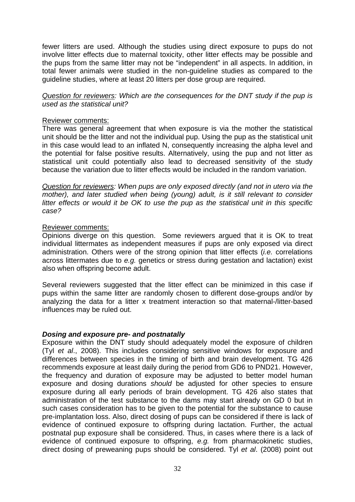fewer litters are used. Although the studies using direct exposure to pups do not involve litter effects due to maternal toxicity, other litter effects may be possible and the pups from the same litter may not be "independent" in all aspects. In addition, in total fewer animals were studied in the non-guideline studies as compared to the guideline studies, where at least 20 litters per dose group are required.

*Question for reviewers: Which are the consequences for the DNT study if the pup is used as the statistical unit?* 

#### Reviewer comments:

There was general agreement that when exposure is via the mother the statistical unit should be the litter and not the individual pup. Using the pup as the statistical unit in this case would lead to an inflated N, consequently increasing the alpha level and the potential for false positive results. Alternatively, using the pup and not litter as statistical unit could potentially also lead to decreased sensitivity of the study because the variation due to litter effects would be included in the random variation.

*Question for reviewers: When pups are only exposed directly (and not in utero via the mother), and later studied when being (young) adult, is it still relevant to consider litter effects or would it be OK to use the pup as the statistical unit in this specific case?* 

#### Reviewer comments:

Opinions diverge on this question. Some reviewers argued that it is OK to treat individual littermates as independent measures if pups are only exposed via direct administration. Others were of the strong opinion that litter effects (*i.e.* correlations across littermates due to *e.g.* genetics or stress during gestation and lactation) exist also when offspring become adult.

Several reviewers suggested that the litter effect can be minimized in this case if pups within the same litter are randomly chosen to different dose-groups and/or by analyzing the data for a litter x treatment interaction so that maternal-/litter-based influences may be ruled out.

#### *Dosing and exposure pre- and postnatally*

Exposure within the DNT study should adequately model the exposure of children (Tyl *et al*., 2008). This includes considering sensitive windows for exposure and differences between species in the timing of birth and brain development. TG 426 recommends exposure at least daily during the period from GD6 to PND21. However, the frequency and duration of exposure may be adjusted to better model human exposure and dosing durations *should* be adjusted for other species to ensure exposure during all early periods of brain development. TG 426 also states that administration of the test substance to the dams may start already on GD 0 but in such cases consideration has to be given to the potential for the substance to cause pre-implantation loss. Also, direct dosing of pups can be considered if there is lack of evidence of continued exposure to offspring during lactation. Further, the actual postnatal pup exposure shall be considered. Thus, in cases where there is a lack of evidence of continued exposure to offspring, *e.g.* from pharmacokinetic studies, direct dosing of preweaning pups should be considered. Tyl *et al*. (2008) point out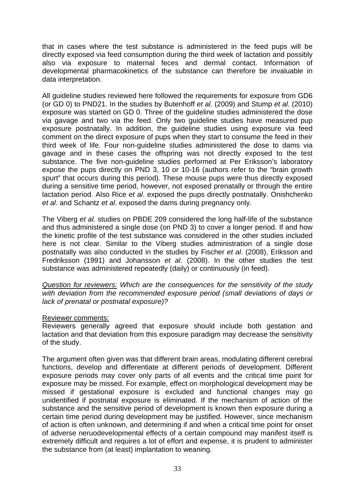that in cases where the test substance is administered in the feed pups will be directly exposed via feed consumption during the third week of lactation and possibly also via exposure to maternal feces and dermal contact. Information of developmental pharmacokinetics of the substance can therefore be invaluable in data interpretation.

All guideline studies reviewed here followed the requirements for exposure from GD6 (or GD 0) to PND21. In the studies by Butenhoff *et al.* (2009) and Stump *et al.* (2010) exposure was started on GD 0. Three of the guideline studies administered the dose via gavage and two via the feed. Only two guideline studies have measured pup exposure postnatally. In addition, the guideline studies using exposure via feed comment on the direct exposure of pups when they start to consume the feed in their third week of life. Four non-guideline studies administered the dose to dams via gavage and in these cases the offspring was not directly exposed to the test substance. The five non-guideline studies performed at Per Eriksson's laboratory expose the pups directly on PND 3, 10 or 10-16 (authors refer to the "brain growth spurt" that occurs during this period). These mouse pups were thus directly exposed during a sensitive time period, however, not exposed prenatally or through the entire lactation period. Also Rice *et al*. exposed the pups directly postnatally. Onishchenko *et al*. and Schantz *et al*. exposed the dams during pregnancy only.

The Viberg *et al.* studies on PBDE 209 considered the long half-life of the substance and thus administered a single dose (on PND 3) to cover a longer period. If and how the kinetic profile of the test substance was considered in the other studies included here is not clear. Similar to the Viberg studies administration of a single dose postnatally was also conducted in the studies by Fischer *et al*. (2008), Eriksson and Fredriksson (1991) and Johansson *et al*. (2008). In the other studies the test substance was administered repeatedly (daily) or continuously (in feed).

*Question for reviewers: Which are the consequences for the sensitivity of the study with deviation from the recommended exposure period (small deviations of days or lack of prenatal or postnatal exposure)?* 

# Reviewer comments:

Reviewers generally agreed that exposure should include both gestation and lactation and that deviation from this exposure paradigm may decrease the sensitivity of the study.

The argument often given was that different brain areas, modulating different cerebral functions, develop and differentiate at different periods of development. Different exposure periods may cover only parts of all events and the critical time point for exposure may be missed. For example, effect on morphological development may be missed if gestational exposure is excluded and functional changes may go unidentified if postnatal exposure is eliminated. If the mechanism of action of the substance and the sensitive period of development is known then exposure during a certain time period during development may be justified. However, since mechanism of action is often unknown, and determining if and when a critical time point for onset of adverse neruodevelopmental effects of a certain compound may manifest itself is extremely difficult and requires a lot of effort and expense, it is prudent to administer the substance from (at least) implantation to weaning.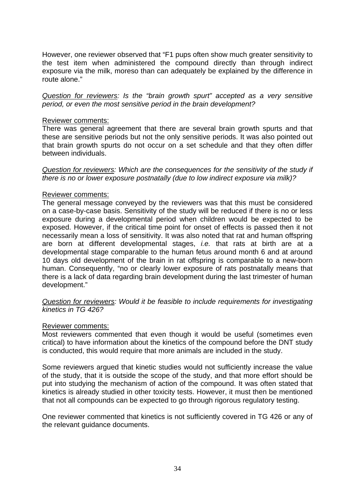However, one reviewer observed that "F1 pups often show much greater sensitivity to the test item when administered the compound directly than through indirect exposure via the milk, moreso than can adequately be explained by the difference in route alone."

*Question for reviewers: Is the "brain growth spurt" accepted as a very sensitive period, or even the most sensitive period in the brain development?* 

#### Reviewer comments:

There was general agreement that there are several brain growth spurts and that these are sensitive periods but not the only sensitive periods. It was also pointed out that brain growth spurts do not occur on a set schedule and that they often differ between individuals.

*Question for reviewers: Which are the consequences for the sensitivity of the study if there is no or lower exposure postnatally (due to low indirect exposure via milk)?* 

#### Reviewer comments:

The general message conveyed by the reviewers was that this must be considered on a case-by-case basis. Sensitivity of the study will be reduced if there is no or less exposure during a developmental period when children would be expected to be exposed. However, if the critical time point for onset of effects is passed then it not necessarily mean a loss of sensitivity. It was also noted that rat and human offspring are born at different developmental stages, *i.e.* that rats at birth are at a developmental stage comparable to the human fetus around month 6 and at around 10 days old development of the brain in rat offspring is comparable to a new-born human. Consequently, "no or clearly lower exposure of rats postnatally means that there is a lack of data regarding brain development during the last trimester of human development."

*Question for reviewers: Would it be feasible to include requirements for investigating kinetics in TG 426?* 

#### Reviewer comments:

Most reviewers commented that even though it would be useful (sometimes even critical) to have information about the kinetics of the compound before the DNT study is conducted, this would require that more animals are included in the study.

Some reviewers argued that kinetic studies would not sufficiently increase the value of the study, that it is outside the scope of the study, and that more effort should be put into studying the mechanism of action of the compound. It was often stated that kinetics is already studied in other toxicity tests. However, it must then be mentioned that not all compounds can be expected to go through rigorous regulatory testing.

One reviewer commented that kinetics is not sufficiently covered in TG 426 or any of the relevant guidance documents.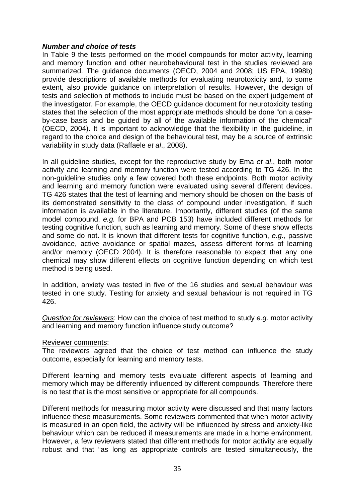# *Number and choice of tests*

In Table 9 the tests performed on the model compounds for motor activity, learning and memory function and other neurobehavioural test in the studies reviewed are summarized. The guidance documents (OECD, 2004 and 2008; US EPA, 1998b) provide descriptions of available methods for evaluating neurotoxicity and, to some extent, also provide guidance on interpretation of results. However, the design of tests and selection of methods to include must be based on the expert judgement of the investigator. For example, the OECD guidance document for neurotoxicity testing states that the selection of the most appropriate methods should be done "on a caseby-case basis and be guided by all of the available information of the chemical" (OECD, 2004). It is important to acknowledge that the flexibility in the guideline, in regard to the choice and design of the behavioural test, may be a source of extrinsic variability in study data (Raffaele *et al*., 2008).

In all guideline studies, except for the reproductive study by Ema *et al*., both motor activity and learning and memory function were tested according to TG 426. In the non-guideline studies only a few covered both these endpoints. Both motor activity and learning and memory function were evaluated using several different devices. TG 426 states that the test of learning and memory should be chosen on the basis of its demonstrated sensitivity to the class of compound under investigation, if such information is available in the literature. Importantly, different studies (of the same model compound, *e.g.* for BPA and PCB 153) have included different methods for testing cognitive function, such as learning and memory. Some of these show effects and some do not. It is known that different tests for cognitive function, *e.g.*, passive avoidance, active avoidance or spatial mazes, assess different forms of learning and/or memory (OECD 2004). It is therefore reasonable to expect that any one chemical may show different effects on cognitive function depending on which test method is being used.

In addition, anxiety was tested in five of the 16 studies and sexual behaviour was tested in one study. Testing for anxiety and sexual behaviour is not required in TG 426.

*Question for reviewers*: How can the choice of test method to study *e.g.* motor activity and learning and memory function influence study outcome?

#### Reviewer comments:

The reviewers agreed that the choice of test method can influence the study outcome, especially for learning and memory tests.

Different learning and memory tests evaluate different aspects of learning and memory which may be differently influenced by different compounds. Therefore there is no test that is the most sensitive or appropriate for all compounds.

Different methods for measuring motor activity were discussed and that many factors influence these measurements. Some reviewers commented that when motor activity is measured in an open field, the activity will be influenced by stress and anxiety-like behaviour which can be reduced if measurements are made in a home environment. However, a few reviewers stated that different methods for motor activity are equally robust and that "as long as appropriate controls are tested simultaneously, the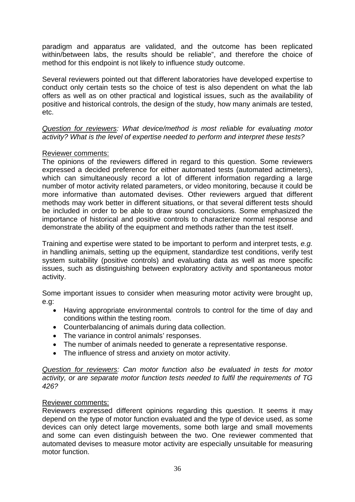paradigm and apparatus are validated, and the outcome has been replicated within/between labs, the results should be reliable", and therefore the choice of method for this endpoint is not likely to influence study outcome.

Several reviewers pointed out that different laboratories have developed expertise to conduct only certain tests so the choice of test is also dependent on what the lab offers as well as on other practical and logistical issues, such as the availability of positive and historical controls, the design of the study, how many animals are tested, etc.

*Question for reviewers: What device/method is most reliable for evaluating motor activity? What is the level of expertise needed to perform and interpret these tests?* 

# Reviewer comments:

The opinions of the reviewers differed in regard to this question. Some reviewers expressed a decided preference for either automated tests (automated actimeters), which can simultaneously record a lot of different information regarding a large number of motor activity related parameters, or video monitoring, because it could be more informative than automated devises. Other reviewers argued that different methods may work better in different situations, or that several different tests should be included in order to be able to draw sound conclusions. Some emphasized the importance of historical and positive controls to characterize normal response and demonstrate the ability of the equipment and methods rather than the test itself.

Training and expertise were stated to be important to perform and interpret tests, *e.g.* in handling animals, setting up the equipment, standardize test conditions, verify test system suitability (positive controls) and evaluating data as well as more specific issues, such as distinguishing between exploratory activity and spontaneous motor activity.

Some important issues to consider when measuring motor activity were brought up, e.g:

- Having appropriate environmental controls to control for the time of day and conditions within the testing room.
- Counterbalancing of animals during data collection.
- The variance in control animals' responses.
- The number of animals needed to generate a representative response.
- The influence of stress and anxiety on motor activity.

*Question for reviewers: Can motor function also be evaluated in tests for motor activity, or are separate motor function tests needed to fulfil the requirements of TG 426?* 

## Reviewer comments:

Reviewers expressed different opinions regarding this question. It seems it may depend on the type of motor function evaluated and the type of device used, as some devices can only detect large movements, some both large and small movements and some can even distinguish between the two. One reviewer commented that automated devises to measure motor activity are especially unsuitable for measuring motor function.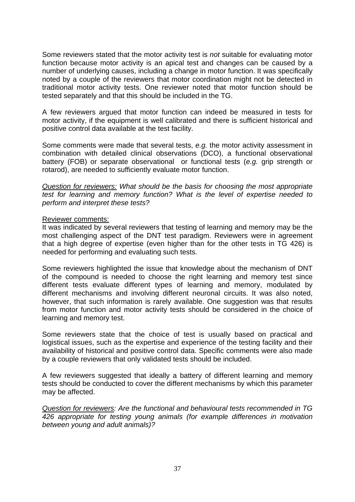Some reviewers stated that the motor activity test is *not* suitable for evaluating motor function because motor activity is an apical test and changes can be caused by a number of underlying causes, including a change in motor function. It was specifically noted by a couple of the reviewers that motor coordination might not be detected in traditional motor activity tests. One reviewer noted that motor function should be tested separately and that this should be included in the TG.

A few reviewers argued that motor function can indeed be measured in tests for motor activity, if the equipment is well calibrated and there is sufficient historical and positive control data available at the test facility.

Some comments were made that several tests, *e.g.* the motor activity assessment in combination with detailed clinical observations (DCO), a functional observational battery (FOB) or separate observational or functional tests (*e.g.* grip strength or rotarod), are needed to sufficiently evaluate motor function.

*Question for reviewers: What should be the basis for choosing the most appropriate test for learning and memory function? What is the level of expertise needed to perform and interpret these tests?* 

## Reviewer comments:

It was indicated by several reviewers that testing of learning and memory may be the most challenging aspect of the DNT test paradigm. Reviewers were in agreement that a high degree of expertise (even higher than for the other tests in TG 426) is needed for performing and evaluating such tests.

Some reviewers highlighted the issue that knowledge about the mechanism of DNT of the compound is needed to choose the right learning and memory test since different tests evaluate different types of learning and memory, modulated by different mechanisms and involving different neuronal circuits. It was also noted, however, that such information is rarely available. One suggestion was that results from motor function and motor activity tests should be considered in the choice of learning and memory test.

Some reviewers state that the choice of test is usually based on practical and logistical issues, such as the expertise and experience of the testing facility and their availability of historical and positive control data. Specific comments were also made by a couple reviewers that only validated tests should be included.

A few reviewers suggested that ideally a battery of different learning and memory tests should be conducted to cover the different mechanisms by which this parameter may be affected.

*Question for reviewers: Are the functional and behavioural tests recommended in TG 426 appropriate for testing young animals (for example differences in motivation between young and adult animals)?*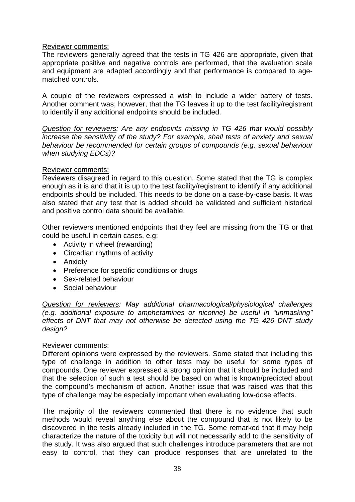## Reviewer comments:

The reviewers generally agreed that the tests in TG 426 are appropriate, given that appropriate positive and negative controls are performed, that the evaluation scale and equipment are adapted accordingly and that performance is compared to agematched controls.

A couple of the reviewers expressed a wish to include a wider battery of tests. Another comment was, however, that the TG leaves it up to the test facility/registrant to identify if any additional endpoints should be included.

*Question for reviewers: Are any endpoints missing in TG 426 that would possibly increase the sensitivity of the study? For example, shall tests of anxiety and sexual behaviour be recommended for certain groups of compounds (e.g. sexual behaviour when studying EDCs)?* 

## Reviewer comments:

Reviewers disagreed in regard to this question. Some stated that the TG is complex enough as it is and that it is up to the test facility/registrant to identify if any additional endpoints should be included. This needs to be done on a case-by-case basis. It was also stated that any test that is added should be validated and sufficient historical and positive control data should be available.

Other reviewers mentioned endpoints that they feel are missing from the TG or that could be useful in certain cases, e.g:

- Activity in wheel (rewarding)
- Circadian rhythms of activity
- Anxiety
- Preference for specific conditions or drugs
- Sex-related behaviour
- Social behaviour

*Question for reviewers: May additional pharmacological/physiological challenges (e.g. additional exposure to amphetamines or nicotine) be useful in "unmasking" effects of DNT that may not otherwise be detected using the TG 426 DNT study design?* 

## Reviewer comments:

Different opinions were expressed by the reviewers. Some stated that including this type of challenge in addition to other tests may be useful for some types of compounds. One reviewer expressed a strong opinion that it should be included and that the selection of such a test should be based on what is known/predicted about the compound's mechanism of action. Another issue that was raised was that this type of challenge may be especially important when evaluating low-dose effects.

The majority of the reviewers commented that there is no evidence that such methods would reveal anything else about the compound that is not likely to be discovered in the tests already included in the TG. Some remarked that it may help characterize the nature of the toxicity but will not necessarily add to the sensitivity of the study. It was also argued that such challenges introduce parameters that are not easy to control, that they can produce responses that are unrelated to the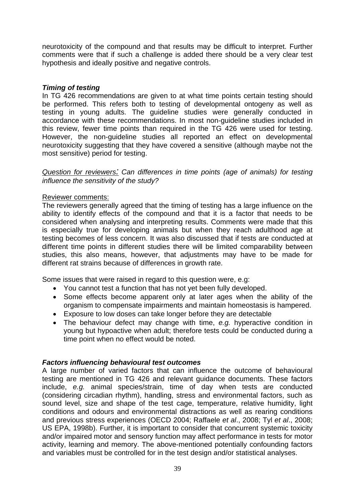neurotoxicity of the compound and that results may be difficult to interpret. Further comments were that if such a challenge is added there should be a very clear test hypothesis and ideally positive and negative controls.

# *Timing of testing*

In TG 426 recommendations are given to at what time points certain testing should be performed. This refers both to testing of developmental ontogeny as well as testing in young adults. The guideline studies were generally conducted in accordance with these recommendations. In most non-guideline studies included in this review, fewer time points than required in the TG 426 were used for testing. However, the non-guideline studies all reported an effect on developmental neurotoxicity suggesting that they have covered a sensitive (although maybe not the most sensitive) period for testing.

*Question for reviewers: Can differences in time points (age of animals) for testing influence the sensitivity of the study?* 

# Reviewer comments:

The reviewers generally agreed that the timing of testing has a large influence on the ability to identify effects of the compound and that it is a factor that needs to be considered when analysing and interpreting results. Comments were made that this is especially true for developing animals but when they reach adulthood age at testing becomes of less concern. It was also discussed that if tests are conducted at different time points in different studies there will be limited comparability between studies, this also means, however, that adjustments may have to be made for different rat strains because of differences in growth rate.

Some issues that were raised in regard to this question were, e.g:

- You cannot test a function that has not yet been fully developed.
- Some effects become apparent only at later ages when the ability of the organism to compensate impairments and maintain homeostasis is hampered.
- Exposure to low doses can take longer before they are detectable
- The behaviour defect may change with time, *e.g.* hyperactive condition in young but hypoactive when adult; therefore tests could be conducted during a time point when no effect would be noted.

## *Factors influencing behavioural test outcomes*

A large number of varied factors that can influence the outcome of behavioural testing are mentioned in TG 426 and relevant guidance documents. These factors include, *e.g.* animal species/strain, time of day when tests are conducted (considering circadian rhythm), handling, stress and environmental factors, such as sound level, size and shape of the test cage, temperature, relative humidity, light conditions and odours and environmental distractions as well as rearing conditions and previous stress experiences (OECD 2004; Raffaele *et al*., 2008; Tyl *et al*., 2008; US EPA, 1998b). Further, it is important to consider that concurrent systemic toxicity and/or impaired motor and sensory function may affect performance in tests for motor activity, learning and memory. The above-mentioned potentially confounding factors and variables must be controlled for in the test design and/or statistical analyses.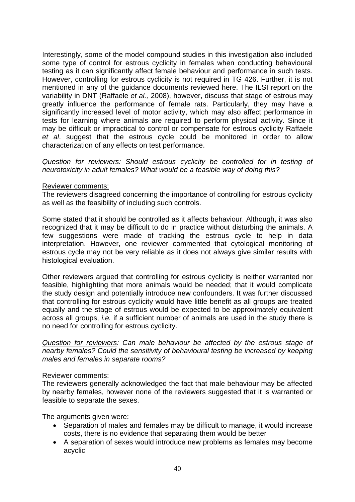Interestingly, some of the model compound studies in this investigation also included some type of control for estrous cyclicity in females when conducting behavioural testing as it can significantly affect female behaviour and performance in such tests. However, controlling for estrous cyclicity is not required in TG 426. Further, it is not mentioned in any of the guidance documents reviewed here. The ILSI report on the variability in DNT (Raffaele *et al.,* 2008), however, discuss that stage of estrous may greatly influence the performance of female rats. Particularly, they may have a significantly increased level of motor activity, which may also affect performance in tests for learning where animals are required to perform physical activity. Since it may be difficult or impractical to control or compensate for estrous cyclicity Raffaele *et al*. suggest that the estrous cycle could be monitored in order to allow characterization of any effects on test performance.

*Question for reviewers: Should estrous cyclicity be controlled for in testing of neurotoxicity in adult females? What would be a feasible way of doing this?* 

#### Reviewer comments:

The reviewers disagreed concerning the importance of controlling for estrous cyclicity as well as the feasibility of including such controls.

Some stated that it should be controlled as it affects behaviour. Although, it was also recognized that it may be difficult to do in practice without disturbing the animals. A few suggestions were made of tracking the estrous cycle to help in data interpretation. However, one reviewer commented that cytological monitoring of estrous cycle may not be very reliable as it does not always give similar results with histological evaluation.

Other reviewers argued that controlling for estrous cyclicity is neither warranted nor feasible, highlighting that more animals would be needed; that it would complicate the study design and potentially introduce new confounders. It was further discussed that controlling for estrous cyclicity would have little benefit as all groups are treated equally and the stage of estrous would be expected to be approximately equivalent across all groups, *i.e.* if a sufficient number of animals are used in the study there is no need for controlling for estrous cyclicity.

*Question for reviewers: Can male behaviour be affected by the estrous stage of nearby females? Could the sensitivity of behavioural testing be increased by keeping males and females in separate rooms?* 

#### Reviewer comments:

The reviewers generally acknowledged the fact that male behaviour may be affected by nearby females, however none of the reviewers suggested that it is warranted or feasible to separate the sexes.

The arguments given were:

- Separation of males and females may be difficult to manage, it would increase costs, there is no evidence that separating them would be better
- A separation of sexes would introduce new problems as females may become acyclic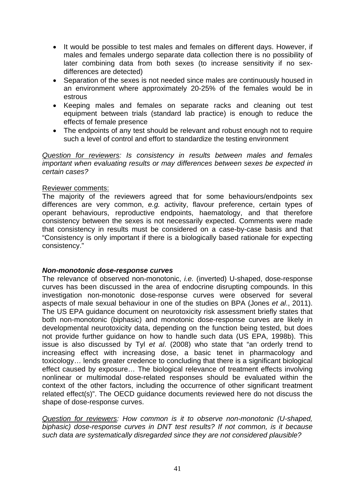- It would be possible to test males and females on different days. However, if males and females undergo separate data collection there is no possibility of later combining data from both sexes (to increase sensitivity if no sexdifferences are detected)
- Separation of the sexes is not needed since males are continuously housed in an environment where approximately 20-25% of the females would be in estrous
- Keeping males and females on separate racks and cleaning out test equipment between trials (standard lab practice) is enough to reduce the effects of female presence
- The endpoints of any test should be relevant and robust enough not to require such a level of control and effort to standardize the testing environment

*Question for reviewers: Is consistency in results between males and females important when evaluating results or may differences between sexes be expected in certain cases?* 

## Reviewer comments:

The majority of the reviewers agreed that for some behaviours/endpoints sex differences are very common, *e.g.* activity, flavour preference, certain types of operant behaviours, reproductive endpoints, haematology, and that therefore consistency between the sexes is not necessarily expected. Comments were made that consistency in results must be considered on a case-by-case basis and that "Consistency is only important if there is a biologically based rationale for expecting consistency."

## *Non-monotonic dose-response curves*

The relevance of observed non-monotonic, *i.e.* (inverted) U-shaped, dose-response curves has been discussed in the area of endocrine disrupting compounds. In this investigation non-monotonic dose-response curves were observed for several aspects of male sexual behaviour in one of the studies on BPA (Jones *et al*., 2011). The US EPA guidance document on neurotoxicity risk assessment briefly states that both non-monotonic (biphasic) and monotonic dose-response curves are likely in developmental neurotoxicity data, depending on the function being tested, but does not provide further guidance on how to handle such data (US EPA, 1998b). This issue is also discussed by Tyl *et al*. (2008) who state that "an orderly trend to increasing effect with increasing dose, a basic tenet in pharmacology and toxicology… lends greater credence to concluding that there is a significant biological effect caused by exposure… The biological relevance of treatment effects involving nonlinear or multimodal dose-related responses should be evaluated within the context of the other factors, including the occurrence of other significant treatment related effect(s)". The OECD guidance documents reviewed here do not discuss the shape of dose-response curves.

*Question for reviewers: How common is it to observe non-monotonic (U-shaped, biphasic) dose-response curves in DNT test results? If not common, is it because such data are systematically disregarded since they are not considered plausible?*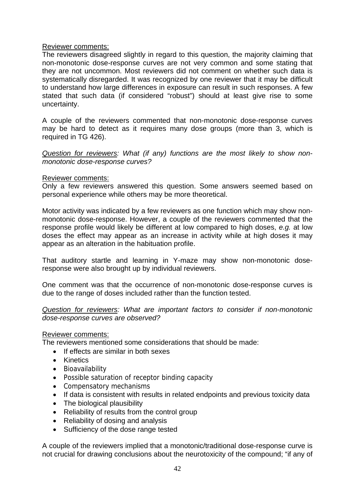## Reviewer comments:

The reviewers disagreed slightly in regard to this question, the majority claiming that non-monotonic dose-response curves are not very common and some stating that they are not uncommon. Most reviewers did not comment on whether such data is systematically disregarded. It was recognized by one reviewer that it may be difficult to understand how large differences in exposure can result in such responses. A few stated that such data (if considered "robust") should at least give rise to some uncertainty.

A couple of the reviewers commented that non-monotonic dose-response curves may be hard to detect as it requires many dose groups (more than 3, which is required in TG 426).

*Question for reviewers: What (if any) functions are the most likely to show nonmonotonic dose-response curves?* 

#### Reviewer comments:

Only a few reviewers answered this question. Some answers seemed based on personal experience while others may be more theoretical.

Motor activity was indicated by a few reviewers as one function which may show nonmonotonic dose-response. However, a couple of the reviewers commented that the response profile would likely be different at low compared to high doses, *e.g.* at low doses the effect may appear as an increase in activity while at high doses it may appear as an alteration in the habituation profile.

That auditory startle and learning in Y-maze may show non-monotonic doseresponse were also brought up by individual reviewers.

One comment was that the occurrence of non-monotonic dose-response curves is due to the range of doses included rather than the function tested.

*Question for reviewers: What are important factors to consider if non-monotonic dose-response curves are observed?* 

## Reviewer comments:

The reviewers mentioned some considerations that should be made:

- If effects are similar in both sexes
- Kinetics
- Bioavailability
- Possible saturation of receptor binding capacity
- Compensatory mechanisms
- If data is consistent with results in related endpoints and previous toxicity data
- The biological plausibility
- Reliability of results from the control group
- Reliability of dosing and analysis
- Sufficiency of the dose range tested

A couple of the reviewers implied that a monotonic/traditional dose-response curve is not crucial for drawing conclusions about the neurotoxicity of the compound; "if any of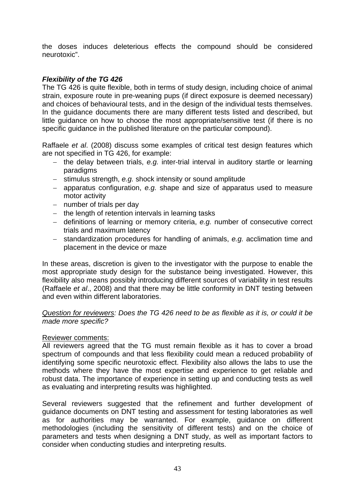the doses induces deleterious effects the compound should be considered neurotoxic".

# *Flexibility of the TG 426*

The TG 426 is quite flexible, both in terms of study design, including choice of animal strain, exposure route in pre-weaning pups (if direct exposure is deemed necessary) and choices of behavioural tests, and in the design of the individual tests themselves. In the guidance documents there are many different tests listed and described, but little guidance on how to choose the most appropriate/sensitive test (if there is no specific quidance in the published literature on the particular compound).

Raffaele *et al*. (2008) discuss some examples of critical test design features which are not specified in TG 426, for example:

- the delay between trials, e.g. inter-trial interval in auditory startle or learning paradigms
- stimulus strength, *e.g.* shock intensity or sound amplitude
- apparatus configuration, *e.g.* shape and size of apparatus used to measure motor activity
- $-$  number of trials per day
- $-$  the length of retention intervals in learning tasks
- definitions of learning or memory criteria, *e.g.* number of consecutive correct trials and maximum latency
- standardization procedures for handling of animals, *e.g.* acclimation time and placement in the device or maze

In these areas, discretion is given to the investigator with the purpose to enable the most appropriate study design for the substance being investigated. However, this flexibility also means possibly introducing different sources of variability in test results (Raffaele *et al*., 2008) and that there may be little conformity in DNT testing between and even within different laboratories.

*Question for reviewers: Does the TG 426 need to be as flexible as it is, or could it be made more specific?* 

## Reviewer comments:

All reviewers agreed that the TG must remain flexible as it has to cover a broad spectrum of compounds and that less flexibility could mean a reduced probability of identifying some specific neurotoxic effect. Flexibility also allows the labs to use the methods where they have the most expertise and experience to get reliable and robust data. The importance of experience in setting up and conducting tests as well as evaluating and interpreting results was highlighted.

Several reviewers suggested that the refinement and further development of guidance documents on DNT testing and assessment for testing laboratories as well as for authorities may be warranted. For example, guidance on different methodologies (including the sensitivity of different tests) and on the choice of parameters and tests when designing a DNT study, as well as important factors to consider when conducting studies and interpreting results.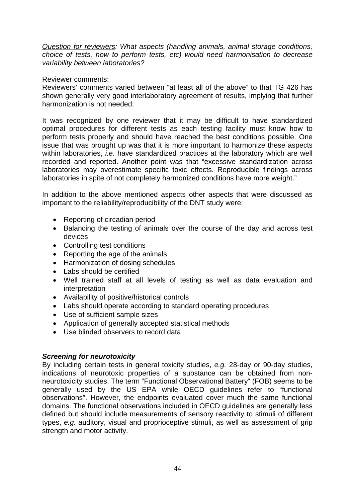*Question for reviewers: What aspects (handling animals, animal storage conditions, choice of tests, how to perform tests, etc) would need harmonisation to decrease variability between laboratories?* 

## Reviewer comments:

Reviewers' comments varied between "at least all of the above" to that TG 426 has shown generally very good interlaboratory agreement of results, implying that further harmonization is not needed.

It was recognized by one reviewer that it may be difficult to have standardized optimal procedures for different tests as each testing facility must know how to perform tests properly and should have reached the best conditions possible. One issue that was brought up was that it is more important to harmonize these aspects within laboratories, *i.e.* have standardized practices at the laboratory which are well recorded and reported. Another point was that "excessive standardization across laboratories may overestimate specific toxic effects. Reproducible findings across laboratories in spite of not completely harmonized conditions have more weight."

In addition to the above mentioned aspects other aspects that were discussed as important to the reliability/reproducibility of the DNT study were:

- Reporting of circadian period
- Balancing the testing of animals over the course of the day and across test devices
- Controlling test conditions
- Reporting the age of the animals
- Harmonization of dosing schedules
- Labs should be certified
- Well trained staff at all levels of testing as well as data evaluation and interpretation
- Availability of positive/historical controls
- Labs should operate according to standard operating procedures
- Use of sufficient sample sizes
- Application of generally accepted statistical methods
- Use blinded observers to record data

## *Screening for neurotoxicity*

By including certain tests in general toxicity studies, *e.g.* 28-day or 90-day studies, indications of neurotoxic properties of a substance can be obtained from nonneurotoxicity studies. The term "Functional Observational Battery" (FOB) seems to be generally used by the US EPA while OECD guidelines refer to "functional observations". However, the endpoints evaluated cover much the same functional domains. The functional observations included in OECD guidelines are generally less defined but should include measurements of sensory reactivity to stimuli of different types, *e.g.* auditory, visual and proprioceptive stimuli, as well as assessment of grip strength and motor activity.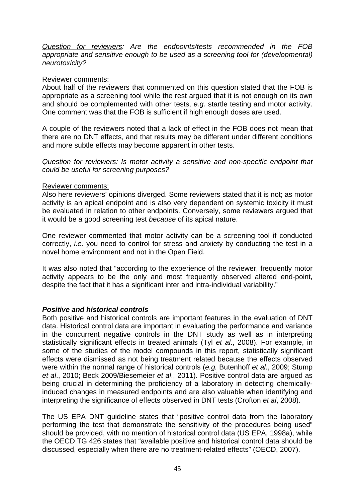*Question for reviewers: Are the endpoints/tests recommended in the FOB appropriate and sensitive enough to be used as a screening tool for (developmental) neurotoxicity?* 

## Reviewer comments:

About half of the reviewers that commented on this question stated that the FOB is appropriate as a screening tool while the rest argued that it is not enough on its own and should be complemented with other tests, *e.g.* startle testing and motor activity. One comment was that the FOB is sufficient if high enough doses are used.

A couple of the reviewers noted that a lack of effect in the FOB does not mean that there are no DNT effects, and that results may be different under different conditions and more subtle effects may become apparent in other tests.

*Question for reviewers: Is motor activity a sensitive and non-specific endpoint that could be useful for screening purposes?* 

## Reviewer comments:

Also here reviewers' opinions diverged. Some reviewers stated that it is not; as motor activity is an apical endpoint and is also very dependent on systemic toxicity it must be evaluated in relation to other endpoints. Conversely, some reviewers argued that it would be a good screening test *because* of its apical nature.

One reviewer commented that motor activity can be a screening tool if conducted correctly, *i.e.* you need to control for stress and anxiety by conducting the test in a novel home environment and not in the Open Field.

It was also noted that "according to the experience of the reviewer, frequently motor activity appears to be the only and most frequently observed altered end-point, despite the fact that it has a significant inter and intra-individual variability."

# *Positive and historical controls*

Both positive and historical controls are important features in the evaluation of DNT data. Historical control data are important in evaluating the performance and variance in the concurrent negative controls in the DNT study as well as in interpreting statistically significant effects in treated animals (Tyl *et al*., 2008). For example, in some of the studies of the model compounds in this report, statistically significant effects were dismissed as not being treatment related because the effects observed were within the normal range of historical controls (*e.g.* Butenhoff *et al*., 2009; Stump *et al*., 2010; Beck 2009/Biesemeier *et al*., 2011). Positive control data are argued as being crucial in determining the proficiency of a laboratory in detecting chemicallyinduced changes in measured endpoints and are also valuable when identifying and interpreting the significance of effects observed in DNT tests (Crofton *et al*, 2008).

The US EPA DNT guideline states that "positive control data from the laboratory performing the test that demonstrate the sensitivity of the procedures being used" should be provided, with no mention of historical control data (US EPA, 1998a), while the OECD TG 426 states that "available positive and historical control data should be discussed, especially when there are no treatment-related effects" (OECD, 2007).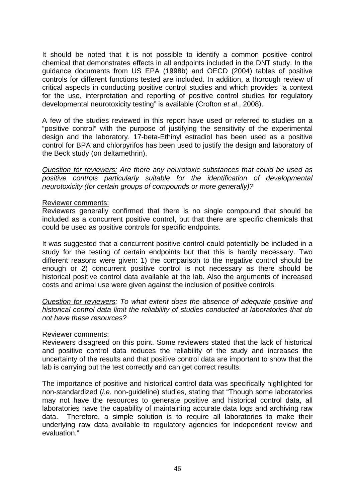It should be noted that it is not possible to identify a common positive control chemical that demonstrates effects in all endpoints included in the DNT study. In the guidance documents from US EPA (1998b) and OECD (2004) tables of positive controls for different functions tested are included. In addition, a thorough review of critical aspects in conducting positive control studies and which provides "a context for the use, interpretation and reporting of positive control studies for regulatory developmental neurotoxicity testing" is available (Crofton *et al*., 2008).

A few of the studies reviewed in this report have used or referred to studies on a "positive control" with the purpose of justifying the sensitivity of the experimental design and the laboratory. 17-beta-Ethinyl estradiol has been used as a positive control for BPA and chlorpyrifos has been used to justify the design and laboratory of the Beck study (on deltamethrin).

*Question for reviewers: Are there any neurotoxic substances that could be used as positive controls particularly suitable for the identification of developmental neurotoxicity (for certain groups of compounds or more generally)?* 

#### Reviewer comments:

Reviewers generally confirmed that there is no single compound that should be included as a concurrent positive control, but that there are specific chemicals that could be used as positive controls for specific endpoints.

It was suggested that a concurrent positive control could potentially be included in a study for the testing of certain endpoints but that this is hardly necessary. Two different reasons were given: 1) the comparison to the negative control should be enough or 2) concurrent positive control is not necessary as there should be historical positive control data available at the lab. Also the arguments of increased costs and animal use were given against the inclusion of positive controls.

*Question for reviewers: To what extent does the absence of adequate positive and historical control data limit the reliability of studies conducted at laboratories that do not have these resources?* 

## Reviewer comments:

Reviewers disagreed on this point. Some reviewers stated that the lack of historical and positive control data reduces the reliability of the study and increases the uncertainty of the results and that positive control data are important to show that the lab is carrying out the test correctly and can get correct results.

The importance of positive and historical control data was specifically highlighted for non-standardized (*i.e.* non-guideline) studies, stating that "Though some laboratories may not have the resources to generate positive and historical control data, all laboratories have the capability of maintaining accurate data logs and archiving raw data. Therefore, a simple solution is to require all laboratories to make their underlying raw data available to regulatory agencies for independent review and evaluation."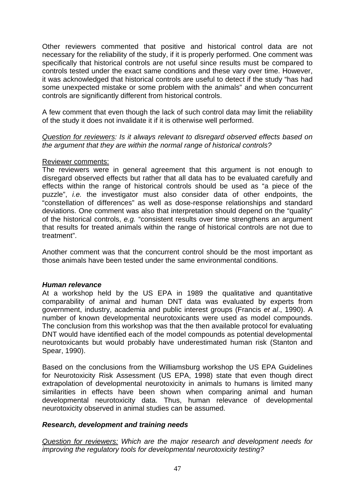Other reviewers commented that positive and historical control data are not necessary for the reliability of the study, if it is properly performed. One comment was specifically that historical controls are not useful since results must be compared to controls tested under the exact same conditions and these vary over time. However, it was acknowledged that historical controls are useful to detect if the study "has had some unexpected mistake or some problem with the animals" and when concurrent controls are significantly different from historical controls.

A few comment that even though the lack of such control data may limit the reliability of the study it does not invalidate it if it is otherwise well performed.

*Question for reviewers: Is it always relevant to disregard observed effects based on the argument that they are within the normal range of historical controls?* 

## Reviewer comments:

The reviewers were in general agreement that this argument is not enough to disregard observed effects but rather that all data has to be evaluated carefully and effects within the range of historical controls should be used as "a piece of the puzzle", *i.e.* the investigator must also consider data of other endpoints, the "constellation of differences" as well as dose-response relationships and standard deviations. One comment was also that interpretation should depend on the "quality" of the historical controls, *e.g.* "consistent results over time strengthens an argument that results for treated animals within the range of historical controls are not due to treatment".

Another comment was that the concurrent control should be the most important as those animals have been tested under the same environmental conditions.

#### *Human relevance*

At a workshop held by the US EPA in 1989 the qualitative and quantitative comparability of animal and human DNT data was evaluated by experts from government, industry, academia and public interest groups (Francis *et al*., 1990). A number of known developmental neurotoxicants were used as model compounds. The conclusion from this workshop was that the then available protocol for evaluating DNT would have identified each of the model compounds as potential developmental neurotoxicants but would probably have underestimated human risk (Stanton and Spear, 1990).

Based on the conclusions from the Williamsburg workshop the US EPA Guidelines for Neurotoxicity Risk Assessment (US EPA, 1998) state that even though direct extrapolation of developmental neurotoxicity in animals to humans is limited many similarities in effects have been shown when comparing animal and human developmental neurotoxicity data. Thus, human relevance of developmental neurotoxicity observed in animal studies can be assumed.

## *Research, development and training needs*

*Question for reviewers: Which are the major research and development needs for improving the regulatory tools for developmental neurotoxicity testing?*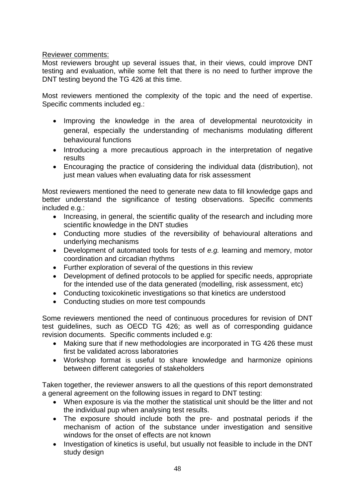# Reviewer comments:

Most reviewers brought up several issues that, in their views, could improve DNT testing and evaluation, while some felt that there is no need to further improve the DNT testing beyond the TG 426 at this time.

Most reviewers mentioned the complexity of the topic and the need of expertise. Specific comments included eg.:

- Improving the knowledge in the area of developmental neurotoxicity in general, especially the understanding of mechanisms modulating different behavioural functions
- Introducing a more precautious approach in the interpretation of negative results
- Encouraging the practice of considering the individual data (distribution), not just mean values when evaluating data for risk assessment

Most reviewers mentioned the need to generate new data to fill knowledge gaps and better understand the significance of testing observations. Specific comments included e.g.:

- Increasing, in general, the scientific quality of the research and including more scientific knowledge in the DNT studies
- Conducting more studies of the reversibility of behavioural alterations and underlying mechanisms
- Development of automated tools for tests of *e.g.* learning and memory, motor coordination and circadian rhythms
- Further exploration of several of the questions in this review
- Development of defined protocols to be applied for specific needs, appropriate for the intended use of the data generated (modelling, risk assessment, etc)
- Conducting toxicokinetic investigations so that kinetics are understood
- Conducting studies on more test compounds

Some reviewers mentioned the need of continuous procedures for revision of DNT test guidelines, such as OECD TG 426; as well as of corresponding guidance revision documents. Specific comments included e.g:

- Making sure that if new methodologies are incorporated in TG 426 these must first be validated across laboratories
- Workshop format is useful to share knowledge and harmonize opinions between different categories of stakeholders

Taken together, the reviewer answers to all the questions of this report demonstrated a general agreement on the following issues in regard to DNT testing:

- When exposure is via the mother the statistical unit should be the litter and not the individual pup when analysing test results.
- The exposure should include both the pre- and postnatal periods if the mechanism of action of the substance under investigation and sensitive windows for the onset of effects are not known
- Investigation of kinetics is useful, but usually not feasible to include in the DNT study design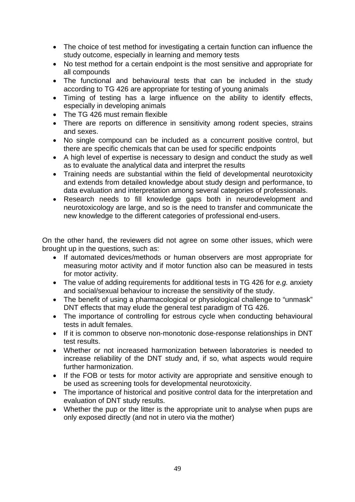- The choice of test method for investigating a certain function can influence the study outcome, especially in learning and memory tests
- No test method for a certain endpoint is the most sensitive and appropriate for all compounds
- The functional and behavioural tests that can be included in the study according to TG 426 are appropriate for testing of young animals
- Timing of testing has a large influence on the ability to identify effects, especially in developing animals
- The TG 426 must remain flexible
- There are reports on difference in sensitivity among rodent species, strains and sexes.
- No single compound can be included as a concurrent positive control, but there are specific chemicals that can be used for specific endpoints
- A high level of expertise is necessary to design and conduct the study as well as to evaluate the analytical data and interpret the results
- Training needs are substantial within the field of developmental neurotoxicity and extends from detailed knowledge about study design and performance, to data evaluation and interpretation among several categories of professionals.
- Research needs to fill knowledge gaps both in neurodevelopment and neurotoxicology are large, and so is the need to transfer and communicate the new knowledge to the different categories of professional end-users.

On the other hand, the reviewers did not agree on some other issues, which were brought up in the questions, such as:

- If automated devices/methods or human observers are most appropriate for measuring motor activity and if motor function also can be measured in tests for motor activity.
- The value of adding requirements for additional tests in TG 426 for *e.g.* anxiety and social/sexual behaviour to increase the sensitivity of the study.
- The benefit of using a pharmacological or physiological challenge to "unmask" DNT effects that may elude the general test paradigm of TG 426.
- The importance of controlling for estrous cycle when conducting behavioural tests in adult females.
- If it is common to observe non-monotonic dose-response relationships in DNT test results.
- Whether or not increased harmonization between laboratories is needed to increase reliability of the DNT study and, if so, what aspects would require further harmonization.
- If the FOB or tests for motor activity are appropriate and sensitive enough to be used as screening tools for developmental neurotoxicity.
- The importance of historical and positive control data for the interpretation and evaluation of DNT study results.
- Whether the pup or the litter is the appropriate unit to analyse when pups are only exposed directly (and not in utero via the mother)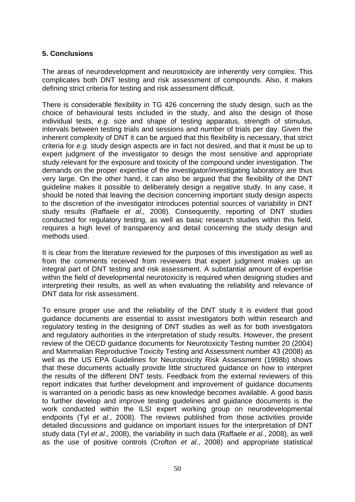# **5. Conclusions**

The areas of neurodevelopment and neurotoxicity are inherently very complex. This complicates both DNT testing and risk assessment of compounds. Also, it makes defining strict criteria for testing and risk assessment difficult.

There is considerable flexibility in TG 426 concerning the study design, such as the choice of behavioural tests included in the study, and also the design of those individual tests, *e.g.* size and shape of testing apparatus, strength of stimulus, intervals between testing trials and sessions and number of trials per day. Given the inherent complexity of DNT it can be argued that this flexibility is necessary, that strict criteria for *e.g.* study design aspects are in fact not desired, and that it must be up to expert judgment of the investigator to design the most sensitive and appropriate study relevant for the exposure and toxicity of the compound under investigation. The demands on the proper expertise of the investigator/investigating laboratory are thus very large. On the other hand, it can also be argued that the flexibility of the DNT guideline makes it possible to deliberately design a negative study. In any case, it should be noted that leaving the decision concerning important study design aspects to the discretion of the investigator introduces potential sources of variability in DNT study results (Raffaele *et al.,* 2008). Consequently, reporting of DNT studies conducted for regulatory testing, as well as basic research studies within this field, requires a high level of transparency and detail concerning the study design and methods used.

It is clear from the literature reviewed for the purposes of this investigation as well as from the comments received from reviewers that expert judgment makes up an integral part of DNT testing and risk assessment. A substantial amount of expertise within the field of developmental neurotoxicity is required when designing studies and interpreting their results, as well as when evaluating the reliability and relevance of DNT data for risk assessment.

To ensure proper use and the reliability of the DNT study it is evident that good guidance documents are essential to assist investigators both within research and regulatory testing in the designing of DNT studies as well as for both investigators and regulatory authorities in the interpretation of study results. However, the present review of the OECD guidance documents for Neurotoxicity Testing number 20 (2004) and Mammalian Reproductive Toxicity Testing and Assessment number 43 (2008) as well as the US EPA Guidelines for Neurotoxicity Risk Assessment (1998b) shows that these documents actually provide little structured guidance on how to interpret the results of the different DNT tests. Feedback from the external reviewers of this report indicates that further development and improvement of guidance documents is warranted on a periodic basis as new knowledge becomes available. A good basis to further develop and improve testing guidelines and guidance documents is the work conducted within the ILSI expert working group on neurodevelopmental endpoints (Tyl *et al*., 2008). The reviews published from those activities provide detailed discussions and guidance on important issues for the interpretation of DNT study data (Tyl *et al*., 2008), the variability in such data (Raffaele *et al*., 2008), as well as the use of positive controls (Crofton *et al*., 2008) and appropriate statistical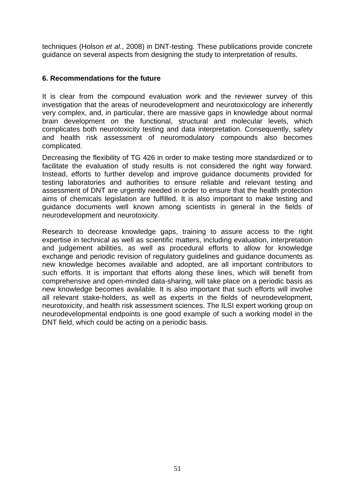techniques (Holson *et al*., 2008) in DNT-testing. These publications provide concrete guidance on several aspects from designing the study to interpretation of results.

# **6. Recommendations for the future**

It is clear from the compound evaluation work and the reviewer survey of this investigation that the areas of neurodevelopment and neurotoxicology are inherently very complex, and, in particular, there are massive gaps in knowledge about normal brain development on the functional, structural and molecular levels, which complicates both neurotoxicity testing and data interpretation. Consequently, safety and health risk assessment of neuromodulatory compounds also becomes complicated.

Decreasing the flexibility of TG 426 in order to make testing more standardized or to facilitate the evaluation of study results is not considered the right way forward. Instead, efforts to further develop and improve guidance documents provided for testing laboratories and authorities to ensure reliable and relevant testing and assessment of DNT are urgently needed in order to ensure that the health protection aims of chemicals legislation are fulfilled. It is also important to make testing and guidance documents well known among scientists in general in the fields of neurodevelopment and neurotoxicity.

Research to decrease knowledge gaps, training to assure access to the right expertise in technical as well as scientific matters, including evaluation, interpretation and judgement abilities, as well as procedural efforts to allow for knowledge exchange and periodic revision of regulatory guidelines and guidance documents as new knowledge becomes available and adopted, are all important contributors to such efforts. It is important that efforts along these lines, which will benefit from comprehensive and open-minded data-sharing, will take place on a periodic basis as new knowledge becomes available. It is also important that such efforts will involve all relevant stake-holders, as well as experts in the fields of neurodevelopment, neurotoxicity, and health risk assessment sciences. The ILSI expert working group on neurodevelopmental endpoints is one good example of such a working model in the DNT field, which could be acting on a periodic basis.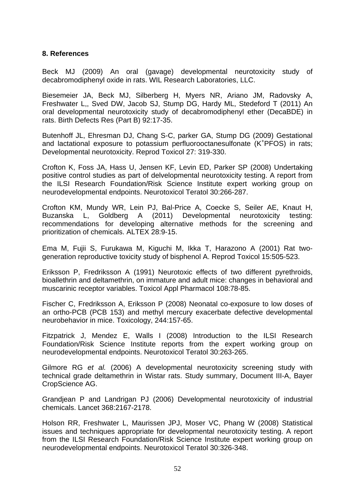# **8. References**

Beck MJ (2009) An oral (gavage) developmental neurotoxicity study of decabromodiphenyl oxide in rats. WIL Research Laboratories, LLC.

Biesemeier JA, Beck MJ, Silberberg H, Myers NR, Ariano JM, Radovsky A, Freshwater L,, Sved DW, Jacob SJ, Stump DG, Hardy ML, Stedeford T (2011) An oral developmental neurotoxicity study of decabromodiphenyl ether (DecaBDE) in rats. Birth Defects Res (Part B) 92:17-35.

Butenhoff JL, Ehresman DJ, Chang S-C, parker GA, Stump DG (2009) Gestational and lactational exposure to potassium perfluorooctanesulfonate (K<sup>+</sup> PFOS) in rats; Developmental neurotoxicity. Reprod Toxicol 27: 319-330.

Crofton K, Foss JA, Hass U, Jensen KF, Levin ED, Parker SP (2008) Undertaking positive control studies as part of delvelopmental neurotoxicity testing. A report from the ILSI Research Foundation/Risk Science Institute expert working group on neurodevelopmental endpoints. Neurotoxicol Teratol 30:266-287.

Crofton KM, Mundy WR, Lein PJ, Bal-Price A, Coecke S, Seiler AE, Knaut H, Buzanska L, Goldberg A (2011) Developmental neurotoxicity testing: recommendations for developing alternative methods for the screening and prioritization of chemicals. ALTEX 28:9-15.

Ema M, Fujii S, Furukawa M, Kiguchi M, Ikka T, Harazono A (2001) Rat twogeneration reproductive toxicity study of bisphenol A. Reprod Toxicol 15:505-523.

Eriksson P, Fredriksson A (1991) Neurotoxic effects of two different pyrethroids, bioallethrin and deltamethrin, on immature and adult mice: changes in behavioral and muscarinic receptor variables. Toxicol Appl Pharmacol 108:78-85.

Fischer C, Fredriksson A, Eriksson P (2008) Neonatal co-exposure to low doses of an ortho-PCB (PCB 153) and methyl mercury exacerbate defective developmental neurobehavior in mice. Toxicology, 244:157-65.

Fitzpatrick J, Mendez E, Walls I (2008) Introduction to the ILSI Research Foundation/Risk Science Institute reports from the expert working group on neurodevelopmental endpoints. Neurotoxicol Teratol 30:263-265.

Gilmore RG *et al.* (2006) A developmental neurotoxicity screening study with technical grade deltamethrin in Wistar rats. Study summary, Document III-A, Bayer CropScience AG.

Grandjean P and Landrigan PJ (2006) Developmental neurotoxicity of industrial chemicals. Lancet 368:2167-2178.

Holson RR, Freshwater L, Maurissen JPJ, Moser VC, Phang W (2008) Statistical issues and techniques appropriate for developmental neurotoxicity testing. A report from the ILSI Research Foundation/Risk Science Institute expert working group on neurodevelopmental endpoints. Neurotoxicol Teratol 30:326-348.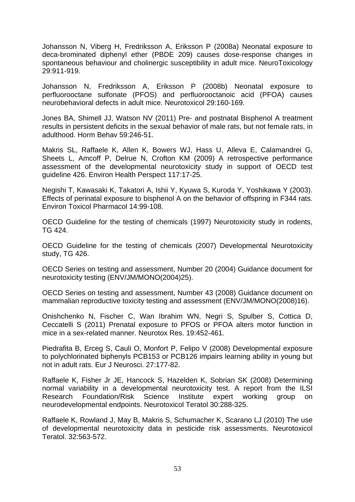Johansson N, Viberg H, Fredriksson A, Eriksson P (2008a) Neonatal exposure to deca-brominated diphenyl ether (PBDE 209) causes dose-response changes in spontaneous behaviour and cholinergic susceptibility in adult mice. NeuroToxicology 29:911-919.

Johansson N, Fredriksson A, Eriksson P (2008b) Neonatal exposure to perfluorooctane sulfonate (PFOS) and perfluorooctanoic acid (PFOA) causes neurobehavioral defects in adult mice. Neurotoxicol 29:160-169.

Jones BA, Shimell JJ, Watson NV (2011) Pre- and postnatal Bisphenol A treatment results in persistent deficits in the sexual behavior of male rats, but not female rats, in adulthood. Horm Behav 59:246-51.

Makris SL, Raffaele K, Allen K, Bowers WJ, Hass U, Alleva E, Calamandrei G, Sheets L, Amcoff P, Delrue N, Crofton KM (2009) A retrospective performance assessment of the developmental neurotoxicity study in support of OECD test guideline 426. Environ Health Perspect 117:17-25.

Negishi T, Kawasaki K, Takatori A, Ishii Y, Kyuwa S, Kuroda Y, Yoshikawa Y (2003). Effects of perinatal exposure to bisphenol A on the behavior of offspring in F344 rats. Environ Toxicol Pharmacol 14:99-108.

OECD Guideline for the testing of chemicals (1997) Neurotoxicity study in rodents, TG 424.

OECD Guideline for the testing of chemicals (2007) Developmental Neurotoxicity study, TG 426.

OECD Series on testing and assessment, Number 20 (2004) Guidance document for neurotoxicity testing (ENV/JM/MONO(2004)25).

OECD Series on testing and assessment, Number 43 (2008) Guidance document on mammalian reproductive toxicity testing and assessment (ENV/JM/MONO(2008)16).

Onishchenko N, Fischer C, Wan Ibrahim WN, Negri S, Spulber S, Cottica D, Ceccatelli S (2011) Prenatal exposure to PFOS or PFOA alters motor function in mice in a sex-related manner. Neurotox Res. 19:452-461.

Piedrafita B, Erceg S, Cauli O, Monfort P, Felipo V (2008) Developmental exposure to polychlorinated biphenyls PCB153 or PCB126 impairs learning ability in young but not in adult rats. Eur J Neurosci. 27:177-82.

Raffaele K, Fisher Jr JE, Hancock S, Hazelden K, Sobrian SK (2008) Determining normal variability in a developmental neurotoxicity test. A report from the ILSI Research Foundation/Risk Science Institute expert working group on neurodevelopmental endpoints. Neurotoxicol Teratol 30:288-325.

Raffaele K, Rowland J, May B, Makris S, Schumacher K, Scarano LJ (2010) The use of developmental neurotoxicity data in pesticide risk assessments. Neurotoxicol Teratol. 32:563-572.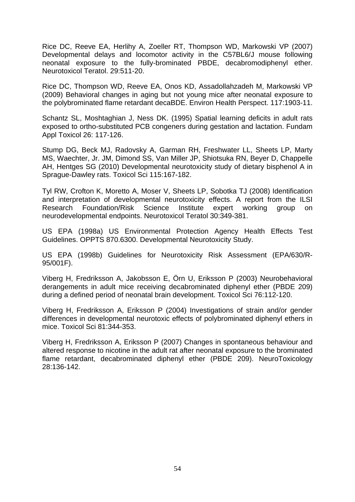Rice DC, Reeve EA, Herlihy A, Zoeller RT, Thompson WD, Markowski VP (2007) Developmental delays and locomotor activity in the C57BL6/J mouse following neonatal exposure to the fully-brominated PBDE, decabromodiphenyl ether. Neurotoxicol Teratol. 29:511-20.

Rice DC, Thompson WD, Reeve EA, Onos KD, Assadollahzadeh M, Markowski VP (2009) Behavioral changes in aging but not young mice after neonatal exposure to the polybrominated flame retardant decaBDE. Environ Health Perspect. 117:1903-11.

Schantz SL, Moshtaghian J, Ness DK. (1995) Spatial learning deficits in adult rats exposed to ortho-substituted PCB congeners during gestation and lactation. Fundam Appl Toxicol 26: 117-126.

Stump DG, Beck MJ, Radovsky A, Garman RH, Freshwater LL, Sheets LP, Marty MS, Waechter, Jr. JM, Dimond SS, Van Miller JP, Shiotsuka RN, Beyer D, Chappelle AH, Hentges SG (2010) Developmental neurotoxicity study of dietary bisphenol A in Sprague-Dawley rats. Toxicol Sci 115:167-182.

Tyl RW, Crofton K, Moretto A, Moser V, Sheets LP, Sobotka TJ (2008) Identification and interpretation of developmental neurotoxicity effects. A report from the ILSI Research Foundation/Risk Science Institute expert working group on neurodevelopmental endpoints. Neurotoxicol Teratol 30:349-381.

US EPA (1998a) US Environmental Protection Agency Health Effects Test Guidelines. OPPTS 870.6300. Developmental Neurotoxicity Study.

US EPA (1998b) Guidelines for Neurotoxicity Risk Assessment (EPA/630/R-95/001F).

Viberg H, Fredriksson A, Jakobsson E, Örn U, Eriksson P (2003) Neurobehavioral derangements in adult mice receiving decabrominated diphenyl ether (PBDE 209) during a defined period of neonatal brain development. Toxicol Sci 76:112-120.

Viberg H, Fredriksson A, Eriksson P (2004) Investigations of strain and/or gender differences in developmental neurotoxic effects of polybrominated diphenyl ethers in mice. Toxicol Sci 81:344-353.

Viberg H, Fredriksson A, Eriksson P (2007) Changes in spontaneous behaviour and altered response to nicotine in the adult rat after neonatal exposure to the brominated flame retardant, decabrominated diphenyl ether (PBDE 209). NeuroToxicology 28:136-142.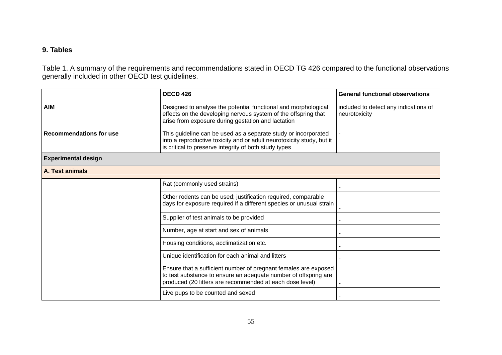## **9. Tables**

Table 1. A summary of the requirements and recommendations stated in OECD TG 426 compared to the functional observations generally included in other OECD test guidelines.

|                                                                                                                                                                                                | <b>OECD 426</b>                                                                                                                                                                                  | <b>General functional observations</b>                 |
|------------------------------------------------------------------------------------------------------------------------------------------------------------------------------------------------|--------------------------------------------------------------------------------------------------------------------------------------------------------------------------------------------------|--------------------------------------------------------|
| <b>AIM</b>                                                                                                                                                                                     | Designed to analyse the potential functional and morphological<br>effects on the developing nervous system of the offspring that<br>arise from exposure during gestation and lactation           | included to detect any indications of<br>neurotoxicity |
| <b>Recommendations for use</b>                                                                                                                                                                 | This guideline can be used as a separate study or incorporated<br>into a reproductive toxicity and or adult neurotoxicity study, but it<br>is critical to preserve integrity of both study types |                                                        |
| <b>Experimental design</b>                                                                                                                                                                     |                                                                                                                                                                                                  |                                                        |
| A. Test animals                                                                                                                                                                                |                                                                                                                                                                                                  |                                                        |
|                                                                                                                                                                                                | Rat (commonly used strains)                                                                                                                                                                      |                                                        |
|                                                                                                                                                                                                | Other rodents can be used; justification required, comparable<br>days for exposure required if a different species or unusual strain                                                             |                                                        |
| Supplier of test animals to be provided                                                                                                                                                        |                                                                                                                                                                                                  |                                                        |
|                                                                                                                                                                                                | Number, age at start and sex of animals                                                                                                                                                          |                                                        |
|                                                                                                                                                                                                | Housing conditions, acclimatization etc.                                                                                                                                                         |                                                        |
|                                                                                                                                                                                                | Unique identification for each animal and litters                                                                                                                                                |                                                        |
| Ensure that a sufficient number of pregnant females are exposed<br>to test substance to ensure an adequate number of offspring are<br>produced (20 litters are recommended at each dose level) |                                                                                                                                                                                                  |                                                        |
|                                                                                                                                                                                                | Live pups to be counted and sexed                                                                                                                                                                |                                                        |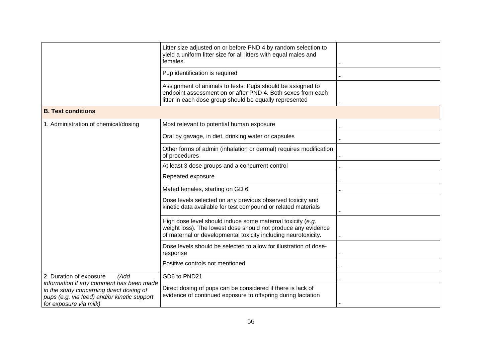|                                                                                                                   | Litter size adjusted on or before PND 4 by random selection to<br>yield a uniform litter size for all litters with equal males and<br>females.                                                |  |
|-------------------------------------------------------------------------------------------------------------------|-----------------------------------------------------------------------------------------------------------------------------------------------------------------------------------------------|--|
|                                                                                                                   | Pup identification is required                                                                                                                                                                |  |
|                                                                                                                   | Assignment of animals to tests: Pups should be assigned to<br>endpoint assessment on or after PND 4. Both sexes from each<br>litter in each dose group should be equally represented          |  |
| <b>B. Test conditions</b>                                                                                         |                                                                                                                                                                                               |  |
| 1. Administration of chemical/dosing                                                                              | Most relevant to potential human exposure                                                                                                                                                     |  |
|                                                                                                                   | Oral by gavage, in diet, drinking water or capsules                                                                                                                                           |  |
|                                                                                                                   | Other forms of admin (inhalation or dermal) requires modification<br>of procedures                                                                                                            |  |
|                                                                                                                   | At least 3 dose groups and a concurrent control                                                                                                                                               |  |
|                                                                                                                   | Repeated exposure                                                                                                                                                                             |  |
|                                                                                                                   | Mated females, starting on GD 6                                                                                                                                                               |  |
|                                                                                                                   | Dose levels selected on any previous observed toxicity and<br>kinetic data available for test compound or related materials                                                                   |  |
|                                                                                                                   | High dose level should induce some maternal toxicity (e.g.<br>weight loss). The lowest dose should not produce any evidence<br>of maternal or developmental toxicity including neurotoxicity. |  |
|                                                                                                                   | Dose levels should be selected to allow for illustration of dose-<br>response                                                                                                                 |  |
|                                                                                                                   | Positive controls not mentioned                                                                                                                                                               |  |
| 2. Duration of exposure<br>(Add<br>information if any comment has been made                                       | GD6 to PND21                                                                                                                                                                                  |  |
| in the study concerning direct dosing of<br>pups (e.g. via feed) and/or kinetic support<br>for exposure via milk) | Direct dosing of pups can be considered if there is lack of<br>evidence of continued exposure to offspring during lactation                                                                   |  |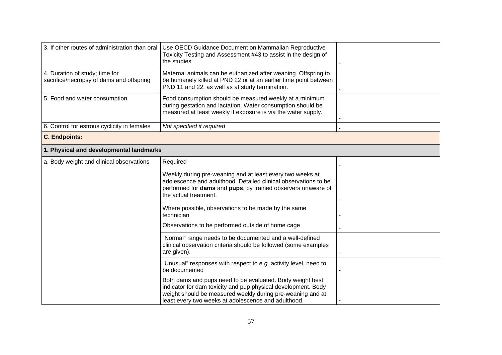| 3. If other routes of administration than oral                             | Use OECD Guidance Document on Mammalian Reproductive<br>Toxicity Testing and Assessment #43 to assist in the design of<br>the studies                                                                                                           |  |
|----------------------------------------------------------------------------|-------------------------------------------------------------------------------------------------------------------------------------------------------------------------------------------------------------------------------------------------|--|
| 4. Duration of study; time for<br>sacrifice/necropsy of dams and offspring | Maternal animals can be euthanized after weaning. Offspring to<br>be humanely killed at PND 22 or at an earlier time point between<br>PND 11 and 22, as well as at study termination.                                                           |  |
| 5. Food and water consumption                                              | Food consumption should be measured weekly at a minimum<br>during gestation and lactation. Water consumption should be<br>measured at least weekly if exposure is via the water supply.                                                         |  |
| 6. Control for estrous cyclicity in females                                | Not specified if required                                                                                                                                                                                                                       |  |
| <b>C. Endpoints:</b>                                                       |                                                                                                                                                                                                                                                 |  |
| 1. Physical and developmental landmarks                                    |                                                                                                                                                                                                                                                 |  |
| a. Body weight and clinical observations                                   | Required                                                                                                                                                                                                                                        |  |
|                                                                            | Weekly during pre-weaning and at least every two weeks at<br>adolescence and adulthood. Detailed clinical observations to be<br>performed for dams and pups, by trained observers unaware of<br>the actual treatment.                           |  |
|                                                                            | Where possible, observations to be made by the same<br>technician                                                                                                                                                                               |  |
|                                                                            | Observations to be performed outside of home cage                                                                                                                                                                                               |  |
|                                                                            | "Normal" range needs to be documented and a well-defined<br>clinical observation criteria should be followed (some examples<br>are given).                                                                                                      |  |
|                                                                            | "Unusual" responses with respect to e.g. activity level, need to<br>be documented                                                                                                                                                               |  |
|                                                                            | Both dams and pups need to be evaluated. Body weight best<br>indicator for dam toxicity and pup physical development. Body<br>weight should be measured weekly during pre-weaning and at<br>least every two weeks at adolescence and adulthood. |  |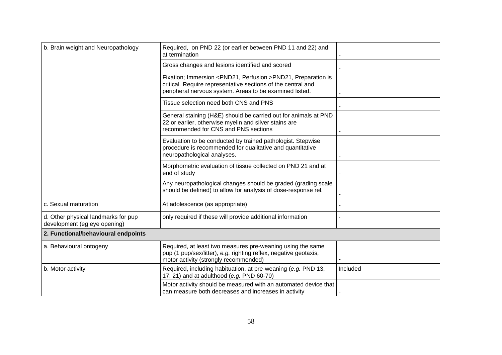| b. Brain weight and Neuropathology                                  | Required, on PND 22 (or earlier between PND 11 and 22) and<br>at termination                                                                                                                         |          |
|---------------------------------------------------------------------|------------------------------------------------------------------------------------------------------------------------------------------------------------------------------------------------------|----------|
|                                                                     | Gross changes and lesions identified and scored                                                                                                                                                      |          |
|                                                                     | Fixation; Immersion <pnd21, perfusion="">PND21, Preparation is<br/>critical. Require representative sections of the central and<br/>peripheral nervous system. Areas to be examined listed.</pnd21,> |          |
|                                                                     | Tissue selection need both CNS and PNS                                                                                                                                                               |          |
|                                                                     | General staining (H&E) should be carried out for animals at PND<br>22 or earlier, otherwise myelin and silver stains are<br>recommended for CNS and PNS sections                                     |          |
|                                                                     | Evaluation to be conducted by trained pathologist. Stepwise<br>procedure is recommended for qualitative and quantitative<br>neuropathological analyses.                                              |          |
|                                                                     | Morphometric evaluation of tissue collected on PND 21 and at<br>end of study                                                                                                                         |          |
|                                                                     | Any neuropathological changes should be graded (grading scale<br>should be defined) to allow for analysis of dose-response rel.                                                                      |          |
| c. Sexual maturation                                                | At adolescence (as appropriate)                                                                                                                                                                      |          |
| d. Other physical landmarks for pup<br>development (eg eye opening) | only required if these will provide additional information                                                                                                                                           |          |
| 2. Functional/behavioural endpoints                                 |                                                                                                                                                                                                      |          |
| a. Behavioural ontogeny                                             | Required, at least two measures pre-weaning using the same<br>pup (1 pup/sex/litter), e.g. righting reflex, negative geotaxis,<br>motor activity (strongly recommended)                              |          |
| b. Motor activity                                                   | Required, including habituation, at pre-weaning (e.g. PND 13,<br>17, 21) and at adulthood (e.g. PND 60-70)                                                                                           | Included |
|                                                                     | Motor activity should be measured with an automated device that<br>can measure both decreases and increases in activity                                                                              |          |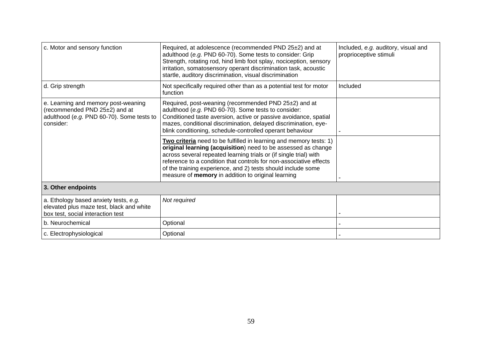| c. Motor and sensory function                                                                                                  | Required, at adolescence (recommended PND 25±2) and at<br>adulthood (e.g. PND 60-70). Some tests to consider: Grip<br>Strength, rotating rod, hind limb foot splay, nociception, sensory<br>irritation, somatosensory operant discrimination task, acoustic<br>startle, auditory discrimination, visual discrimination                                                                                      | Included, e.g. auditory, visual and<br>proprioceptive stimuli |
|--------------------------------------------------------------------------------------------------------------------------------|-------------------------------------------------------------------------------------------------------------------------------------------------------------------------------------------------------------------------------------------------------------------------------------------------------------------------------------------------------------------------------------------------------------|---------------------------------------------------------------|
| d. Grip strength                                                                                                               | Not specifically required other than as a potential test for motor<br>function                                                                                                                                                                                                                                                                                                                              | Included                                                      |
| e. Learning and memory post-weaning<br>(recommended PND 25±2) and at<br>adulthood (e.g. PND 60-70). Some tests to<br>consider: | Required, post-weaning (recommended PND 25±2) and at<br>adulthood (e.g. PND 60-70). Some tests to consider:<br>Conditioned taste aversion, active or passive avoidance, spatial<br>mazes, conditional discrimination, delayed discrimination, eye-<br>blink conditioning, schedule-controlled operant behaviour                                                                                             |                                                               |
|                                                                                                                                | Two criteria need to be fulfilled in learning and memory tests: 1)<br>original learning (acquisition) need to be assessed as change<br>across several repeated learning trials or (if single trial) with<br>reference to a condition that controls for non-associative effects<br>of the training experience, and 2) tests should include some<br>measure of <b>memory</b> in addition to original learning |                                                               |
| 3. Other endpoints                                                                                                             |                                                                                                                                                                                                                                                                                                                                                                                                             |                                                               |
| a. Ethology based anxiety tests, e.g.<br>elevated plus maze test, black and white<br>box test, social interaction test         | Not required                                                                                                                                                                                                                                                                                                                                                                                                |                                                               |
| b. Neurochemical                                                                                                               | Optional                                                                                                                                                                                                                                                                                                                                                                                                    |                                                               |
| c. Electrophysiological                                                                                                        | Optional                                                                                                                                                                                                                                                                                                                                                                                                    |                                                               |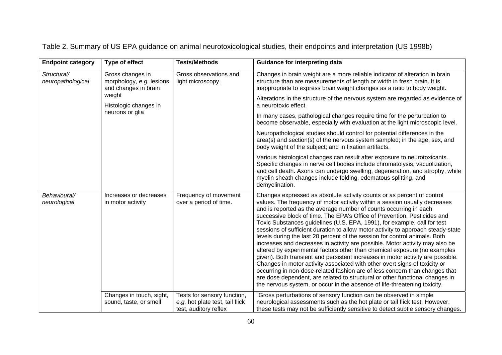|  | Table 2. Summary of US EPA guidance on animal neurotoxicological studies, their endpoints and interpretation (US 1998b) |  |
|--|-------------------------------------------------------------------------------------------------------------------------|--|
|  |                                                                                                                         |  |

| <b>Endpoint category</b>         | Type of effect                                                       | <b>Tests/Methods</b>                                                                    | <b>Guidance for interpreting data</b>                                                                                                                                                                                                                                                                                                                                                                                                                                                                                                                                                                                                                                                                                                                                                                                                                                                                                                                                                                                                                                                                                         |
|----------------------------------|----------------------------------------------------------------------|-----------------------------------------------------------------------------------------|-------------------------------------------------------------------------------------------------------------------------------------------------------------------------------------------------------------------------------------------------------------------------------------------------------------------------------------------------------------------------------------------------------------------------------------------------------------------------------------------------------------------------------------------------------------------------------------------------------------------------------------------------------------------------------------------------------------------------------------------------------------------------------------------------------------------------------------------------------------------------------------------------------------------------------------------------------------------------------------------------------------------------------------------------------------------------------------------------------------------------------|
| Structural/<br>neuropathological | Gross changes in<br>morphology, e.g. lesions<br>and changes in brain | Gross observations and<br>light microscopy.                                             | Changes in brain weight are a more reliable indicator of alteration in brain<br>structure than are measurements of length or width in fresh brain. It is<br>inappropriate to express brain weight changes as a ratio to body weight.                                                                                                                                                                                                                                                                                                                                                                                                                                                                                                                                                                                                                                                                                                                                                                                                                                                                                          |
|                                  | weight<br>Histologic changes in                                      |                                                                                         | Alterations in the structure of the nervous system are regarded as evidence of<br>a neurotoxic effect.                                                                                                                                                                                                                                                                                                                                                                                                                                                                                                                                                                                                                                                                                                                                                                                                                                                                                                                                                                                                                        |
|                                  | neurons or glia                                                      |                                                                                         | In many cases, pathological changes require time for the perturbation to<br>become observable, especially with evaluation at the light microscopic level.                                                                                                                                                                                                                                                                                                                                                                                                                                                                                                                                                                                                                                                                                                                                                                                                                                                                                                                                                                     |
|                                  |                                                                      |                                                                                         | Neuropathological studies should control for potential differences in the<br>area(s) and section(s) of the nervous system sampled; in the age, sex, and<br>body weight of the subject; and in fixation artifacts.                                                                                                                                                                                                                                                                                                                                                                                                                                                                                                                                                                                                                                                                                                                                                                                                                                                                                                             |
|                                  |                                                                      |                                                                                         | Various histological changes can result after exposure to neurotoxicants.<br>Specific changes in nerve cell bodies include chromatolysis, vacuolization,<br>and cell death. Axons can undergo swelling, degeneration, and atrophy, while<br>myelin sheath changes include folding, edematous splitting, and<br>demyelination.                                                                                                                                                                                                                                                                                                                                                                                                                                                                                                                                                                                                                                                                                                                                                                                                 |
| Behavioural/<br>neurological     | Increases or decreases<br>in motor activity                          | Frequency of movement<br>over a period of time.                                         | Changes expressed as absolute activity counts or as percent of control<br>values. The frequency of motor activity within a session usually decreases<br>and is reported as the average number of counts occurring in each<br>successive block of time. The EPA's Office of Prevention, Pesticides and<br>Toxic Substances guidelines (U.S. EPA, 1991), for example, call for test<br>sessions of sufficient duration to allow motor activity to approach steady-state<br>levels during the last 20 percent of the session for control animals. Both<br>increases and decreases in activity are possible. Motor activity may also be<br>altered by experimental factors other than chemical exposure (no examples<br>given). Both transient and persistent increases in motor activity are possible.<br>Changes in motor activity associated with other overt signs of toxicity or<br>occurring in non-dose-related fashion are of less concern than changes that<br>are dose dependent, are related to structural or other functional changes in<br>the nervous system, or occur in the absence of life-threatening toxicity. |
|                                  | Changes in touch, sight,<br>sound, taste, or smell                   | Tests for sensory function,<br>e.g. hot plate test, tail flick<br>test, auditory reflex | "Gross perturbations of sensory function can be observed in simple<br>neurological assessments such as the hot plate or tail flick test. However,<br>these tests may not be sufficiently sensitive to detect subtle sensory changes.                                                                                                                                                                                                                                                                                                                                                                                                                                                                                                                                                                                                                                                                                                                                                                                                                                                                                          |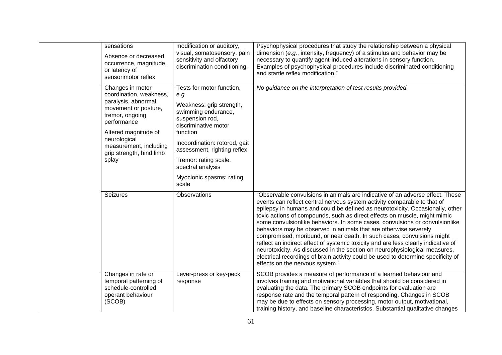| sensations<br>Absence or decreased<br>occurrence, magnitude,<br>or latency of<br>sensorimotor reflex                                                                                                                                | modification or auditory,<br>visual, somatosensory, pain<br>sensitivity and olfactory<br>discrimination conditioning.                                                                                                                                                                          | Psychophysical procedures that study the relationship between a physical<br>dimension (e.g., intensity, frequency) of a stimulus and behavior may be<br>necessary to quantify agent-induced alterations in sensory function.<br>Examples of psychophysical procedures include discriminated conditioning<br>and startle reflex modification."                                                                                                                                                                                                                                                                                                                                                                                                                                                                                                    |
|-------------------------------------------------------------------------------------------------------------------------------------------------------------------------------------------------------------------------------------|------------------------------------------------------------------------------------------------------------------------------------------------------------------------------------------------------------------------------------------------------------------------------------------------|--------------------------------------------------------------------------------------------------------------------------------------------------------------------------------------------------------------------------------------------------------------------------------------------------------------------------------------------------------------------------------------------------------------------------------------------------------------------------------------------------------------------------------------------------------------------------------------------------------------------------------------------------------------------------------------------------------------------------------------------------------------------------------------------------------------------------------------------------|
| Changes in motor<br>coordination, weakness,<br>paralysis, abnormal<br>movement or posture,<br>tremor, ongoing<br>performance<br>Altered magnitude of<br>neurological<br>measurement, including<br>grip strength, hind limb<br>splay | Tests for motor function,<br>e.g.<br>Weakness: grip strength,<br>swimming endurance,<br>suspension rod,<br>discriminative motor<br>function<br>Incoordination: rotorod, gait<br>assessment, righting reflex<br>Tremor: rating scale,<br>spectral analysis<br>Myoclonic spasms: rating<br>scale | No guidance on the interpretation of test results provided.                                                                                                                                                                                                                                                                                                                                                                                                                                                                                                                                                                                                                                                                                                                                                                                      |
| <b>Seizures</b>                                                                                                                                                                                                                     | Observations                                                                                                                                                                                                                                                                                   | "Observable convulsions in animals are indicative of an adverse effect. These<br>events can reflect central nervous system activity comparable to that of<br>epilepsy in humans and could be defined as neurotoxicity. Occasionally, other<br>toxic actions of compounds, such as direct effects on muscle, might mimic<br>some convulsionlike behaviors. In some cases, convulsions or convulsionlike<br>behaviors may be observed in animals that are otherwise severely<br>compromised, moribund, or near death. In such cases, convulsions might<br>reflect an indirect effect of systemic toxicity and are less clearly indicative of<br>neurotoxicity. As discussed in the section on neurophysiological measures,<br>electrical recordings of brain activity could be used to determine specificity of<br>effects on the nervous system." |
| Changes in rate or<br>temporal patterning of<br>schedule-controlled<br>operant behaviour<br>(SCOB)                                                                                                                                  | Lever-press or key-peck<br>response                                                                                                                                                                                                                                                            | SCOB provides a measure of performance of a learned behaviour and<br>involves training and motivational variables that should be considered in<br>evaluating the data. The primary SCOB endpoints for evaluation are<br>response rate and the temporal pattern of responding. Changes in SCOB<br>may be due to effects on sensory processing, motor output, motivational,<br>training history, and baseline characteristics. Substantial qualitative changes                                                                                                                                                                                                                                                                                                                                                                                     |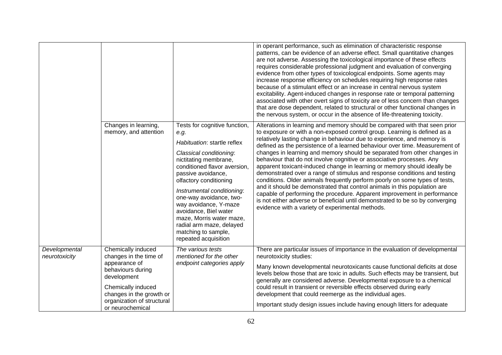|                                |                                                                                                                                                                                                       |                                                                                                                                                                                                                                                                                                                                                                                                                            | in operant performance, such as elimination of characteristic response<br>patterns, can be evidence of an adverse effect. Small quantitative changes<br>are not adverse. Assessing the toxicological importance of these effects<br>requires considerable professional judgment and evaluation of converging<br>evidence from other types of toxicological endpoints. Some agents may<br>increase response efficiency on schedules requiring high response rates<br>because of a stimulant effect or an increase in central nervous system<br>excitability. Agent-induced changes in response rate or temporal patterning<br>associated with other overt signs of toxicity are of less concern than changes<br>that are dose dependent, related to structural or other functional changes in<br>the nervous system, or occur in the absence of life-threatening toxicity.                                                                                                                                    |
|--------------------------------|-------------------------------------------------------------------------------------------------------------------------------------------------------------------------------------------------------|----------------------------------------------------------------------------------------------------------------------------------------------------------------------------------------------------------------------------------------------------------------------------------------------------------------------------------------------------------------------------------------------------------------------------|--------------------------------------------------------------------------------------------------------------------------------------------------------------------------------------------------------------------------------------------------------------------------------------------------------------------------------------------------------------------------------------------------------------------------------------------------------------------------------------------------------------------------------------------------------------------------------------------------------------------------------------------------------------------------------------------------------------------------------------------------------------------------------------------------------------------------------------------------------------------------------------------------------------------------------------------------------------------------------------------------------------|
|                                | Changes in learning,<br>memory, and attention                                                                                                                                                         | Tests for cognitive function,<br>e.g.<br>Habituation: startle reflex<br>Classical conditioning:<br>nictitating membrane,<br>conditioned flavor aversion,<br>passive avoidance,<br>olfactory conditioning<br>Instrumental conditioning:<br>one-way avoidance, two-<br>way avoidance, Y-maze<br>avoidance, Biel water<br>maze, Morris water maze,<br>radial arm maze, delayed<br>matching to sample,<br>repeated acquisition | Alterations in learning and memory should be compared with that seen prior<br>to exposure or with a non-exposed control group. Learning is defined as a<br>relatively lasting change in behaviour due to experience, and memory is<br>defined as the persistence of a learned behaviour over time. Measurement of<br>changes in learning and memory should be separated from other changes in<br>behaviour that do not involve cognitive or associative processes. Any<br>apparent toxicant-induced change in learning or memory should ideally be<br>demonstrated over a range of stimulus and response conditions and testing<br>conditions. Older animals frequently perform poorly on some types of tests,<br>and it should be demonstrated that control animals in this population are<br>capable of performing the procedure. Apparent improvement in performance<br>is not either adverse or beneficial until demonstrated to be so by converging<br>evidence with a variety of experimental methods. |
| Developmental<br>neurotoxicity | Chemically induced<br>changes in the time of<br>appearance of<br>behaviours during<br>development<br>Chemically induced<br>changes in the growth or<br>organization of structural<br>or neurochemical | The various tests<br>mentioned for the other<br>endpoint categories apply                                                                                                                                                                                                                                                                                                                                                  | There are particular issues of importance in the evaluation of developmental<br>neurotoxicity studies:<br>Many known developmental neurotoxicants cause functional deficits at dose<br>levels below those that are toxic in adults. Such effects may be transient, but<br>generally are considered adverse. Developmental exposure to a chemical<br>could result in transient or reversible effects observed during early<br>development that could reemerge as the individual ages.<br>Important study design issues include having enough litters for adequate                                                                                                                                                                                                                                                                                                                                                                                                                                             |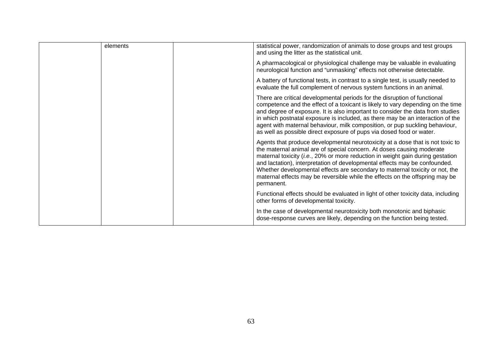| elements | statistical power, randomization of animals to dose groups and test groups<br>and using the litter as the statistical unit.                                                                                                                                                                                                                                                                                                                                                                           |
|----------|-------------------------------------------------------------------------------------------------------------------------------------------------------------------------------------------------------------------------------------------------------------------------------------------------------------------------------------------------------------------------------------------------------------------------------------------------------------------------------------------------------|
|          | A pharmacological or physiological challenge may be valuable in evaluating<br>neurological function and "unmasking" effects not otherwise detectable.                                                                                                                                                                                                                                                                                                                                                 |
|          | A battery of functional tests, in contrast to a single test, is usually needed to<br>evaluate the full complement of nervous system functions in an animal.                                                                                                                                                                                                                                                                                                                                           |
|          | There are critical developmental periods for the disruption of functional<br>competence and the effect of a toxicant is likely to vary depending on the time<br>and degree of exposure. It is also important to consider the data from studies<br>in which postnatal exposure is included, as there may be an interaction of the<br>agent with maternal behaviour, milk composition, or pup suckling behaviour,<br>as well as possible direct exposure of pups via dosed food or water.               |
|          | Agents that produce developmental neurotoxicity at a dose that is not toxic to<br>the maternal animal are of special concern. At doses causing moderate<br>maternal toxicity (i.e., 20% or more reduction in weight gain during gestation<br>and lactation), interpretation of developmental effects may be confounded.<br>Whether developmental effects are secondary to maternal toxicity or not, the<br>maternal effects may be reversible while the effects on the offspring may be<br>permanent. |
|          | Functional effects should be evaluated in light of other toxicity data, including<br>other forms of developmental toxicity.                                                                                                                                                                                                                                                                                                                                                                           |
|          | In the case of developmental neurotoxicity both monotonic and biphasic<br>dose-response curves are likely, depending on the function being tested.                                                                                                                                                                                                                                                                                                                                                    |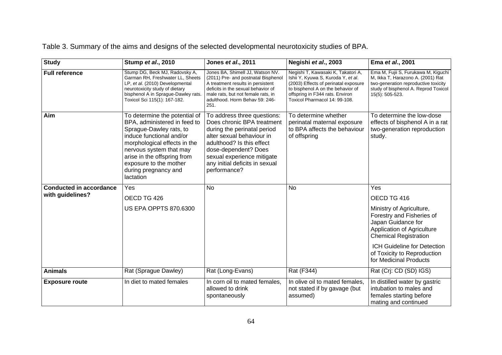Table 3. Summary of the aims and designs of the selected developmental neurotoxicity studies of BPA.

| <b>Study</b>                   | Stump et al., 2010                                                                                                                                                                                                                                                            | Jones et al., 2011                                                                                                                                                                                                                                         | Negishi et al., 2003                                                                                                                                                                                                      | Ema et al., 2001                                                                                                                                                            |
|--------------------------------|-------------------------------------------------------------------------------------------------------------------------------------------------------------------------------------------------------------------------------------------------------------------------------|------------------------------------------------------------------------------------------------------------------------------------------------------------------------------------------------------------------------------------------------------------|---------------------------------------------------------------------------------------------------------------------------------------------------------------------------------------------------------------------------|-----------------------------------------------------------------------------------------------------------------------------------------------------------------------------|
| <b>Full reference</b>          | Stump DG, Beck MJ, Radovsky A,<br>Garman RH, Freshwater LL, Sheets<br>LP, et al. (2010) Developmental<br>neurotoxicity study of dietary<br>bisphenol A in Sprague-Dawley rats.<br>Toxicol Sci 115(1): 167-182.                                                                | Jones BA, Shimell JJ, Watson NV.<br>(2011) Pre- and postnatal Bisphenol<br>A treatment results in persistent<br>deficits in the sexual behavior of<br>male rats, but not female rats, in<br>adulthood. Horm Behav 59: 246-<br>251.                         | Negishi T, Kawasaki K, Takatori A,<br>Ishii Y, Kyuwa S, Kuroda Y, et al.<br>(2003) Effects of perinatal exposure<br>to bisphenol A on the behavior of<br>offspring in F344 rats. Environ<br>Toxicol Pharmacol 14: 99-108. | Ema M, Fujii S, Furukawa M, Kiguchi<br>M, Ikka T, Harazono A. (2001) Rat<br>two-generation reproductive toxicity<br>study of bisphenol A. Reprod Toxicol<br>15(5): 505-523. |
| Aim                            | To determine the potential of<br>BPA, administered in feed to<br>Sprague-Dawley rats, to<br>induce functional and/or<br>morphological effects in the<br>nervous system that may<br>arise in the offspring from<br>exposure to the mother<br>during pregnancy and<br>lactation | To address three questions:<br>Does chronic BPA treatment<br>during the perinatal period<br>alter sexual behaviour in<br>adulthood? Is this effect<br>dose-dependent? Does<br>sexual experience mitigate<br>any initial deficits in sexual<br>performance? | To determine whether<br>perinatal maternal exposure<br>to BPA affects the behaviour<br>of offspring                                                                                                                       | To determine the low-dose<br>effects of bisphenol A in a rat<br>two-generation reproduction<br>study.                                                                       |
| <b>Conducted in accordance</b> | Yes                                                                                                                                                                                                                                                                           | <b>No</b>                                                                                                                                                                                                                                                  | <b>No</b>                                                                                                                                                                                                                 | Yes                                                                                                                                                                         |
| with guidelines?               | OECD TG 426                                                                                                                                                                                                                                                                   |                                                                                                                                                                                                                                                            |                                                                                                                                                                                                                           | OECD TG 416                                                                                                                                                                 |
|                                | <b>US EPA OPPTS 870.6300</b>                                                                                                                                                                                                                                                  |                                                                                                                                                                                                                                                            |                                                                                                                                                                                                                           | Ministry of Agriculture,<br>Forestry and Fisheries of<br>Japan Guidance for<br>Application of Agriculture<br><b>Chemical Registration</b>                                   |
|                                |                                                                                                                                                                                                                                                                               |                                                                                                                                                                                                                                                            |                                                                                                                                                                                                                           | ICH Guideline for Detection<br>of Toxicity to Reproduction<br>for Medicinal Products                                                                                        |
| <b>Animals</b>                 | Rat (Sprague Dawley)                                                                                                                                                                                                                                                          | Rat (Long-Evans)                                                                                                                                                                                                                                           | Rat (F344)                                                                                                                                                                                                                | Rat (Crj: CD (SD) IGS)                                                                                                                                                      |
| <b>Exposure route</b>          | In diet to mated females                                                                                                                                                                                                                                                      | In corn oil to mated females,<br>allowed to drink<br>spontaneously                                                                                                                                                                                         | In olive oil to mated females,<br>not stated if by gavage (but<br>assumed)                                                                                                                                                | In distilled water by gastric<br>intubation to males and<br>females starting before<br>mating and continued                                                                 |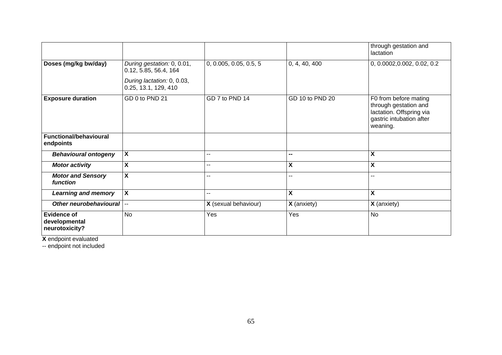|                                                |                                                     |                        |                          | through gestation and<br>lactation                                                                                 |
|------------------------------------------------|-----------------------------------------------------|------------------------|--------------------------|--------------------------------------------------------------------------------------------------------------------|
| Doses (mg/kg bw/day)                           | During gestation: 0, 0.01,<br>0.12, 5.85, 56.4, 164 | 0, 0.005, 0.05, 0.5, 5 | 0, 4, 40, 400            | 0, 0.0002, 0.002, 0.02, 0.2                                                                                        |
|                                                | During lactation: 0, 0.03,<br>0.25, 13.1, 129, 410  |                        |                          |                                                                                                                    |
| <b>Exposure duration</b>                       | GD 0 to PND 21                                      | GD 7 to PND 14         | GD 10 to PND 20          | F0 from before mating<br>through gestation and<br>lactation. Offspring via<br>gastric intubation after<br>weaning. |
| <b>Functional/behavioural</b><br>endpoints     |                                                     |                        |                          |                                                                                                                    |
| <b>Behavioural ontogeny</b>                    | $\boldsymbol{\mathsf{X}}$                           | --                     | $\overline{\phantom{a}}$ | X                                                                                                                  |
| <b>Motor activity</b>                          | $\boldsymbol{\mathsf{X}}$                           | --                     | X                        | χ                                                                                                                  |
| <b>Motor and Sensory</b><br>function           | $\overline{\mathbf{X}}$                             | --                     | --                       | --                                                                                                                 |
| <b>Learning and memory</b>                     | $\boldsymbol{\mathsf{X}}$                           | $- -$                  | X                        | X                                                                                                                  |
| Other neurobehavioural  --                     |                                                     | X (sexual behaviour)   | <b>X</b> (anxiety)       | X (anxiety)                                                                                                        |
| Evidence of<br>developmental<br>neurotoxicity? | <b>No</b>                                           | Yes                    | Yes                      | $\overline{N}$                                                                                                     |

**X** endpoint evaluated

-- endpoint not included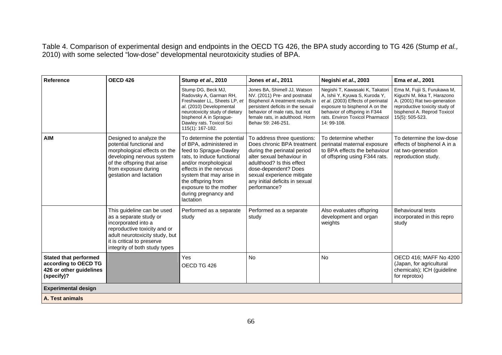Table 4. Comparison of experimental design and endpoints in the OECD TG 426, the BPA study according to TG 426 (Stump *et al.,*  2010) with some selected "low-dose" developmental neurotoxicity studies of BPA.

| <b>Reference</b>                                                                              | <b>OECD 426</b>                                                                                                                                                                                              | Stump et al., 2010                                                                                                                                                                                                                                                               | Jones et al., 2011                                                                                                                                                                                                                                         | Negishi et al., 2003                                                                                                                                                                                                         | Ema et al., 2001                                                                                                                                                               |
|-----------------------------------------------------------------------------------------------|--------------------------------------------------------------------------------------------------------------------------------------------------------------------------------------------------------------|----------------------------------------------------------------------------------------------------------------------------------------------------------------------------------------------------------------------------------------------------------------------------------|------------------------------------------------------------------------------------------------------------------------------------------------------------------------------------------------------------------------------------------------------------|------------------------------------------------------------------------------------------------------------------------------------------------------------------------------------------------------------------------------|--------------------------------------------------------------------------------------------------------------------------------------------------------------------------------|
|                                                                                               |                                                                                                                                                                                                              | Stump DG, Beck MJ,<br>Radovsky A, Garman RH,<br>Freshwater LL, Sheets LP, et<br>al. (2010) Developmental<br>neurotoxicity study of dietary<br>bisphenol A in Sprague-<br>Dawley rats. Toxicol Sci<br>115(1): 167-182.                                                            | Jones BA, Shimell JJ, Watson<br>NV. (2011) Pre- and postnatal<br>Bisphenol A treatment results in<br>persistent deficits in the sexual<br>behavior of male rats, but not<br>female rats, in adulthood. Horm<br>Behav 59: 246-251.                          | Negishi T, Kawasaki K, Takatori<br>A, Ishii Y, Kyuwa S, Kuroda Y,<br>et al. (2003) Effects of perinatal<br>exposure to bisphenol A on the<br>behavior of offspring in F344<br>rats. Environ Toxicol Pharmacol<br>14: 99-108. | Ema M, Fujii S, Furukawa M,<br>Kiguchi M, Ikka T, Harazono<br>A. (2001) Rat two-generation<br>reproductive toxicity study of<br>bisphenol A. Reprod Toxicol<br>15(5): 505-523. |
| <b>AIM</b>                                                                                    | Designed to analyze the<br>potential functional and<br>morphological effects on the<br>developing nervous system<br>of the offspring that arise<br>from exposure during<br>gestation and lactation           | To determine the potential<br>of BPA, administered in<br>feed to Sprague-Dawley<br>rats, to induce functional<br>and/or morphological<br>effects in the nervous<br>system that may arise in<br>the offspring from<br>exposure to the mother<br>during pregnancy and<br>lactation | To address three questions:<br>Does chronic BPA treatment<br>during the perinatal period<br>alter sexual behaviour in<br>adulthood? Is this effect<br>dose-dependent? Does<br>sexual experience mitigate<br>any initial deficits in sexual<br>performance? | To determine whether<br>perinatal maternal exposure<br>to BPA effects the behaviour<br>of offspring using F344 rats.                                                                                                         | To determine the low-dose<br>effects of bisphenol A in a<br>rat two-generation<br>reproduction study.                                                                          |
|                                                                                               | This guideline can be used<br>as a separate study or<br>incorporated into a<br>reproductive toxicity and or<br>adult neurotoxicity study, but<br>it is critical to preserve<br>integrity of both study types | Performed as a separate<br>study                                                                                                                                                                                                                                                 | Performed as a separate<br>study                                                                                                                                                                                                                           | Also evaluates offspring<br>development and organ<br>weights                                                                                                                                                                 | <b>Behavioural tests</b><br>incorporated in this repro<br>study                                                                                                                |
| <b>Stated that performed</b><br>according to OECD TG<br>426 or other guidelines<br>(specify)? |                                                                                                                                                                                                              | Yes<br>OECD TG 426                                                                                                                                                                                                                                                               | <b>No</b>                                                                                                                                                                                                                                                  | <b>No</b>                                                                                                                                                                                                                    | OECD 416; MAFF No 4200<br>(Japan, for agricultural<br>chemicals); ICH (guideline<br>for reprotox)                                                                              |
| <b>Experimental design</b>                                                                    |                                                                                                                                                                                                              |                                                                                                                                                                                                                                                                                  |                                                                                                                                                                                                                                                            |                                                                                                                                                                                                                              |                                                                                                                                                                                |
| A. Test animals                                                                               |                                                                                                                                                                                                              |                                                                                                                                                                                                                                                                                  |                                                                                                                                                                                                                                                            |                                                                                                                                                                                                                              |                                                                                                                                                                                |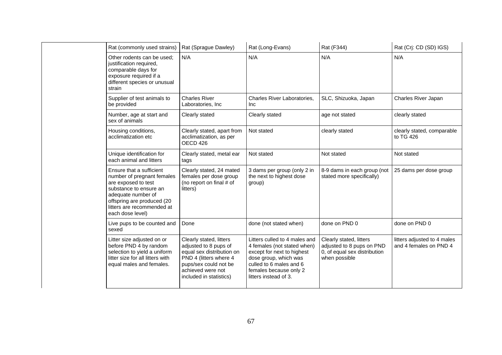|  | Rat (commonly used strains)                                                                                                                                                                                   | Rat (Sprague Dawley)                                                                                                                                                             | Rat (Long-Evans)                                                                                                                                                                                  | Rat (F344)                                                                                            | Rat (Crj: CD (SD) IGS)                                |
|--|---------------------------------------------------------------------------------------------------------------------------------------------------------------------------------------------------------------|----------------------------------------------------------------------------------------------------------------------------------------------------------------------------------|---------------------------------------------------------------------------------------------------------------------------------------------------------------------------------------------------|-------------------------------------------------------------------------------------------------------|-------------------------------------------------------|
|  | Other rodents can be used:<br>justification required,<br>comparable days for<br>exposure required if a<br>different species or unusual<br>strain                                                              | N/A                                                                                                                                                                              | N/A                                                                                                                                                                                               | N/A                                                                                                   | N/A                                                   |
|  | Supplier of test animals to<br>be provided                                                                                                                                                                    | <b>Charles River</b><br>Laboratories, Inc                                                                                                                                        | Charles River Laboratories,<br>Inc                                                                                                                                                                | SLC, Shizuoka, Japan                                                                                  | Charles River Japan                                   |
|  | Number, age at start and<br>sex of animals                                                                                                                                                                    | Clearly stated                                                                                                                                                                   | Clearly stated                                                                                                                                                                                    | age not stated                                                                                        | clearly stated                                        |
|  | Housing conditions,<br>acclimatization etc                                                                                                                                                                    | Clearly stated, apart from<br>acclimatization, as per<br>OECD 426                                                                                                                | Not stated                                                                                                                                                                                        | clearly stated                                                                                        | clearly stated, comparable<br>to TG 426               |
|  | Unique identification for<br>each animal and litters                                                                                                                                                          | Clearly stated, metal ear<br>tags                                                                                                                                                | Not stated                                                                                                                                                                                        | Not stated                                                                                            | Not stated                                            |
|  | Ensure that a sufficient<br>number of pregnant females<br>are exposed to test<br>substance to ensure an<br>adequate number of<br>offspring are produced (20<br>litters are recommended at<br>each dose level) | Clearly stated, 24 mated<br>females per dose group<br>(no report on final # of<br>litters)                                                                                       | 3 dams per group (only 2 in<br>the next to highest dose<br>group)                                                                                                                                 | 8-9 dams in each group (not<br>stated more specifically)                                              | 25 dams per dose group                                |
|  | Live pups to be counted and<br>sexed                                                                                                                                                                          | Done                                                                                                                                                                             | done (not stated when)                                                                                                                                                                            | done on PND 0                                                                                         | done on PND 0                                         |
|  | Litter size adjusted on or<br>before PND 4 by random<br>selection to yield a uniform<br>litter size for all litters with<br>equal males and females.                                                          | Clearly stated, litters<br>adjusted to 8 pups of<br>equal sex distribution on<br>PND 4 (litters where 4<br>pups/sex could not be<br>achieved were not<br>included in statistics) | Litters culled to 4 males and<br>4 females (not stated when)<br>except for next to highest<br>dose group, which was<br>culled to 6 males and 6<br>females because only 2<br>litters instead of 3. | Clearly stated, litters<br>adjusted to 8 pups on PND<br>0, of equal sex distribution<br>when possible | litters adjusted to 4 males<br>and 4 females on PND 4 |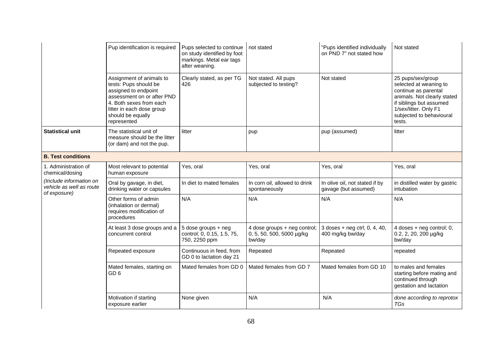|                                                                     | Pup identification is required                                                                                                                                                                      | Pups selected to continue<br>on study identified by foot<br>markings. Metal ear tags<br>after weaning. | not stated                                                          | "Pups identified individually<br>on PND 7" not stated how | Not stated                                                                                                                                                                                   |
|---------------------------------------------------------------------|-----------------------------------------------------------------------------------------------------------------------------------------------------------------------------------------------------|--------------------------------------------------------------------------------------------------------|---------------------------------------------------------------------|-----------------------------------------------------------|----------------------------------------------------------------------------------------------------------------------------------------------------------------------------------------------|
|                                                                     | Assignment of animals to<br>tests: Pups should be<br>assigned to endpoint<br>assessment on or after PND<br>4. Both sexes from each<br>litter in each dose group<br>should be equally<br>represented | Clearly stated, as per TG<br>426                                                                       | Not stated. All pups<br>subjected to testing?                       | Not stated                                                | 25 pups/sex/group<br>selected at weaning to<br>continue as parental<br>animals. Not clearly stated<br>if siblings but assumed<br>1/sex/litter. Only F1<br>subjected to behavioural<br>tests. |
| <b>Statistical unit</b>                                             | The statistical unit of<br>measure should be the litter<br>(or dam) and not the pup.                                                                                                                | litter                                                                                                 | pup                                                                 | pup (assumed)                                             | litter                                                                                                                                                                                       |
| <b>B. Test conditions</b>                                           |                                                                                                                                                                                                     |                                                                                                        |                                                                     |                                                           |                                                                                                                                                                                              |
| 1. Administration of<br>chemical/dosing                             | Most relevant to potential<br>human exposure                                                                                                                                                        | Yes, oral                                                                                              | Yes, oral                                                           | Yes, oral                                                 | Yes, oral                                                                                                                                                                                    |
| (Include information on<br>vehicle as well as route<br>of exposure) | Oral by gavage, in diet,<br>drinking water or capsules                                                                                                                                              | In diet to mated females                                                                               | In corn oil, allowed to drink<br>spontaneously                      | In olive oil, not stated if by<br>gavage (but assumed)    | in distilled water by gastric<br>intubation                                                                                                                                                  |
|                                                                     | Other forms of admin<br>(inhalation or dermal)<br>requires modification of<br>procedures                                                                                                            | N/A                                                                                                    | N/A                                                                 | N/A                                                       | N/A                                                                                                                                                                                          |
|                                                                     | At least 3 dose groups and a<br>concurrent control                                                                                                                                                  | 5 dose groups + neg<br>control; 0, 0.15, 1.5, 75,<br>750, 2250 ppm                                     | 4 dose groups + neg control;<br>0, 5, 50, 500, 5000 µg/kg<br>bw/day | 3 doses + neg ctrl; 0, 4, 40,<br>400 mg/kg bw/day         | 4 doses + neg control; 0,<br>0.2, 2, 20, 200 µg/kg<br>bw/day                                                                                                                                 |
|                                                                     | Repeated exposure                                                                                                                                                                                   | Continuous in feed, from<br>GD 0 to lactation day 21                                                   | Repeated                                                            | Repeated                                                  | repeated                                                                                                                                                                                     |
|                                                                     | Mated females, starting on<br>GD <sub>6</sub>                                                                                                                                                       | Mated females from GD 0                                                                                | Mated females from GD 7                                             | Mated females from GD 10                                  | to males and females<br>starting before mating and<br>continued through<br>gestation and lactation                                                                                           |
|                                                                     | Motivation if starting<br>exposure earlier                                                                                                                                                          | None given                                                                                             | N/A                                                                 | N/A                                                       | done according to reprotox<br><b>TGs</b>                                                                                                                                                     |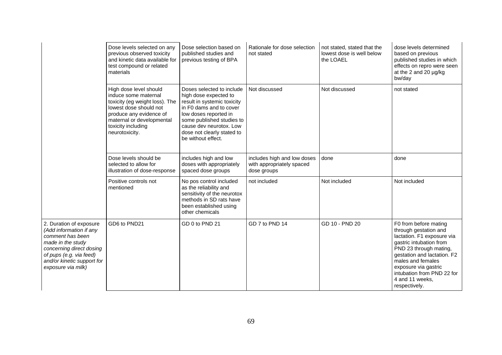|                                                                                                                                                                                                        | Dose levels selected on any<br>previous observed toxicity<br>and kinetic data available for<br>test compound or related<br>materials                                                                       | Dose selection based on<br>published studies and<br>previous testing of BPA                                                                                                                                                                       | Rationale for dose selection<br>not stated                              | not stated, stated that the<br>lowest dose is well below<br>the LOAEL | dose levels determined<br>based on previous<br>published studies in which<br>effects on repro were seen<br>at the 2 and 20 µg/kg<br>bw/day                                                                                                                                      |
|--------------------------------------------------------------------------------------------------------------------------------------------------------------------------------------------------------|------------------------------------------------------------------------------------------------------------------------------------------------------------------------------------------------------------|---------------------------------------------------------------------------------------------------------------------------------------------------------------------------------------------------------------------------------------------------|-------------------------------------------------------------------------|-----------------------------------------------------------------------|---------------------------------------------------------------------------------------------------------------------------------------------------------------------------------------------------------------------------------------------------------------------------------|
|                                                                                                                                                                                                        | High dose level should<br>induce some maternal<br>toxicity (eg weight loss). The<br>lowest dose should not<br>produce any evidence of<br>maternal or developmental<br>toxicity including<br>neurotoxicity. | Doses selected to include<br>high dose expected to<br>result in systemic toxicity<br>in F0 dams and to cover<br>low doses reported in<br>some published studies to<br>cause dev neurotox. Low<br>dose not clearly stated to<br>be without effect. | Not discussed                                                           | Not discussed                                                         | not stated                                                                                                                                                                                                                                                                      |
|                                                                                                                                                                                                        | Dose levels should be<br>selected to allow for<br>illustration of dose-response                                                                                                                            | includes high and low<br>doses with appropriately<br>spaced dose groups                                                                                                                                                                           | includes high and low doses<br>with appropriately spaced<br>dose groups | done                                                                  | done                                                                                                                                                                                                                                                                            |
|                                                                                                                                                                                                        | Positive controls not<br>mentioned                                                                                                                                                                         | No pos control included<br>as the reliability and<br>sensitivity of the neurotox<br>methods in SD rats have<br>been established using<br>other chemicals                                                                                          | not included                                                            | Not included                                                          | Not included                                                                                                                                                                                                                                                                    |
| 2. Duration of exposure<br>(Add information if any<br>comment has been<br>made in the study<br>concerning direct dosing<br>of pups (e.g. via feed)<br>and/or kinetic support for<br>exposure via milk) | GD6 to PND21                                                                                                                                                                                               | GD 0 to PND 21                                                                                                                                                                                                                                    | GD 7 to PND 14                                                          | GD 10 - PND 20                                                        | F0 from before mating<br>through gestation and<br>lactation. F1 exposure via<br>gastric intubation from<br>PND 23 through mating,<br>gestation and lactation. F2<br>males and females<br>exposure via gastric<br>intubation from PND 22 for<br>4 and 11 weeks.<br>respectively. |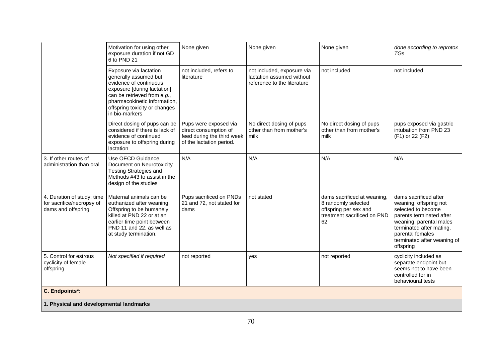|                                                                               | Motivation for using other<br>exposure duration if not GD<br>6 to PND 21                                                                                                                                                   | None given                                                                                               | None given                                                                             | None given                                                                                                       | done according to reprotox<br>TGs                                                                                                                                                                                        |
|-------------------------------------------------------------------------------|----------------------------------------------------------------------------------------------------------------------------------------------------------------------------------------------------------------------------|----------------------------------------------------------------------------------------------------------|----------------------------------------------------------------------------------------|------------------------------------------------------------------------------------------------------------------|--------------------------------------------------------------------------------------------------------------------------------------------------------------------------------------------------------------------------|
|                                                                               | Exposure via lactation<br>generally assumed but<br>evidence of continuous<br>exposure [during lactation]<br>can be retrieved from e.g.,<br>pharmacokinetic information,<br>offspring toxicity or changes<br>in bio-markers | not included, refers to<br>literature                                                                    | not included, exposure via<br>lactation assumed without<br>reference to the literature | not included                                                                                                     | not included                                                                                                                                                                                                             |
|                                                                               | Direct dosing of pups can be<br>considered if there is lack of<br>evidence of continued<br>exposure to offspring during<br>lactation                                                                                       | Pups were exposed via<br>direct consumption of<br>feed during the third week<br>of the lactation period. | No direct dosing of pups<br>other than from mother's<br>milk                           | No direct dosing of pups<br>other than from mother's<br>milk                                                     | pups exposed via gastric<br>intubation from PND 23<br>(F1) or 22 (F2)                                                                                                                                                    |
| 3. If other routes of<br>administration than oral                             | Use OECD Guidance<br>Document on Neurotoxicity<br><b>Testing Strategies and</b><br>Methods #43 to assist in the<br>design of the studies                                                                                   | N/A                                                                                                      | N/A                                                                                    | N/A                                                                                                              | N/A                                                                                                                                                                                                                      |
| 4. Duration of study; time<br>for sacrifice/necropsy of<br>dams and offspring | Maternal animals can be<br>euthanized after weaning.<br>Offspring to be humanely<br>killed at PND 22 or at an<br>earlier time point between<br>PND 11 and 22, as well as<br>at study termination.                          | Pups sacrificed on PNDs<br>21 and 72, not stated for<br>dams                                             | not stated                                                                             | dams sacrificed at weaning,<br>8 randomly selected<br>offspring per sex and<br>treatment sacrificed on PND<br>62 | dams sacrificed after<br>weaning, offspring not<br>selected to become<br>parents terminated after<br>weaning, parental males<br>terminated after mating,<br>parental females<br>terminated after weaning of<br>offspring |
| 5. Control for estrous<br>cyclicity of female<br>offspring                    | Not specified if required                                                                                                                                                                                                  | not reported                                                                                             | yes                                                                                    | not reported                                                                                                     | cyclicity included as<br>separate endpoint but<br>seems not to have been<br>controlled for in<br>behavioural tests                                                                                                       |
| C. Endpoints*:                                                                |                                                                                                                                                                                                                            |                                                                                                          |                                                                                        |                                                                                                                  |                                                                                                                                                                                                                          |
| 1. Physical and developmental landmarks                                       |                                                                                                                                                                                                                            |                                                                                                          |                                                                                        |                                                                                                                  |                                                                                                                                                                                                                          |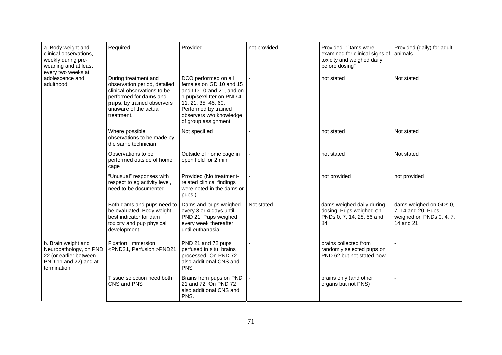| a. Body weight and<br>clinical observations,<br>weekly during pre-<br>weaning and at least<br>every two weeks at<br>adolescence and<br>adulthood | Required                                                                                                                                                                           | Provided                                                                                                                                                                                                   | not provided   | Provided. "Dams were<br>examined for clinical signs of<br>toxicity and weighed daily<br>before dosing" | Provided (daily) for adult<br>animals.                                                |
|--------------------------------------------------------------------------------------------------------------------------------------------------|------------------------------------------------------------------------------------------------------------------------------------------------------------------------------------|------------------------------------------------------------------------------------------------------------------------------------------------------------------------------------------------------------|----------------|--------------------------------------------------------------------------------------------------------|---------------------------------------------------------------------------------------|
|                                                                                                                                                  | During treatment and<br>observation period, detailed<br>clinical observations to be<br>performed for dams and<br>pups, by trained observers<br>unaware of the actual<br>treatment. | DCO performed on all<br>females on GD 10 and 15<br>and LD 10 and 21, and on<br>1 pup/sex/litter on PND 4,<br>11, 21, 35, 45, 60.<br>Performed by trained<br>observers w/o knowledge<br>of group assignment |                | not stated                                                                                             | Not stated                                                                            |
|                                                                                                                                                  | Where possible,<br>observations to be made by<br>the same technician                                                                                                               | Not specified                                                                                                                                                                                              | $\overline{a}$ | not stated                                                                                             | Not stated                                                                            |
|                                                                                                                                                  | Observations to be<br>performed outside of home<br>cage                                                                                                                            | Outside of home cage in<br>open field for 2 min                                                                                                                                                            |                | not stated                                                                                             | Not stated                                                                            |
|                                                                                                                                                  | "Unusual" responses with<br>respect to eg activity level,<br>need to be documented                                                                                                 | Provided (No treatment-<br>related clinical findings<br>were noted in the dams or<br>pups.)                                                                                                                |                | not provided                                                                                           | not provided                                                                          |
|                                                                                                                                                  | Both dams and pups need to<br>be evaluated. Body weight<br>best indicator for dam<br>toxicity and pup physical<br>development                                                      | Dams and pups weighed<br>every 3 or 4 days until<br>PND 21. Pups weighed<br>every week thereafter<br>until euthanasia                                                                                      | Not stated     | dams weighed daily during<br>dosing. Pups weighed on<br>PNDs 0, 7, 14, 28, 56 and<br>84                | dams weighed on GDs 0,<br>7, 14 and 20. Pups<br>weighed on PNDs 0, 4, 7,<br>14 and 21 |
| b. Brain weight and<br>Neuropathology, on PND<br>22 (or earlier between<br>PND 11 and 22) and at<br>termination                                  | Fixation; Immersion<br><pnd21, perfusion="">PND21</pnd21,>                                                                                                                         | PND 21 and 72 pups<br>perfused in situ, brains<br>processed. On PND 72<br>also additional CNS and<br><b>PNS</b>                                                                                            |                | brains collected from<br>randomly selected pups on<br>PND 62 but not stated how                        |                                                                                       |
|                                                                                                                                                  | Tissue selection need both<br>CNS and PNS                                                                                                                                          | Brains from pups on PND<br>21 and 72. On PND 72<br>also additional CNS and<br>PNS.                                                                                                                         |                | brains only (and other<br>organs but not PNS)                                                          |                                                                                       |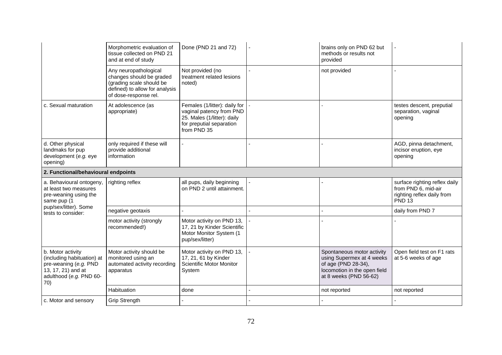|                                                                                                                                  | Morphometric evaluation of<br>tissue collected on PND 21<br>and at end of study                                                          | Done (PND 21 and 72)                                                                                                                | brains only on PND 62 but<br>methods or results not<br>provided                                                                          |                                                                                                     |
|----------------------------------------------------------------------------------------------------------------------------------|------------------------------------------------------------------------------------------------------------------------------------------|-------------------------------------------------------------------------------------------------------------------------------------|------------------------------------------------------------------------------------------------------------------------------------------|-----------------------------------------------------------------------------------------------------|
|                                                                                                                                  | Any neuropathological<br>changes should be graded<br>(grading scale should be<br>defined) to allow for analysis<br>of dose-response rel. | Not provided (no<br>treatment related lesions<br>noted)                                                                             | not provided                                                                                                                             |                                                                                                     |
| c. Sexual maturation                                                                                                             | At adolescence (as<br>appropriate)                                                                                                       | Females (1/litter): daily for<br>vaginal patency from PND<br>25. Males (1/litter): daily<br>for preputial separation<br>from PND 35 |                                                                                                                                          | testes descent, preputial<br>separation, vaginal<br>opening                                         |
| d. Other physical<br>landmaks for pup<br>development (e.g. eye<br>opening)                                                       | only required if these will<br>provide additional<br>information                                                                         |                                                                                                                                     |                                                                                                                                          | AGD, pinna detachment,<br>incisor eruption, eye<br>opening                                          |
| 2. Functional/behavioural endpoints                                                                                              |                                                                                                                                          |                                                                                                                                     |                                                                                                                                          |                                                                                                     |
| a. Behavioural ontogeny,<br>at least two measures<br>pre-weaning using the<br>same pup (1                                        | righting reflex                                                                                                                          | all pups, daily beginning<br>on PND 2 until attainment.                                                                             |                                                                                                                                          | surface righting reflex daily<br>from PND 6, mid-air<br>righting reflex daily from<br><b>PND 13</b> |
| pup/sex/litter). Some<br>tests to consider:                                                                                      | negative geotaxis                                                                                                                        |                                                                                                                                     |                                                                                                                                          | daily from PND 7                                                                                    |
|                                                                                                                                  | motor activity (strongly<br>recommended!)                                                                                                | Motor activity on PND 13,<br>17, 21 by Kinder Scientific<br>Motor Monitor System (1<br>pup/sex/litter)                              |                                                                                                                                          |                                                                                                     |
| b. Motor activity<br>(including habituation) at<br>pre-weaning (e.g. PND<br>13, 17, 21) and at<br>adulthood (e.g. PND 60-<br>70) | Motor activity should be<br>monitored using an<br>automated activity recording<br>apparatus                                              | Motor activity on PND 13,<br>17, 21, 61 by Kinder<br><b>Scientific Motor Monitor</b><br>System                                      | Spontaneous motor activity<br>using Supermex at 4 weeks<br>of age (PND 28-34),<br>locomotion in the open field<br>at 8 weeks (PND 56-62) | Open field test on F1 rats<br>at 5-6 weeks of age                                                   |
|                                                                                                                                  | Habituation                                                                                                                              | done                                                                                                                                | not reported                                                                                                                             | not reported                                                                                        |
| c. Motor and sensory                                                                                                             | <b>Grip Strength</b>                                                                                                                     |                                                                                                                                     |                                                                                                                                          |                                                                                                     |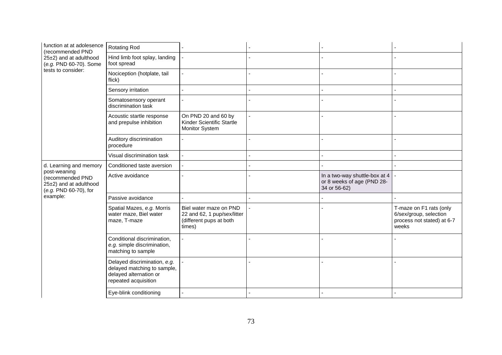| function at at adolesence<br>(recommended PND                                       | <b>Rotating Rod</b>                                                                                           |                                                                                            |                                                                             |                                                                                          |
|-------------------------------------------------------------------------------------|---------------------------------------------------------------------------------------------------------------|--------------------------------------------------------------------------------------------|-----------------------------------------------------------------------------|------------------------------------------------------------------------------------------|
| 25±2) and at adulthood<br>(e.g. PND 60-70). Some                                    | Hind limb foot splay, landing<br>foot spread                                                                  |                                                                                            |                                                                             |                                                                                          |
| tests to consider:                                                                  | Nociception (hotplate, tail<br>flick)                                                                         |                                                                                            |                                                                             |                                                                                          |
|                                                                                     | Sensory irritation                                                                                            |                                                                                            |                                                                             |                                                                                          |
|                                                                                     | Somatosensory operant<br>discrimination task                                                                  |                                                                                            |                                                                             |                                                                                          |
|                                                                                     | Acoustic startle response<br>and prepulse inhibition                                                          | On PND 20 and 60 by<br>Kinder Scientific Startle<br>Monitor System                         |                                                                             |                                                                                          |
|                                                                                     | Auditory discrimination<br>procedure                                                                          |                                                                                            |                                                                             |                                                                                          |
|                                                                                     | Visual discrimination task                                                                                    |                                                                                            |                                                                             |                                                                                          |
| d. Learning and memory                                                              | Conditioned taste aversion                                                                                    |                                                                                            |                                                                             |                                                                                          |
| post-weaning<br>(recommended PND<br>25±2) and at adulthood<br>(e.g. PND 60-70), for | Active avoidance                                                                                              |                                                                                            | In a two-way shuttle-box at 4<br>or 8 weeks of age (PND 28-<br>34 or 56-62) |                                                                                          |
| example:                                                                            | Passive avoidance                                                                                             |                                                                                            |                                                                             |                                                                                          |
|                                                                                     | Spatial Mazes, e.g. Morris<br>water maze, Biel water<br>maze, T-maze                                          | Biel water maze on PND<br>22 and 62, 1 pup/sex/litter<br>(different pups at both<br>times) |                                                                             | T-maze on F1 rats (only<br>6/sex/group, selection<br>process not stated) at 6-7<br>weeks |
|                                                                                     | Conditional discrimination,<br>e.g. simple discrimination,<br>matching to sample                              |                                                                                            |                                                                             |                                                                                          |
|                                                                                     | Delayed discrimination, e.g.<br>delayed matching to sample,<br>delayed alternation or<br>repeated acquisition |                                                                                            |                                                                             |                                                                                          |
|                                                                                     | Eye-blink conditioning                                                                                        |                                                                                            |                                                                             |                                                                                          |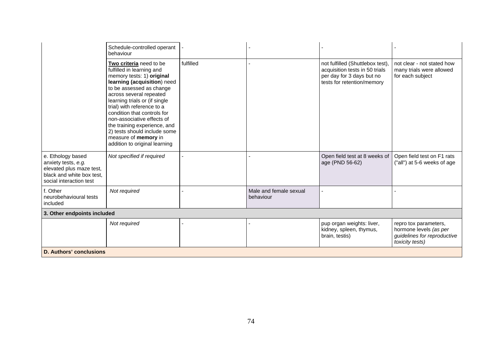|                                                                                                                              | Schedule-controlled operant<br>behaviour                                                                                                                                                                                                                                                                                                                                                                                     |           |                                     |                                                                                                                               |                                                                                                   |
|------------------------------------------------------------------------------------------------------------------------------|------------------------------------------------------------------------------------------------------------------------------------------------------------------------------------------------------------------------------------------------------------------------------------------------------------------------------------------------------------------------------------------------------------------------------|-----------|-------------------------------------|-------------------------------------------------------------------------------------------------------------------------------|---------------------------------------------------------------------------------------------------|
|                                                                                                                              | Two criteria need to be<br>fulfilled in learning and<br>memory tests: 1) original<br>learning (acquisition) need<br>to be assessed as change<br>across several repeated<br>learning trials or (if single<br>trial) with reference to a<br>condition that controls for<br>non-associative effects of<br>the training experience, and<br>2) tests should include some<br>measure of memory in<br>addition to original learning | fulfilled |                                     | not fulfilled (Shuttlebox test),<br>acquisition tests in 50 trials<br>per day for 3 days but no<br>tests for retention/memory | not clear - not stated how<br>many trials were allowed<br>for each subject                        |
| e. Ethology based<br>anxiety tests, e.g.<br>elevated plus maze test,<br>black and white box test,<br>social interaction test | Not specified if required                                                                                                                                                                                                                                                                                                                                                                                                    |           |                                     | Open field test at 8 weeks of<br>age (PND 56-62)                                                                              | Open field test on F1 rats<br>("all") at 5-6 weeks of age                                         |
| f. Other<br>neurobehavioural tests<br>included                                                                               | Not required                                                                                                                                                                                                                                                                                                                                                                                                                 |           | Male and female sexual<br>behaviour |                                                                                                                               |                                                                                                   |
| 3. Other endpoints included                                                                                                  |                                                                                                                                                                                                                                                                                                                                                                                                                              |           |                                     |                                                                                                                               |                                                                                                   |
|                                                                                                                              | Not required                                                                                                                                                                                                                                                                                                                                                                                                                 |           |                                     | pup organ weights: liver,<br>kidney, spleen, thymus,<br>brain, testis)                                                        | repro tox parameters,<br>hormone levels (as per<br>guidelines for reproductive<br>toxicity tests) |
| <b>D. Authors' conclusions</b>                                                                                               |                                                                                                                                                                                                                                                                                                                                                                                                                              |           |                                     |                                                                                                                               |                                                                                                   |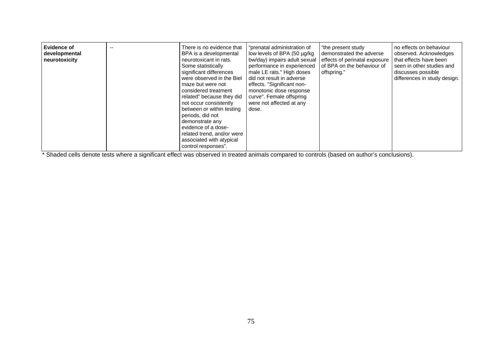| <b>Evidence of</b><br>developmental<br>neurotoxicity | -- | There is no evidence that<br>BPA is a developmental<br>neurotoxicant in rats.<br>Some statistically<br>significant differences<br>were observed in the Biel<br>maze but were not<br>considered treatment<br>related" because they did<br>not occur consistently<br>between or within testing<br>periods, did not<br>demonstrate any<br>evidence of a dose-<br>related trend, and/or were<br>associated with atypical<br>control responses". | "prenatal administration of<br>low levels of BPA (50 µg/kg<br>bw/day) impairs adult sexual<br>performance in experienced<br>male LE rats." High doses<br>did not result in adverse<br>effects. "Significant non-<br>monotonic dose response<br>curve". Female offspring<br>were not affected at any<br>dose. | "the present study<br>demonstrated the adverse<br>effects of perinatal exposure<br>of BPA on the behaviour of<br>offspring." | no effects on behaviour<br>observed. Acknowledges<br>that effects have been<br>seen in other studies and<br>discusses possible<br>differences in study design. |
|------------------------------------------------------|----|---------------------------------------------------------------------------------------------------------------------------------------------------------------------------------------------------------------------------------------------------------------------------------------------------------------------------------------------------------------------------------------------------------------------------------------------|--------------------------------------------------------------------------------------------------------------------------------------------------------------------------------------------------------------------------------------------------------------------------------------------------------------|------------------------------------------------------------------------------------------------------------------------------|----------------------------------------------------------------------------------------------------------------------------------------------------------------|
|------------------------------------------------------|----|---------------------------------------------------------------------------------------------------------------------------------------------------------------------------------------------------------------------------------------------------------------------------------------------------------------------------------------------------------------------------------------------------------------------------------------------|--------------------------------------------------------------------------------------------------------------------------------------------------------------------------------------------------------------------------------------------------------------------------------------------------------------|------------------------------------------------------------------------------------------------------------------------------|----------------------------------------------------------------------------------------------------------------------------------------------------------------|

\* Shaded cells denote tests where a significant effect was observed in treated animals compared to controls (based on author's conclusions).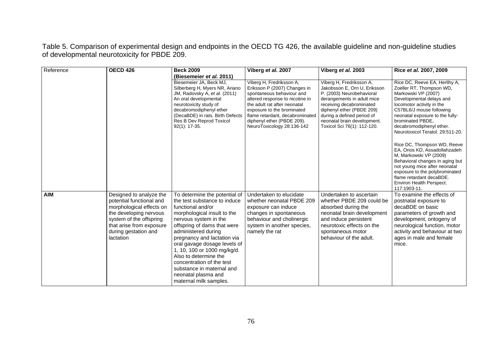Table 5. Comparison of experimental design and endpoints in the OECD TG 426, the available guideline and non-guideline studies of developmental neurotoxicity for PBDE 209.

| Reference  | <b>OECD 426</b>                                                                                                                                                                                       | <b>Beck 2009</b>                                                                                                                                                                                                                                                                                                                                                                                                                   | Viberg et al. 2007                                                                                                                                                                                                                                                                    | Viberg et al. 2003                                                                                                                                                                                                                                                       | Rice et al. 2007, 2009                                                                                                                                                                                                                                                                       |
|------------|-------------------------------------------------------------------------------------------------------------------------------------------------------------------------------------------------------|------------------------------------------------------------------------------------------------------------------------------------------------------------------------------------------------------------------------------------------------------------------------------------------------------------------------------------------------------------------------------------------------------------------------------------|---------------------------------------------------------------------------------------------------------------------------------------------------------------------------------------------------------------------------------------------------------------------------------------|--------------------------------------------------------------------------------------------------------------------------------------------------------------------------------------------------------------------------------------------------------------------------|----------------------------------------------------------------------------------------------------------------------------------------------------------------------------------------------------------------------------------------------------------------------------------------------|
|            |                                                                                                                                                                                                       | (Biesemeier et al. 2011)                                                                                                                                                                                                                                                                                                                                                                                                           |                                                                                                                                                                                                                                                                                       |                                                                                                                                                                                                                                                                          |                                                                                                                                                                                                                                                                                              |
|            |                                                                                                                                                                                                       | Biesemeier JA, Beck MJ,<br>Silberberg H, Myers NR, Ariano<br>JM, Radovsky A, et al. (2011)<br>An oral developmental<br>neurotoxicity study of<br>decabromodiphenyl ether<br>(DecaBDE) in rats. Birth Defects<br>Res B Dev Reprod Toxicol<br>92(1): 17-35.                                                                                                                                                                          | Viberg H, Fredriksson A,<br>Eriksson P (2007) Changes in<br>spontaneous behaviour and<br>altered response to nicotine in<br>the adult rat after neonatal<br>exposure to the brominated<br>flame retardant, decabrominated<br>diphenyl ether (PBDE 209).<br>NeuroToxicology 28:136-142 | Viberg H, Fredriksson A,<br>Jakobsson E, Orn U, Eriksson<br>P. (2003) Neurobehavioral<br>derangements in adult mice<br>receiving decabrominated<br>diphenyl ether (PBDE 209)<br>during a defined period of<br>neonatal brain development.<br>Toxicol Sci 76(1): 112-120. | Rice DC, Reeve EA, Herlihy A,<br>Zoeller RT, Thompson WD,<br>Markowski VP (2007)<br>Developmental delays and<br>locomotor activity in the<br>C57BL6/J mouse following<br>neonatal exposure to the fully-<br>brominated PBDE.<br>decabromodiphenyl ether.<br>Neurotoxicol Teratol, 29:511-20. |
|            |                                                                                                                                                                                                       |                                                                                                                                                                                                                                                                                                                                                                                                                                    |                                                                                                                                                                                                                                                                                       |                                                                                                                                                                                                                                                                          | Rice DC, Thompson WD, Reeve<br>EA, Onos KD, Assadollahzadeh<br>M, Markowski VP (2009)<br>Behavioral changes in aging but<br>not young mice after neonatal<br>exposure to the polybrominated<br>flame retardant decaBDE.<br>Environ Health Perspect.<br>117:1903-11.                          |
| <b>AIM</b> | Designed to analyze the<br>potential functional and<br>morphological effects on<br>the developing nervous<br>system of the offspring<br>that arise from exposure<br>during gestation and<br>lactation | To determine the potential of<br>the test substance to induce<br>functional and/or<br>morphological insult to the<br>nervous system in the<br>offspring of dams that were<br>administered during<br>pregnancy and lactation via<br>oral gavage dosage levels of<br>1, 10, 100 or 1000 mg/kg/d.<br>Also to determine the<br>concentration of the test<br>substance in maternal and<br>neonatal plasma and<br>maternal milk samples. | Undertaken to elucidate<br>whether neonatal PBDE 209<br>exposure can induce<br>changes in spontaneous<br>behaviour and cholinergic<br>system in another species,<br>namely the rat                                                                                                    | Undertaken to ascertain<br>whether PBDE 209 could be<br>absorbed during the<br>neonatal brain development<br>and induce persistent<br>neurotoxic effects on the<br>spontaneous motor<br>behaviour of the adult.                                                          | To examine the effects of<br>postnatal exposure to<br>decaBDE on basic<br>parameters of growth and<br>development, ontogeny of<br>neurological function, motor<br>activity and behaviour at two<br>ages in male and female<br>mice.                                                          |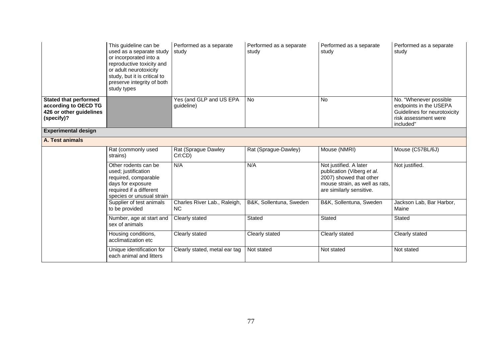|                                                                                               | This guideline can be<br>used as a separate study<br>or incorporated into a<br>reproductive toxicity and<br>or adult neurotoxicity<br>study, but it is critical to<br>preserve integrity of both<br>study types | Performed as a separate<br>study          | Performed as a separate<br>study | Performed as a separate<br>study                                                                                                              | Performed as a separate<br>study                                                                                      |
|-----------------------------------------------------------------------------------------------|-----------------------------------------------------------------------------------------------------------------------------------------------------------------------------------------------------------------|-------------------------------------------|----------------------------------|-----------------------------------------------------------------------------------------------------------------------------------------------|-----------------------------------------------------------------------------------------------------------------------|
| <b>Stated that performed</b><br>according to OECD TG<br>426 or other guidelines<br>(specify)? |                                                                                                                                                                                                                 | Yes (and GLP and US EPA<br>guideline)     | <b>No</b>                        | <b>No</b>                                                                                                                                     | No. "Whenever possible<br>endpoints in the USEPA<br>Guidelines for neurotoxicity<br>risk assessment were<br>included" |
| <b>Experimental design</b>                                                                    |                                                                                                                                                                                                                 |                                           |                                  |                                                                                                                                               |                                                                                                                       |
| A. Test animals                                                                               |                                                                                                                                                                                                                 |                                           |                                  |                                                                                                                                               |                                                                                                                       |
|                                                                                               | Rat (commonly used<br>strains)                                                                                                                                                                                  | Rat (Sprague Dawley<br>Crl:CD)            | Rat (Sprague-Dawley)             | Mouse (NMRI)                                                                                                                                  | Mouse (C57BL/6J)                                                                                                      |
|                                                                                               | Other rodents can be<br>used; justification<br>required, comparable<br>days for exposure<br>required if a different<br>species or unusual strain                                                                | N/A                                       | N/A                              | Not justified. A later<br>publication (Viberg et al.<br>2007) showed that other<br>mouse strain, as well as rats,<br>are similarly sensitive. | Not justified.                                                                                                        |
|                                                                                               | Supplier of test animals<br>to be provided                                                                                                                                                                      | Charles River Lab., Raleigh,<br><b>NC</b> | B&K, Sollentuna, Sweden          | B&K, Sollentuna, Sweden                                                                                                                       | Jackson Lab, Bar Harbor,<br>Maine                                                                                     |
|                                                                                               | Number, age at start and<br>sex of animals                                                                                                                                                                      | Clearly stated                            | Stated                           | Stated                                                                                                                                        | Stated                                                                                                                |
|                                                                                               | Housing conditions,<br>acclimatization etc                                                                                                                                                                      | Clearly stated                            | Clearly stated                   | Clearly stated                                                                                                                                | Clearly stated                                                                                                        |
|                                                                                               | Unique identification for<br>each animal and litters                                                                                                                                                            | Clearly stated, metal ear tag             | Not stated                       | Not stated                                                                                                                                    | Not stated                                                                                                            |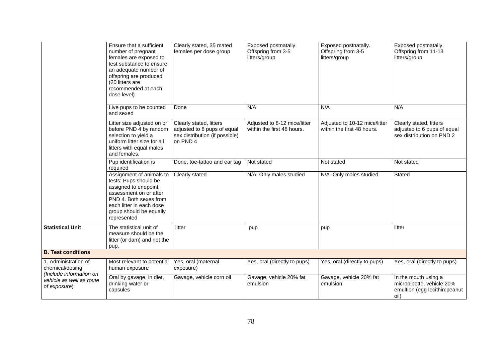|                                                                    | Ensure that a sufficient<br>number of pregnant<br>females are exposed to<br>test substance to ensure<br>an adequate number of<br>offspring are produced<br>(20 litters are<br>recommended at each<br>dose level) | Clearly stated, 35 mated<br>females per dose group                                                   | Exposed postnatally.<br>Offspring from 3-5<br>litters/group | Exposed postnatally.<br>Offspring from 3-5<br>litters/group | Exposed postnatally.<br>Offspring from 11-13<br>litters/group                               |
|--------------------------------------------------------------------|------------------------------------------------------------------------------------------------------------------------------------------------------------------------------------------------------------------|------------------------------------------------------------------------------------------------------|-------------------------------------------------------------|-------------------------------------------------------------|---------------------------------------------------------------------------------------------|
|                                                                    | Live pups to be counted<br>and sexed                                                                                                                                                                             | Done                                                                                                 | N/A                                                         | N/A                                                         | N/A                                                                                         |
|                                                                    | Litter size adjusted on or<br>before PND 4 by random<br>selection to yield a<br>uniform litter size for all<br>litters with equal males<br>and females.                                                          | Clearly stated, litters<br>adjusted to 8 pups of equal<br>sex distribution (if possible)<br>on PND 4 | Adjusted to 8-12 mice/litter<br>within the first 48 hours.  | Adjusted to 10-12 mice/litter<br>within the first 48 hours. | Clearly stated, litters<br>adjusted to 6 pups of equal<br>sex distribution on PND 2         |
|                                                                    | Pup identification is<br>required                                                                                                                                                                                | Done, toe-tattoo and ear tag                                                                         | Not stated                                                  | Not stated                                                  | Not stated                                                                                  |
|                                                                    | Assignment of animals to<br>tests: Pups should be<br>assigned to endpoint<br>assessment on or after<br>PND 4. Both sexes from<br>each litter in each dose<br>group should be equally<br>represented              | Clearly stated                                                                                       | N/A. Only males studied                                     | N/A. Only males studied                                     | Stated                                                                                      |
| <b>Statistical Unit</b>                                            | The statistical unit of<br>measure should be the<br>litter (or dam) and not the<br>pup.                                                                                                                          | litter                                                                                               | pup                                                         | pup                                                         | litter                                                                                      |
| <b>B. Test conditions</b>                                          |                                                                                                                                                                                                                  |                                                                                                      |                                                             |                                                             |                                                                                             |
| 1. Administration of<br>chemical/dosing<br>(Include information on | Most relevant to potential<br>human exposure                                                                                                                                                                     | Yes, oral (maternal<br>exposure)                                                                     | Yes, oral (directly to pups)                                | Yes, oral (directly to pups)                                | Yes, oral (directly to pups)                                                                |
| vehicle as well as route<br>of exposure)                           | Oral by gavage, in diet,<br>drinking water or<br>capsules                                                                                                                                                        | Gavage, vehicle corn oil                                                                             | Gavage, vehicle 20% fat<br>emulsion                         | Gavage, vehicle 20% fat<br>emulsion                         | In the mouth using a<br>micropipette, vehicle 20%<br>emultion (egg lecithin: peanut<br>oil) |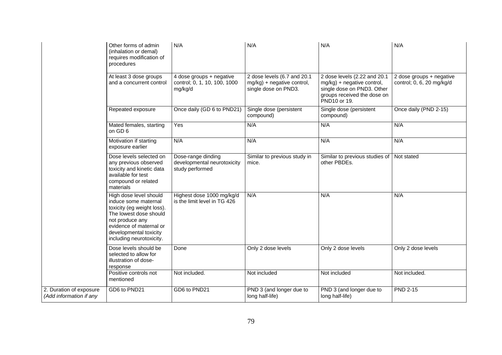|                                                    | Other forms of admin<br>(inhalation or demal)<br>requires modification of<br>procedures                                                                                                                    | N/A                                                                  | N/A                                                                               | N/A                                                                                                                                     | N/A                                                   |
|----------------------------------------------------|------------------------------------------------------------------------------------------------------------------------------------------------------------------------------------------------------------|----------------------------------------------------------------------|-----------------------------------------------------------------------------------|-----------------------------------------------------------------------------------------------------------------------------------------|-------------------------------------------------------|
|                                                    | At least 3 dose groups<br>and a concurrent control                                                                                                                                                         | 4 dose groups + negative<br>control; 0, 1, 10, 100, 1000<br>mg/kg/d  | 2 dose levels (6.7 and 20.1<br>mg/kg) + negative control,<br>single dose on PND3. | 2 dose levels (2.22 and 20.1<br>mg/kg) + negative control,<br>single dose on PND3. Other<br>groups received the dose on<br>PND10 or 19. | 2 dose groups + negative<br>control; 0, 6, 20 mg/kg/d |
|                                                    | Repeated exposure                                                                                                                                                                                          | Once daily (GD 6 to PND21)                                           | Single dose (persistent<br>compound)                                              | Single dose (persistent<br>compound)                                                                                                    | Once daily (PND 2-15)                                 |
|                                                    | Mated females, starting<br>on GD 6                                                                                                                                                                         | Yes                                                                  | N/A                                                                               | N/A                                                                                                                                     | N/A                                                   |
|                                                    | Motivation if starting<br>exposure earlier                                                                                                                                                                 | N/A                                                                  | N/A                                                                               | N/A                                                                                                                                     | N/A                                                   |
|                                                    | Dose levels selected on<br>any previous observed<br>toxicity and kinetic data<br>available for test<br>compound or related<br>materials                                                                    | Dose-range dinding<br>developmental neurotoxicity<br>study performed | Similar to previous study in<br>mice.                                             | Similar to previous studies of<br>other PBDEs.                                                                                          | Not stated                                            |
|                                                    | High dose level should<br>induce some maternal<br>toxicity (eg weight loss).<br>The lowest dose should<br>not produce any<br>evidence of maternal or<br>developmental toxicity<br>including neurotoxicity. | Highest dose 1000 mg/kg/d<br>is the limit level in TG 426            | N/A                                                                               | N/A                                                                                                                                     | N/A                                                   |
|                                                    | Dose levels should be<br>selected to allow for<br>illustration of dose-<br>response                                                                                                                        | Done                                                                 | Only 2 dose levels                                                                | Only 2 dose levels                                                                                                                      | Only 2 dose levels                                    |
|                                                    | Positive controls not<br>mentioned                                                                                                                                                                         | Not included.                                                        | Not included                                                                      | Not included                                                                                                                            | Not included.                                         |
| 2. Duration of exposure<br>(Add information if any | GD6 to PND21                                                                                                                                                                                               | GD6 to PND21                                                         | PND 3 (and longer due to<br>long half-life)                                       | PND 3 (and longer due to<br>long half-life)                                                                                             | <b>PND 2-15</b>                                       |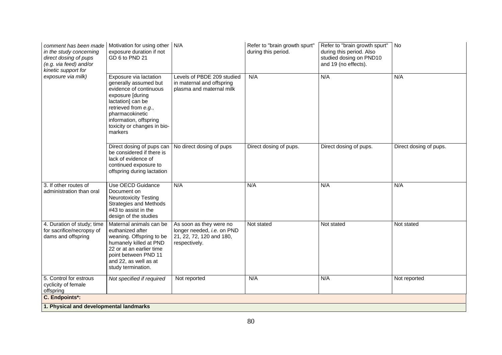| comment has been made<br>in the study concerning<br>direct dosing of pups<br>(e.g. via feed) and/or<br>kinetic support for<br>exposure via milk) | Motivation for using other   N/A<br>exposure duration if not<br>GD 6 to PND 21                                                                                                                                                    |                                                                                                    | Refer to "brain growth spurt"<br>during this period. | Refer to "brain growth spurt"<br>during this period. Also<br>studied dosing on PND10<br>and 19 (no effects). | No                     |
|--------------------------------------------------------------------------------------------------------------------------------------------------|-----------------------------------------------------------------------------------------------------------------------------------------------------------------------------------------------------------------------------------|----------------------------------------------------------------------------------------------------|------------------------------------------------------|--------------------------------------------------------------------------------------------------------------|------------------------|
|                                                                                                                                                  | Exposure via lactation<br>generally assumed but<br>evidence of continuous<br>exposure [during<br>lactation] can be<br>retrieved from e.g.,<br>pharmacokinetic<br>information, offspring<br>toxicity or changes in bio-<br>markers | Levels of PBDE 209 studied<br>in maternal and offspring<br>plasma and maternal milk                | N/A                                                  | N/A                                                                                                          | N/A                    |
|                                                                                                                                                  | Direct dosing of pups can   No direct dosing of pups<br>be considered if there is<br>lack of evidence of<br>continued exposure to<br>offspring during lactation                                                                   |                                                                                                    | Direct dosing of pups.                               | Direct dosing of pups.                                                                                       | Direct dosing of pups. |
| 3. If other routes of<br>administration than oral                                                                                                | Use OECD Guidance<br>Document on<br><b>Neurotoxicity Testing</b><br><b>Strategies and Methods</b><br>#43 to assist in the<br>design of the studies                                                                                | N/A                                                                                                | N/A                                                  | N/A                                                                                                          | N/A                    |
| 4. Duration of study; time<br>for sacrifice/necropsy of<br>dams and offspring                                                                    | Maternal animals can be<br>euthanized after<br>weaning. Offspring to be<br>humanely killed at PND<br>22 or at an earlier time<br>point between PND 11<br>and 22, as well as at<br>study termination.                              | As soon as they were no<br>longer needed, i.e. on PND<br>21, 22, 72, 120 and 180,<br>respectively. | Not stated                                           | Not stated                                                                                                   | Not stated             |
| 5. Control for estrous<br>cyclicity of female<br>offspring                                                                                       | Not specified if required                                                                                                                                                                                                         | Not reported                                                                                       | N/A                                                  | N/A                                                                                                          | Not reported           |
| C. Endpoints*:                                                                                                                                   |                                                                                                                                                                                                                                   |                                                                                                    |                                                      |                                                                                                              |                        |
| 1. Physical and developmental landmarks                                                                                                          |                                                                                                                                                                                                                                   |                                                                                                    |                                                      |                                                                                                              |                        |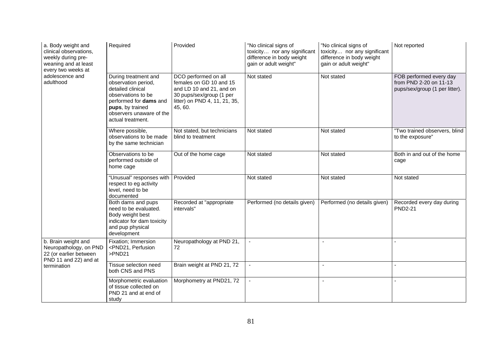| a. Body weight and<br>clinical observations,<br>weekly during pre-<br>weaning and at least<br>every two weeks at<br>adolescence and<br>adulthood | Required                                                                                                                                                                              | Provided                                                                                                                                            | "No clinical signs of<br>toxicity nor any significant<br>difference in body weight<br>gain or adult weight" | "No clinical signs of<br>toxicity nor any significant<br>difference in body weight<br>gain or adult weight" | Not reported                                                                        |
|--------------------------------------------------------------------------------------------------------------------------------------------------|---------------------------------------------------------------------------------------------------------------------------------------------------------------------------------------|-----------------------------------------------------------------------------------------------------------------------------------------------------|-------------------------------------------------------------------------------------------------------------|-------------------------------------------------------------------------------------------------------------|-------------------------------------------------------------------------------------|
|                                                                                                                                                  | During treatment and<br>observation period,<br>detailed clinical<br>observations to be<br>performed for dams and<br>pups, by trained<br>observers unaware of the<br>actual treatment. | DCO performed on all<br>females on GD 10 and 15<br>and LD 10 and 21, and on<br>30 pups/sex/group (1 per<br>litter) on PND 4, 11, 21, 35,<br>45, 60. | Not stated                                                                                                  | Not stated                                                                                                  | FOB performed every day<br>from PND 2-20 on 11-13<br>pups/sex/group (1 per litter). |
|                                                                                                                                                  | Where possible,<br>observations to be made<br>by the same technician                                                                                                                  | Not stated, but technicians<br>blind to treatment                                                                                                   | Not stated                                                                                                  | Not stated                                                                                                  | "Two trained observers, blind<br>to the exposure"                                   |
|                                                                                                                                                  | Observations to be<br>performed outside of<br>home cage                                                                                                                               | Out of the home cage                                                                                                                                | Not stated                                                                                                  | Not stated                                                                                                  | Both in and out of the home<br>cage                                                 |
|                                                                                                                                                  | "Unusual" responses with<br>respect to eg activity<br>level, need to be<br>documented                                                                                                 | Provided                                                                                                                                            | Not stated                                                                                                  | Not stated                                                                                                  | Not stated                                                                          |
|                                                                                                                                                  | Both dams and pups<br>need to be evaluated.<br>Body weight best<br>indicator for dam toxicity<br>and pup physical<br>development                                                      | Recorded at "appropriate<br>intervals"                                                                                                              | Performed (no details given)                                                                                | Performed (no details given)                                                                                | Recorded every day during<br><b>PND2-21</b>                                         |
| b. Brain weight and<br>Neuropathology, on PND<br>22 (or earlier between<br>PND 11 and 22) and at<br>termination                                  | Fixation; Immersion<br><pnd21, perfusion<br="">&gt;PND21</pnd21,>                                                                                                                     | Neuropathology at PND 21,<br>72                                                                                                                     |                                                                                                             |                                                                                                             |                                                                                     |
|                                                                                                                                                  | Tissue selection need<br>both CNS and PNS                                                                                                                                             | Brain weight at PND 21, 72                                                                                                                          |                                                                                                             | $\overline{\phantom{a}}$                                                                                    |                                                                                     |
|                                                                                                                                                  | Morphometric evaluation<br>of tissue collected on<br>PND 21 and at end of<br>study                                                                                                    | Morphometry at PND21, 72                                                                                                                            | $\blacksquare$                                                                                              | $\sim$                                                                                                      |                                                                                     |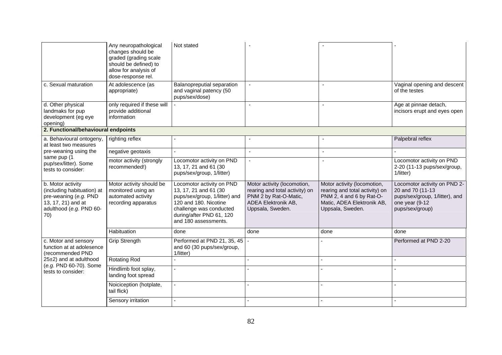|                                                                                                                                  | Any neuropathological<br>changes should be<br>graded (grading scale<br>should be defined) to<br>allow for analysis of<br>dose-response rel. | Not stated                                                                                                                                                                                  |                                                                                                                                   |                                                                                                                                             |                                                                                                                         |
|----------------------------------------------------------------------------------------------------------------------------------|---------------------------------------------------------------------------------------------------------------------------------------------|---------------------------------------------------------------------------------------------------------------------------------------------------------------------------------------------|-----------------------------------------------------------------------------------------------------------------------------------|---------------------------------------------------------------------------------------------------------------------------------------------|-------------------------------------------------------------------------------------------------------------------------|
| c. Sexual maturation                                                                                                             | At adolescence (as<br>appropriate)                                                                                                          | Balanopreputial separation<br>and vaginal patency (50<br>pups/sex/dose)                                                                                                                     | $\sim$                                                                                                                            | $\blacksquare$                                                                                                                              | Vaginal opening and descent<br>of the testes                                                                            |
| d. Other physical<br>landmaks for pup<br>development (eg eye<br>opening)                                                         | only required if these will<br>provide additional<br>information                                                                            |                                                                                                                                                                                             |                                                                                                                                   |                                                                                                                                             | Age at pinnae detach,<br>incisors erupt and eyes open                                                                   |
| 2. Functional/behavioural endpoints                                                                                              |                                                                                                                                             |                                                                                                                                                                                             |                                                                                                                                   |                                                                                                                                             |                                                                                                                         |
| a. Behavioural ontogeny,<br>at least two measures                                                                                | righting reflex                                                                                                                             |                                                                                                                                                                                             |                                                                                                                                   |                                                                                                                                             | Palpebral reflex                                                                                                        |
| pre-weaning using the<br>same pup (1                                                                                             | negative geotaxis                                                                                                                           |                                                                                                                                                                                             | $\sim$                                                                                                                            | $\sim$                                                                                                                                      |                                                                                                                         |
| pup/sex/litter). Some<br>tests to consider:                                                                                      | motor activity (strongly<br>recommended!)                                                                                                   | Locomotor activity on PND<br>13, 17, 21 and 61 (30<br>pups/sex/group, 1/litter)                                                                                                             | $\sim$                                                                                                                            | $\overline{a}$                                                                                                                              | Locomotor activity on PND<br>2-20 (11-13 pups/sex/group,<br>1/litter)                                                   |
| b. Motor activity<br>(including habituation) at<br>pre-weaning (e.g. PND<br>13, 17, 21) and at<br>adulthood (e.g. PND 60-<br>70) | Motor activity should be<br>monitored using an<br>automated activity<br>recording apparatus                                                 | Locomotor activity on PND<br>13, 17, 21 and 61 (30<br>pups/sex/group, 1/litter) and<br>120 and 180. Nicotine<br>challenge was conducted<br>during/after PND 61, 120<br>and 180 assessments. | Motor activity (locomotion,<br>rearing and total activity) on<br>PNM 2 by Rat-O-Matic,<br>ADEA Elektronik AB,<br>Uppsala, Sweden. | Motor activity (locomotion,<br>rearing and total activity) on<br>PNM 2, 4 and 6 by Rat-O-<br>Matic, ADEA Elektronik AB,<br>Uppsala, Sweden. | Locomotor activity on PND 2-<br>20 and 70 (11-13<br>pups/sex/group, 1/litter), and<br>one year (9-12<br>pups/sex/group) |
|                                                                                                                                  | Habituation                                                                                                                                 | done                                                                                                                                                                                        | done                                                                                                                              | done                                                                                                                                        | done                                                                                                                    |
| c. Motor and sensory<br>function at at adolesence<br>(recommended PND                                                            | Grip Strength                                                                                                                               | Performed at PND 21, 35, 45<br>and 60 (30 pups/sex/group,<br>1/litter)                                                                                                                      |                                                                                                                                   |                                                                                                                                             | Performed at PND 2-20                                                                                                   |
| 25±2) and at adulthood<br>(e.g. PND 60-70). Some<br>tests to consider:                                                           | <b>Rotating Rod</b>                                                                                                                         |                                                                                                                                                                                             | $\overline{a}$                                                                                                                    |                                                                                                                                             |                                                                                                                         |
|                                                                                                                                  | Hindlimb foot splay,<br>landing foot spread                                                                                                 |                                                                                                                                                                                             |                                                                                                                                   |                                                                                                                                             |                                                                                                                         |
|                                                                                                                                  | Noiciception (hotplate,<br>tail flick)                                                                                                      |                                                                                                                                                                                             |                                                                                                                                   |                                                                                                                                             |                                                                                                                         |
|                                                                                                                                  | Sensory irritation                                                                                                                          |                                                                                                                                                                                             |                                                                                                                                   |                                                                                                                                             |                                                                                                                         |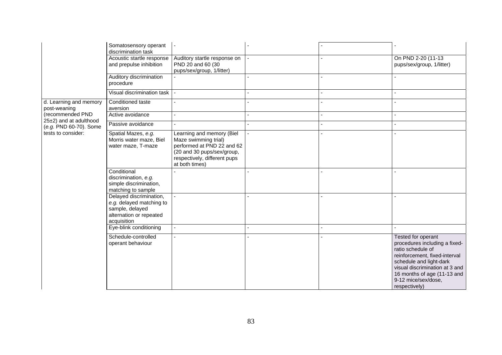|                                                  | Somatosensory operant<br>discrimination task                                                                     |                                                                                                                                                                 |  |                                                                                                                                                                                                                                                      |
|--------------------------------------------------|------------------------------------------------------------------------------------------------------------------|-----------------------------------------------------------------------------------------------------------------------------------------------------------------|--|------------------------------------------------------------------------------------------------------------------------------------------------------------------------------------------------------------------------------------------------------|
|                                                  | Acoustic startle response<br>and prepulse inhibition                                                             | Auditory startle response on<br>PND 20 and 60 (30<br>pups/sex/group, 1/litter)                                                                                  |  | On PND 2-20 (11-13<br>pups/sex/group, 1/litter)                                                                                                                                                                                                      |
|                                                  | Auditory discrimination<br>procedure                                                                             |                                                                                                                                                                 |  |                                                                                                                                                                                                                                                      |
|                                                  | Visual discrimination task                                                                                       |                                                                                                                                                                 |  |                                                                                                                                                                                                                                                      |
| d. Learning and memory<br>post-weaning           | Conditioned taste<br>aversion                                                                                    |                                                                                                                                                                 |  |                                                                                                                                                                                                                                                      |
| (recommended PND                                 | Active avoidance                                                                                                 |                                                                                                                                                                 |  |                                                                                                                                                                                                                                                      |
| 25±2) and at adulthood<br>(e.g. PND 60-70). Some | Passive avoidance                                                                                                |                                                                                                                                                                 |  |                                                                                                                                                                                                                                                      |
| tests to consider:                               | Spatial Mazes, e.g.<br>Morris water maze, Biel<br>water maze, T-maze                                             | Learning and memory (Biel<br>Maze swimming trial)<br>performed at PND 22 and 62<br>(20 and 30 pups/sex/group,<br>respectively, different pups<br>at both times) |  |                                                                                                                                                                                                                                                      |
|                                                  | Conditional<br>discrimination, e.g.<br>simple discrimination,<br>matching to sample                              |                                                                                                                                                                 |  |                                                                                                                                                                                                                                                      |
|                                                  | Delayed discrimination,<br>e.g. delayed matching to<br>sample, delayed<br>alternation or repeated<br>acquisition |                                                                                                                                                                 |  |                                                                                                                                                                                                                                                      |
|                                                  | Eye-blink conditioning                                                                                           |                                                                                                                                                                 |  |                                                                                                                                                                                                                                                      |
|                                                  | Schedule-controlled<br>operant behaviour                                                                         |                                                                                                                                                                 |  | <b>Tested for operant</b><br>procedures including a fixed-<br>ratio schedule of<br>reinforcement, fixed-interval<br>schedule and light-dark<br>visual discrimination at 3 and<br>16 months of age (11-13 and<br>9-12 mice/sex/dose,<br>respectively) |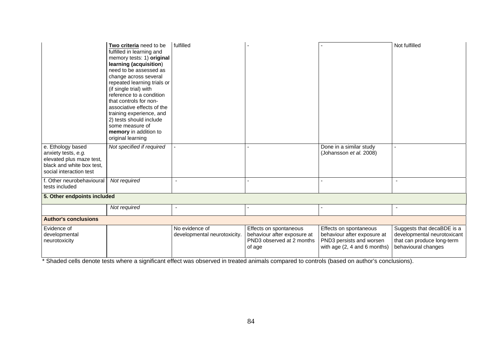|                                                                                                                              | Two criteria need to be<br>fulfilled in learning and<br>memory tests: 1) original<br>learning (acquisition)<br>need to be assessed as<br>change across several<br>repeated learning trials or<br>(if single trial) with<br>reference to a condition<br>that controls for non-<br>associative effects of the<br>training experience, and<br>2) tests should include<br>some measure of<br>memory in addition to<br>original learning | fulfilled                                      |                                                                                              |                                                                                                                     | Not fulfilled                                                                                                  |
|------------------------------------------------------------------------------------------------------------------------------|-------------------------------------------------------------------------------------------------------------------------------------------------------------------------------------------------------------------------------------------------------------------------------------------------------------------------------------------------------------------------------------------------------------------------------------|------------------------------------------------|----------------------------------------------------------------------------------------------|---------------------------------------------------------------------------------------------------------------------|----------------------------------------------------------------------------------------------------------------|
| e. Ethology based<br>anxiety tests, e.g.<br>elevated plus maze test,<br>black and white box test,<br>social interaction test | Not specified if required                                                                                                                                                                                                                                                                                                                                                                                                           |                                                |                                                                                              | Done in a similar study<br>(Johansson et al. 2008)                                                                  |                                                                                                                |
| f. Other neurobehavioural<br>tests included                                                                                  | Not required                                                                                                                                                                                                                                                                                                                                                                                                                        | $\blacksquare$                                 |                                                                                              |                                                                                                                     |                                                                                                                |
| 5. Other endpoints included                                                                                                  |                                                                                                                                                                                                                                                                                                                                                                                                                                     |                                                |                                                                                              |                                                                                                                     |                                                                                                                |
|                                                                                                                              | Not required                                                                                                                                                                                                                                                                                                                                                                                                                        | $\overline{\phantom{a}}$                       | $\blacksquare$                                                                               |                                                                                                                     | $\overline{\phantom{a}}$                                                                                       |
| <b>Author's conclusions</b>                                                                                                  |                                                                                                                                                                                                                                                                                                                                                                                                                                     |                                                |                                                                                              |                                                                                                                     |                                                                                                                |
| Evidence of<br>developmental<br>neurotoxicity                                                                                |                                                                                                                                                                                                                                                                                                                                                                                                                                     | No evidence of<br>developmental neurotoxicity. | Effects on spontaneous<br>behaviour after exposure at<br>PND3 observed at 2 months<br>of age | Effects on spontaneous<br>behaviour after exposure at<br>PND3 persists and worsen<br>with age $(2, 4$ and 6 months) | Suggests that decaBDE is a<br>developmental neurotoxicant<br>that can produce long-term<br>behavioural changes |

 $\frac{1}{1}$ <br>\* Shaded cells denote tests where a significant effect was observed in treated animals compared to controls (based on author's conclusions).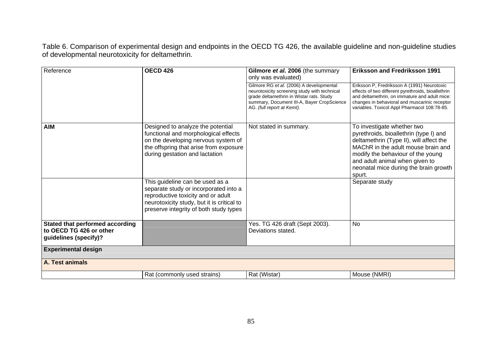Table 6. Comparison of experimental design and endpoints in the OECD TG 426, the available guideline and non-guideline studies of developmental neurotoxicity for deltamethrin.

| Reference                                                                           | <b>OECD 426</b>                                                                                                                                                                                        | Gilmore et al. 2006 (the summary<br>only was evaluated)                                                                                                                                                          | <b>Eriksson and Fredriksson 1991</b>                                                                                                                                                                                                                                            |
|-------------------------------------------------------------------------------------|--------------------------------------------------------------------------------------------------------------------------------------------------------------------------------------------------------|------------------------------------------------------------------------------------------------------------------------------------------------------------------------------------------------------------------|---------------------------------------------------------------------------------------------------------------------------------------------------------------------------------------------------------------------------------------------------------------------------------|
|                                                                                     |                                                                                                                                                                                                        | Gilmore RG et al. (2006) A developmental<br>neurotoxicity screening study with technical<br>grade deltamethrin in Wistar rats. Study<br>summary, Document III-A, Bayer CropScience<br>AG. (full report at Keml). | Eriksson P, Fredriksson A (1991) Neurotoxic<br>effects of two different pyrethroids, bioallethrin<br>and deltamethrin, on immature and adult mice:<br>changes in behavioral and muscarinic receptor<br>variables. Toxicol Appl Pharmacol 108:78-85.                             |
| <b>AIM</b>                                                                          | Designed to analyze the potential<br>functional and morphological effects<br>on the developing nervous system of<br>the offspring that arise from exposure<br>during gestation and lactation           | Not stated in summary.                                                                                                                                                                                           | To investigate whether two<br>pyrethroids, bioallethrin (type I) and<br>deltamethrin (Type II), will affect the<br>MAChR in the adult mouse brain and<br>modify the behaviour of the young<br>and adult animal when given to<br>neonatal mice during the brain growth<br>spurt. |
|                                                                                     | This guideline can be used as a<br>separate study or incorporated into a<br>reproductive toxicity and or adult<br>neurotoxicity study, but it is critical to<br>preserve integrity of both study types |                                                                                                                                                                                                                  | Separate study                                                                                                                                                                                                                                                                  |
| Stated that performed according<br>to OECD TG 426 or other<br>guidelines (specify)? |                                                                                                                                                                                                        | Yes. TG 426 draft (Sept 2003).<br>Deviations stated.                                                                                                                                                             | <b>No</b>                                                                                                                                                                                                                                                                       |
| <b>Experimental design</b>                                                          |                                                                                                                                                                                                        |                                                                                                                                                                                                                  |                                                                                                                                                                                                                                                                                 |
| A. Test animals                                                                     |                                                                                                                                                                                                        |                                                                                                                                                                                                                  |                                                                                                                                                                                                                                                                                 |
|                                                                                     | Rat (commonly used strains)                                                                                                                                                                            | Rat (Wistar)                                                                                                                                                                                                     | Mouse (NMRI)                                                                                                                                                                                                                                                                    |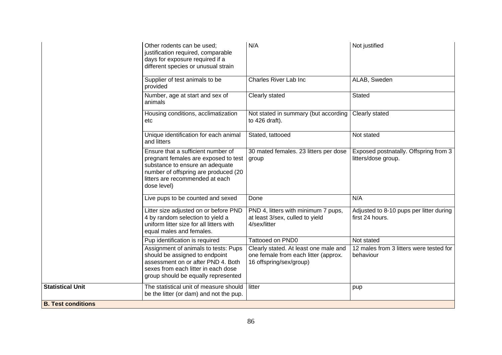|                           | Other rodents can be used:<br>justification required, comparable<br>days for exposure required if a<br>different species or unusual strain                                                              | N/A                                                                                                      | Not justified                                                |
|---------------------------|---------------------------------------------------------------------------------------------------------------------------------------------------------------------------------------------------------|----------------------------------------------------------------------------------------------------------|--------------------------------------------------------------|
|                           | Supplier of test animals to be<br>provided                                                                                                                                                              | <b>Charles River Lab Inc</b>                                                                             | ALAB, Sweden                                                 |
|                           | Number, age at start and sex of<br>animals                                                                                                                                                              | Clearly stated                                                                                           | <b>Stated</b>                                                |
|                           | Housing conditions, acclimatization<br>etc                                                                                                                                                              | Not stated in summary (but according<br>to $426$ draft).                                                 | Clearly stated                                               |
|                           | Unique identification for each animal<br>and litters                                                                                                                                                    | Stated, tattooed                                                                                         | Not stated                                                   |
|                           | Ensure that a sufficient number of<br>pregnant females are exposed to test<br>substance to ensure an adequate<br>number of offspring are produced (20<br>litters are recommended at each<br>dose level) | 30 mated females. 23 litters per dose<br>group                                                           | Exposed postnatally. Offspring from 3<br>litters/dose group. |
|                           | Live pups to be counted and sexed                                                                                                                                                                       | Done                                                                                                     | N/A                                                          |
|                           | Litter size adjusted on or before PND<br>4 by random selection to yield a<br>uniform litter size for all litters with<br>equal males and females.                                                       | PND 4, litters with minimum 7 pups,<br>at least 3/sex, culled to yield<br>4/sex/litter                   | Adjusted to 8-10 pups per litter during<br>first 24 hours.   |
|                           | Pup identification is required                                                                                                                                                                          | Tattooed on PND0                                                                                         | Not stated                                                   |
|                           | Assignment of animals to tests: Pups<br>should be assigned to endpoint<br>assessment on or after PND 4. Both<br>sexes from each litter in each dose<br>group should be equally represented              | Clearly stated. At least one male and<br>one female from each litter (approx.<br>16 offspring/sex/group) | 12 males from 3 litters were tested for<br>behaviour         |
| <b>Statistical Unit</b>   | The statistical unit of measure should<br>be the litter (or dam) and not the pup.                                                                                                                       | litter                                                                                                   | pup                                                          |
| <b>B. Test conditions</b> |                                                                                                                                                                                                         |                                                                                                          |                                                              |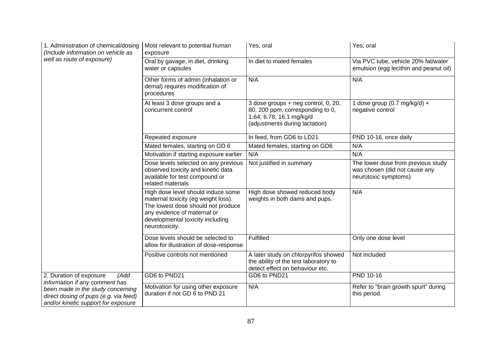| 1. Administration of chemical/dosing<br>(Include information on vehicle as                                                                          | Most relevant to potential human<br>exposure                                                                                                                                                         | Yes, oral                                                                                                                             | Yes, oral                                                                                   |
|-----------------------------------------------------------------------------------------------------------------------------------------------------|------------------------------------------------------------------------------------------------------------------------------------------------------------------------------------------------------|---------------------------------------------------------------------------------------------------------------------------------------|---------------------------------------------------------------------------------------------|
| well as route of exposure)                                                                                                                          | Oral by gavage, in diet, drinking<br>water or capsules                                                                                                                                               | In diet to mated females                                                                                                              | Via PVC tube, vehicle 20% fat/water<br>emulsion (egg lecithin and peanut oil)               |
|                                                                                                                                                     | Other forms of admin (inhalation or<br>demal) requires modification of<br>procedures                                                                                                                 | N/A                                                                                                                                   | N/A                                                                                         |
|                                                                                                                                                     | At least 3 dose groups and a<br>concurrent control                                                                                                                                                   | 3 dose groups + neg control, 0, 20,<br>80, 200 ppm, corresponding to 0,<br>1.64, 6.78, 16.1 mg/kg/d<br>(adjustments during lactation) | 1 dose group (0.7 mg/kg/d) +<br>negative control                                            |
|                                                                                                                                                     | Repeated exposure                                                                                                                                                                                    | In feed, from GD6 to LD21                                                                                                             | PND 10-16, once daily                                                                       |
|                                                                                                                                                     | Mated females, starting on GD 6                                                                                                                                                                      | Mated females, starting on GD6                                                                                                        | N/A                                                                                         |
|                                                                                                                                                     | Motivation if starting exposure earlier                                                                                                                                                              | N/A                                                                                                                                   | N/A                                                                                         |
|                                                                                                                                                     | Dose levels selected on any previous<br>observed toxicity and kinetic data<br>available for test compound or<br>related materials                                                                    | Not justified in summary                                                                                                              | The lower dose from previous study<br>was chosen (did not cause any<br>neurotoxic symptoms) |
|                                                                                                                                                     | High dose level should induce some<br>maternal toxicity (eg weight loss).<br>The lowest dose should not produce<br>any evidence of maternal or<br>developmental toxicity including<br>neurotoxicity. | High dose showed reduced body<br>weights in both dams and pups.                                                                       | N/A                                                                                         |
|                                                                                                                                                     | Dose levels should be selected to<br>allow for illustration of dose-response                                                                                                                         | Fulfilled                                                                                                                             | Only one dose level                                                                         |
|                                                                                                                                                     | Positive controls not mentioned                                                                                                                                                                      | A later study on chlorpyrifos showed<br>the ability of the test laboratory to<br>detect effect on behaviour etc.                      | Not included                                                                                |
| 2. Duration of exposure<br>(Add                                                                                                                     | GD6 to PND21                                                                                                                                                                                         | GD6 to PND21                                                                                                                          | <b>PND 10-16</b>                                                                            |
| information if any comment has<br>been made in the study concerning<br>direct dosing of pups (e.g. via feed)<br>and/or kinetic support for exposure | Motivation for using other exposure<br>duration if not GD 6 to PND 21                                                                                                                                | N/A                                                                                                                                   | Refer to "brain growth spurt" during<br>this period.                                        |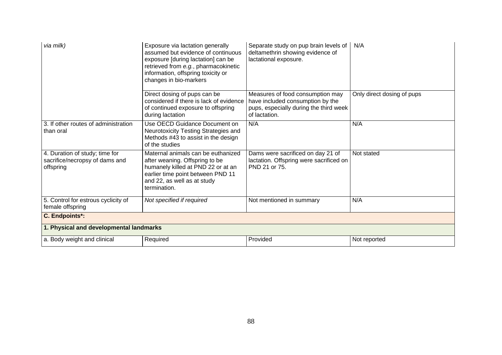| via milk)                                                                     | Exposure via lactation generally<br>assumed but evidence of continuous<br>exposure [during lactation] can be<br>retrieved from e.g., pharmacokinetic<br>information, offspring toxicity or<br>changes in bio-markers | Separate study on pup brain levels of<br>deltamethrin showing evidence of<br>lactational exposure.                              | N/A                        |  |
|-------------------------------------------------------------------------------|----------------------------------------------------------------------------------------------------------------------------------------------------------------------------------------------------------------------|---------------------------------------------------------------------------------------------------------------------------------|----------------------------|--|
|                                                                               | Direct dosing of pups can be<br>considered if there is lack of evidence<br>of continued exposure to offspring<br>during lactation                                                                                    | Measures of food consumption may<br>have included consumption by the<br>pups, especially during the third week<br>of lactation. | Only direct dosing of pups |  |
| 3. If other routes of administration<br>than oral                             | Use OECD Guidance Document on<br>Neurotoxicity Testing Strategies and<br>Methods #43 to assist in the design<br>of the studies                                                                                       | N/A                                                                                                                             | N/A                        |  |
| 4. Duration of study; time for<br>sacrifice/necropsy of dams and<br>offspring | Maternal animals can be euthanized<br>after weaning. Offspring to be<br>humanely killed at PND 22 or at an<br>earlier time point between PND 11<br>and 22, as well as at study<br>termination.                       | Dams were sacrificed on day 21 of<br>lactation. Offspring were sacrificed on<br>PND 21 or 75.                                   | Not stated                 |  |
| 5. Control for estrous cyclicity of<br>female offspring                       | Not specified if required                                                                                                                                                                                            | Not mentioned in summary                                                                                                        | N/A                        |  |
| C. Endpoints*:                                                                |                                                                                                                                                                                                                      |                                                                                                                                 |                            |  |
| 1. Physical and developmental landmarks                                       |                                                                                                                                                                                                                      |                                                                                                                                 |                            |  |
| a. Body weight and clinical                                                   | Required                                                                                                                                                                                                             | Provided                                                                                                                        | Not reported               |  |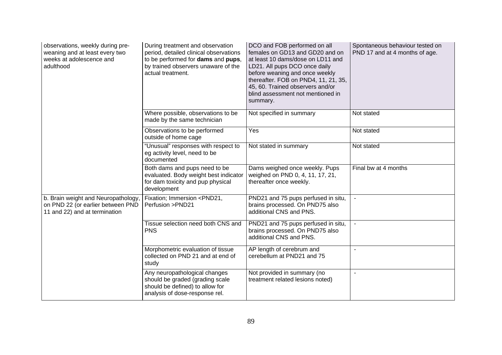| observations, weekly during pre-<br>weaning and at least every two<br>weeks at adolescence and<br>adulthood | During treatment and observation<br>period, detailed clinical observations<br>to be performed for dams and pups,<br>by trained observers unaware of the<br>actual treatment. | DCO and FOB performed on all<br>females on GD13 and GD20 and on<br>at least 10 dams/dose on LD11 and<br>LD21. All pups DCO once daily<br>before weaning and once weekly<br>thereafter. FOB on PND4, 11, 21, 35,<br>45, 60. Trained observers and/or<br>blind assessment not mentioned in<br>summary. | Spontaneous behaviour tested on<br>PND 17 and at 4 months of age. |
|-------------------------------------------------------------------------------------------------------------|------------------------------------------------------------------------------------------------------------------------------------------------------------------------------|------------------------------------------------------------------------------------------------------------------------------------------------------------------------------------------------------------------------------------------------------------------------------------------------------|-------------------------------------------------------------------|
|                                                                                                             | Where possible, observations to be<br>made by the same technician                                                                                                            | Not specified in summary                                                                                                                                                                                                                                                                             | Not stated                                                        |
|                                                                                                             | Observations to be performed<br>outside of home cage                                                                                                                         | Yes                                                                                                                                                                                                                                                                                                  | Not stated                                                        |
|                                                                                                             | "Unusual" responses with respect to<br>eg activity level, need to be<br>documented                                                                                           | Not stated in summary                                                                                                                                                                                                                                                                                | Not stated                                                        |
|                                                                                                             | Both dams and pups need to be<br>evaluated. Body weight best indicator<br>for dam toxicity and pup physical<br>development                                                   | Dams weighed once weekly. Pups<br>weighed on PND 0, 4, 11, 17, 21,<br>thereafter once weekly.                                                                                                                                                                                                        | Final bw at 4 months                                              |
| b. Brain weight and Neuropathology,<br>on PND 22 (or earlier between PND<br>11 and 22) and at termination   | Fixation; Immersion <pnd21,<br>Perfusion &gt;PND21</pnd21,<br>                                                                                                               | PND21 and 75 pups perfused in situ,<br>brains processed. On PND75 also<br>additional CNS and PNS.                                                                                                                                                                                                    |                                                                   |
|                                                                                                             | Tissue selection need both CNS and<br><b>PNS</b>                                                                                                                             | PND21 and 75 pups perfused in situ,<br>brains processed. On PND75 also<br>additional CNS and PNS.                                                                                                                                                                                                    |                                                                   |
|                                                                                                             | Morphometric evaluation of tissue<br>collected on PND 21 and at end of<br>study                                                                                              | AP length of cerebrum and<br>cerebellum at PND21 and 75                                                                                                                                                                                                                                              | $\blacksquare$                                                    |
|                                                                                                             | Any neuropathological changes<br>should be graded (grading scale<br>should be defined) to allow for<br>analysis of dose-response rel.                                        | Not provided in summary (no<br>treatment related lesions noted)                                                                                                                                                                                                                                      | $\sim$                                                            |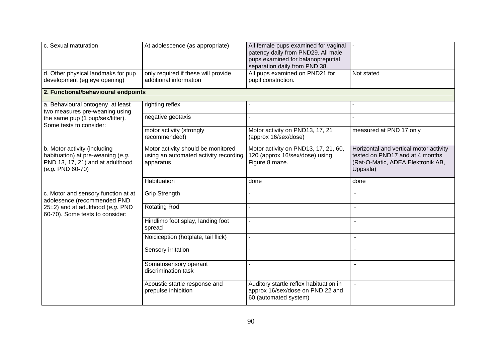| c. Sexual maturation<br>At adolescence (as appropriate)                                                                     |                                                                                          | All female pups examined for vaginal<br>patency daily from PND29. All male<br>pups examined for balanopreputial<br>separation daily from PND 38. |                                                                                                                            |  |
|-----------------------------------------------------------------------------------------------------------------------------|------------------------------------------------------------------------------------------|--------------------------------------------------------------------------------------------------------------------------------------------------|----------------------------------------------------------------------------------------------------------------------------|--|
| d. Other physical landmaks for pup<br>development (eg eye opening)                                                          | only required if these will provide<br>additional information                            | All pups examined on PND21 for<br>pupil constriction.                                                                                            | Not stated                                                                                                                 |  |
| 2. Functional/behavioural endpoints                                                                                         |                                                                                          |                                                                                                                                                  |                                                                                                                            |  |
| a. Behavioural ontogeny, at least<br>two measures pre-weaning using                                                         | righting reflex                                                                          |                                                                                                                                                  |                                                                                                                            |  |
| the same pup (1 pup/sex/litter).<br>Some tests to consider:                                                                 | negative geotaxis                                                                        |                                                                                                                                                  |                                                                                                                            |  |
|                                                                                                                             | motor activity (strongly<br>recommended!)                                                | Motor activity on PND13, 17, 21<br>(approx 16/sex/dose)                                                                                          | measured at PND 17 only                                                                                                    |  |
| b. Motor activity (including<br>habituation) at pre-weaning (e.g.<br>PND 13, 17, 21) and at adulthood<br>$(e.g. PND 60-70)$ | Motor activity should be monitored<br>using an automated activity recording<br>apparatus | Motor activity on PND13, 17, 21, 60,<br>120 (approx 16/sex/dose) using<br>Figure 8 maze.                                                         | Horizontal and vertical motor activity<br>tested on PND17 and at 4 months<br>(Rat-O-Matic, ADEA Elektronik AB,<br>Uppsala) |  |
|                                                                                                                             | Habituation                                                                              | done                                                                                                                                             | done                                                                                                                       |  |
| c. Motor and sensory function at at<br>adolesence (recommended PND                                                          | <b>Grip Strength</b>                                                                     |                                                                                                                                                  | $\overline{a}$                                                                                                             |  |
| 25±2) and at adulthood (e.g. PND<br>60-70). Some tests to consider:                                                         | <b>Rotating Rod</b>                                                                      |                                                                                                                                                  |                                                                                                                            |  |
|                                                                                                                             | Hindlimb foot splay, landing foot<br>spread                                              |                                                                                                                                                  |                                                                                                                            |  |
|                                                                                                                             | Noiciception (hotplate, tail flick)                                                      |                                                                                                                                                  | $\blacksquare$                                                                                                             |  |
|                                                                                                                             | Sensory irritation                                                                       |                                                                                                                                                  |                                                                                                                            |  |
|                                                                                                                             | Somatosensory operant<br>discrimination task                                             |                                                                                                                                                  | ÷.                                                                                                                         |  |
|                                                                                                                             | Acoustic startle response and<br>prepulse inhibition                                     | Auditory startle reflex habituation in<br>approx 16/sex/dose on PND 22 and<br>60 (automated system)                                              | $\sim$                                                                                                                     |  |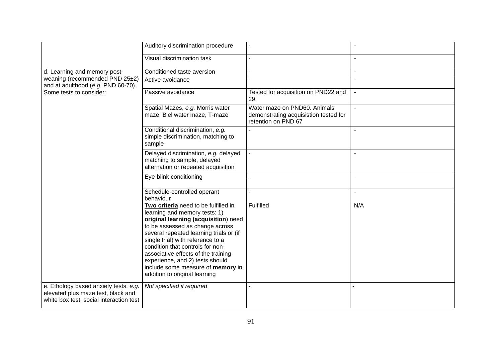|                                                                                                                        | Auditory discrimination procedure                                                                                                                                                                                                                                                                                                                                                                                    |                                                                                              |                          |
|------------------------------------------------------------------------------------------------------------------------|----------------------------------------------------------------------------------------------------------------------------------------------------------------------------------------------------------------------------------------------------------------------------------------------------------------------------------------------------------------------------------------------------------------------|----------------------------------------------------------------------------------------------|--------------------------|
|                                                                                                                        | Visual discrimination task                                                                                                                                                                                                                                                                                                                                                                                           |                                                                                              |                          |
| d. Learning and memory post-                                                                                           | Conditioned taste aversion                                                                                                                                                                                                                                                                                                                                                                                           |                                                                                              | $\sim$                   |
| weaning (recommended PND 25±2)<br>and at adulthood (e.g. PND 60-70).                                                   | Active avoidance                                                                                                                                                                                                                                                                                                                                                                                                     |                                                                                              |                          |
| Some tests to consider:                                                                                                | Passive avoidance                                                                                                                                                                                                                                                                                                                                                                                                    | Tested for acquisition on PND22 and<br>29.                                                   | $\sim$                   |
|                                                                                                                        | Spatial Mazes, e.g. Morris water<br>maze, Biel water maze, T-maze                                                                                                                                                                                                                                                                                                                                                    | Water maze on PND60. Animals<br>demonstrating acquisistion tested for<br>retention on PND 67 |                          |
|                                                                                                                        | Conditional discrimination, e.g.<br>simple discrimination, matching to<br>sample                                                                                                                                                                                                                                                                                                                                     |                                                                                              |                          |
|                                                                                                                        | Delayed discrimination, e.g. delayed<br>matching to sample, delayed<br>alternation or repeated acquisition                                                                                                                                                                                                                                                                                                           |                                                                                              | $\sim$                   |
|                                                                                                                        | Eye-blink conditioning                                                                                                                                                                                                                                                                                                                                                                                               |                                                                                              | $\overline{\phantom{a}}$ |
|                                                                                                                        | Schedule-controlled operant<br>behaviour                                                                                                                                                                                                                                                                                                                                                                             |                                                                                              | $\blacksquare$           |
|                                                                                                                        | Two criteria need to be fulfilled in<br>learning and memory tests: 1)<br>original learning (acquisition) need<br>to be assessed as change across<br>several repeated learning trials or (if<br>single trial) with reference to a<br>condition that controls for non-<br>associative effects of the training<br>experience, and 2) tests should<br>include some measure of memory in<br>addition to original learning | Fulfilled                                                                                    | N/A                      |
| e. Ethology based anxiety tests, e.g.<br>elevated plus maze test, black and<br>white box test, social interaction test | Not specified if required                                                                                                                                                                                                                                                                                                                                                                                            |                                                                                              |                          |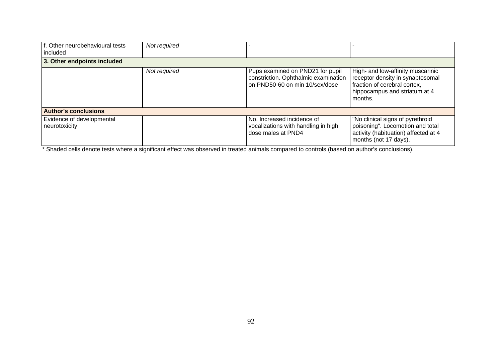| f. Other neurobehavioural tests<br>included | Not required |                                                                                                            |                                                                                                                                                   |
|---------------------------------------------|--------------|------------------------------------------------------------------------------------------------------------|---------------------------------------------------------------------------------------------------------------------------------------------------|
| 3. Other endpoints included                 |              |                                                                                                            |                                                                                                                                                   |
|                                             | Not required | Pups examined on PND21 for pupil<br>constriction. Ophthalmic examination<br>on PND50-60 on min 10/sex/dose | High- and low-affinity muscarinic<br>receptor density in synaptosomal<br>fraction of cerebral cortex,<br>hippocampus and striatum at 4<br>months. |
| <b>Author's conclusions</b>                 |              |                                                                                                            |                                                                                                                                                   |
| Evidence of developmental<br>neurotoxicity  |              | No. Increased incidence of<br>vocalizations with handling in high<br>dose males at PND4                    | "No clinical signs of pyrethroid<br>poisoning". Locomotion and total<br>activity (habituation) affected at 4<br>months (not 17 days).             |

\* Shaded cells denote tests where a significant effect was observed in treated animals compared to controls (based on author's conclusions).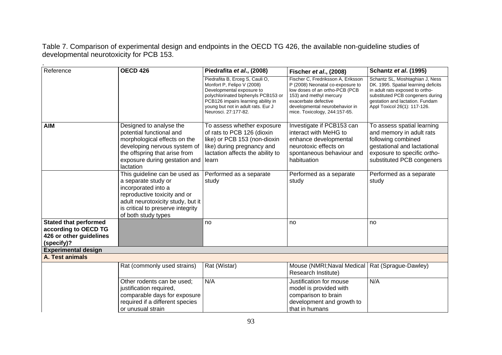Table 7. Comparison of experimental design and endpoints in the OECD TG 426, the available non-guideline studies of developmental neurotoxicity for PCB 153.

.

| Reference                                                                                     | <b>OECD 426</b>                                                                                                                                                                                              | Piedrafita et al., (2008)                                                                                                                                                                                                             | Fischer et al., (2008)                                                                                                                                                                                                         | <b>Schantz et al. (1995)</b>                                                                                                                                                                                     |
|-----------------------------------------------------------------------------------------------|--------------------------------------------------------------------------------------------------------------------------------------------------------------------------------------------------------------|---------------------------------------------------------------------------------------------------------------------------------------------------------------------------------------------------------------------------------------|--------------------------------------------------------------------------------------------------------------------------------------------------------------------------------------------------------------------------------|------------------------------------------------------------------------------------------------------------------------------------------------------------------------------------------------------------------|
|                                                                                               |                                                                                                                                                                                                              | Piedrafita B, Erceg S, Cauli O,<br>Monfort P, Felipo V (2008)<br>Developmental exposure to<br>polychlorinated biphenyls PCB153 or<br>PCB126 impairs learning ability in<br>young but not in adult rats. Eur J<br>Neurosci. 27:177-82. | Fischer C, Fredriksson A, Eriksson<br>P (2008) Neonatal co-exposure to<br>low doses of an ortho-PCB (PCB<br>153) and methyl mercury<br>exacerbate defective<br>developmental neurobehavior in<br>mice. Toxicology, 244:157-65. | Schantz SL, Moshtaghian J, Ness<br>DK. 1995. Spatial learning deficits<br>in adult rats exposed to ortho-<br>substituted PCB congeners during<br>gestation and lactation. Fundam<br>Appl Toxicol 26(1): 117-126. |
| <b>AIM</b>                                                                                    | Designed to analyse the<br>potential functional and<br>morphological effects on the<br>developing nervous system of<br>the offspring that arise from<br>exposure during gestation and<br>lactation           | To assess whether exposure<br>of rats to PCB 126 (dioxin<br>like) or PCB 153 (non-dioxin<br>like) during pregnancy and<br>lactation affects the ability to<br>learn                                                                   | Investigate if PCB153 can<br>interact with MeHG to<br>enhance developmental<br>neurotoxic effects on<br>spontaneous behaviour and<br>habituation                                                                               | To assess spatial learning<br>and memory in adult rats<br>following combined<br>gestational and lactational<br>exposure to specific ortho-<br>substituted PCB congeners                                          |
|                                                                                               | This guideline can be used as<br>a separate study or<br>incorporated into a<br>reproductive toxicity and or<br>adult neurotoxicity study, but it<br>is critical to preserve integrity<br>of both study types | Performed as a separate<br>study                                                                                                                                                                                                      | Performed as a separate<br>study                                                                                                                                                                                               | Performed as a separate<br>study                                                                                                                                                                                 |
| <b>Stated that performed</b><br>according to OECD TG<br>426 or other guidelines<br>(specify)? |                                                                                                                                                                                                              | no                                                                                                                                                                                                                                    | no                                                                                                                                                                                                                             | no                                                                                                                                                                                                               |
| <b>Experimental design</b>                                                                    |                                                                                                                                                                                                              |                                                                                                                                                                                                                                       |                                                                                                                                                                                                                                |                                                                                                                                                                                                                  |
| A. Test animals                                                                               |                                                                                                                                                                                                              |                                                                                                                                                                                                                                       |                                                                                                                                                                                                                                |                                                                                                                                                                                                                  |
|                                                                                               | Rat (commonly used strains)                                                                                                                                                                                  | Rat (Wistar)                                                                                                                                                                                                                          | Mouse (NMRI; Naval Medical<br>Research Institute)                                                                                                                                                                              | Rat (Sprague-Dawley)                                                                                                                                                                                             |
|                                                                                               | Other rodents can be used;<br>justification required,<br>comparable days for exposure<br>required if a different species<br>or unusual strain                                                                | N/A                                                                                                                                                                                                                                   | Justification for mouse<br>model is provided with<br>comparison to brain<br>development and growth to<br>that in humans                                                                                                        | N/A                                                                                                                                                                                                              |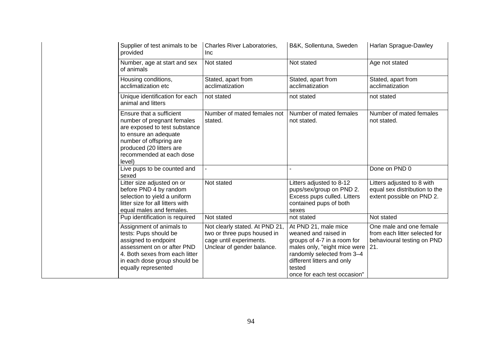| Supplier of test animals to be<br>provided                                                                                                                                                                    | Charles River Laboratories,<br><b>Inc</b>                                                                              | B&K, Sollentuna, Sweden                                                                                                                                                                                           | Harlan Sprague-Dawley                                                                         |
|---------------------------------------------------------------------------------------------------------------------------------------------------------------------------------------------------------------|------------------------------------------------------------------------------------------------------------------------|-------------------------------------------------------------------------------------------------------------------------------------------------------------------------------------------------------------------|-----------------------------------------------------------------------------------------------|
| Number, age at start and sex<br>of animals                                                                                                                                                                    | Not stated                                                                                                             | Not stated                                                                                                                                                                                                        | Age not stated                                                                                |
| Housing conditions,<br>acclimatization etc.                                                                                                                                                                   | Stated, apart from<br>acclimatization                                                                                  | Stated, apart from<br>acclimatization                                                                                                                                                                             | Stated, apart from<br>acclimatization                                                         |
| Unique identification for each<br>animal and litters                                                                                                                                                          | not stated                                                                                                             | not stated                                                                                                                                                                                                        | not stated                                                                                    |
| Ensure that a sufficient<br>number of pregnant females<br>are exposed to test substance<br>to ensure an adequate<br>number of offspring are<br>produced (20 litters are<br>recommended at each dose<br>level) | Number of mated females not<br>stated.                                                                                 | Number of mated females<br>not stated.                                                                                                                                                                            | Number of mated females<br>not stated.                                                        |
| Live pups to be counted and<br>sexed                                                                                                                                                                          | $\blacksquare$                                                                                                         |                                                                                                                                                                                                                   | Done on PND 0                                                                                 |
| Litter size adjusted on or<br>before PND 4 by random<br>selection to yield a uniform<br>litter size for all litters with<br>equal males and females.                                                          | Not stated                                                                                                             | Litters adjusted to 8-12<br>pups/sex/group on PND 2.<br>Excess pups culled. Litters<br>contained pups of both<br>sexes                                                                                            | Litters adjusted to 8 with<br>equal sex distribution to the<br>extent possible on PND 2.      |
| Pup identification is required                                                                                                                                                                                | Not stated                                                                                                             | not stated                                                                                                                                                                                                        | Not stated                                                                                    |
| Assignment of animals to<br>tests: Pups should be<br>assigned to endpoint<br>assessment on or after PND<br>4. Both sexes from each litter<br>in each dose group should be<br>equally represented              | Not clearly stated. At PND 21,<br>two or three pups housed in<br>cage until experiments.<br>Unclear of gender balance. | At PND 21, male mice<br>weaned and raised in<br>groups of 4-7 in a room for<br>males only, "eight mice were<br>randomly selected from 3-4<br>different litters and only<br>tested<br>once for each test occasion" | One male and one female<br>from each litter selected for<br>behavioural testing on PND<br>21. |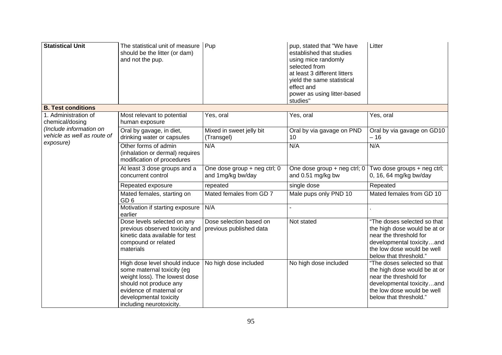| <b>Statistical Unit</b>                                | The statistical unit of measure<br>should be the litter (or dam)<br>and not the pup.                                                                                                                    | Pup                                                | pup, stated that "We have<br>established that studies<br>using mice randomly<br>selected from<br>at least 3 different litters<br>yield the same statistical<br>effect and<br>power as using litter-based<br>studies" | Litter                                                                                                                                                                     |
|--------------------------------------------------------|---------------------------------------------------------------------------------------------------------------------------------------------------------------------------------------------------------|----------------------------------------------------|----------------------------------------------------------------------------------------------------------------------------------------------------------------------------------------------------------------------|----------------------------------------------------------------------------------------------------------------------------------------------------------------------------|
| <b>B. Test conditions</b>                              |                                                                                                                                                                                                         |                                                    |                                                                                                                                                                                                                      |                                                                                                                                                                            |
| 1. Administration of<br>chemical/dosing                | Most relevant to potential<br>human exposure                                                                                                                                                            | Yes, oral                                          | Yes, oral                                                                                                                                                                                                            | Yes, oral                                                                                                                                                                  |
| (Include information on<br>vehicle as well as route of | Oral by gavage, in diet,<br>drinking water or capsules                                                                                                                                                  | Mixed in sweet jelly bit<br>(Transgel)             | Oral by via gavage on PND<br>10                                                                                                                                                                                      | Oral by via gavage on GD10<br>- 16                                                                                                                                         |
| exposure)                                              | Other forms of admin<br>(inhalation or dermal) requires<br>modification of procedures                                                                                                                   | N/A                                                | N/A                                                                                                                                                                                                                  | N/A                                                                                                                                                                        |
|                                                        | At least 3 dose groups and a<br>concurrent control                                                                                                                                                      | One dose group + neg ctrl; 0<br>and 1mg/kg bw/day  | One dose group + neg ctrl; 0<br>and 0.51 mg/kg bw                                                                                                                                                                    | Two dose groups + neg ctrl;<br>0, 16, 64 mg/kg bw/day                                                                                                                      |
|                                                        | Repeated exposure                                                                                                                                                                                       | repeated                                           | single dose                                                                                                                                                                                                          | Repeated                                                                                                                                                                   |
|                                                        | Mated females, starting on<br>GD <sub>6</sub>                                                                                                                                                           | Mated females from GD 7                            | Male pups only PND 10                                                                                                                                                                                                | Mated females from GD 10                                                                                                                                                   |
|                                                        | Motivation if starting exposure<br>earlier                                                                                                                                                              | N/A                                                |                                                                                                                                                                                                                      |                                                                                                                                                                            |
|                                                        | Dose levels selected on any<br>previous observed toxicity and<br>kinetic data available for test<br>compound or related<br>materials                                                                    | Dose selection based on<br>previous published data | Not stated                                                                                                                                                                                                           | "The doses selected so that<br>the high dose would be at or<br>near the threshold for<br>developmental toxicityand<br>the low dose would be well<br>below that threshold." |
|                                                        | High dose level should induce<br>some maternal toxicity (eg<br>weight loss). The lowest dose<br>should not produce any<br>evidence of maternal or<br>developmental toxicity<br>including neurotoxicity. | No high dose included                              | No high dose included                                                                                                                                                                                                | "The doses selected so that<br>the high dose would be at or<br>near the threshold for<br>developmental toxicityand<br>the low dose would be well<br>below that threshold." |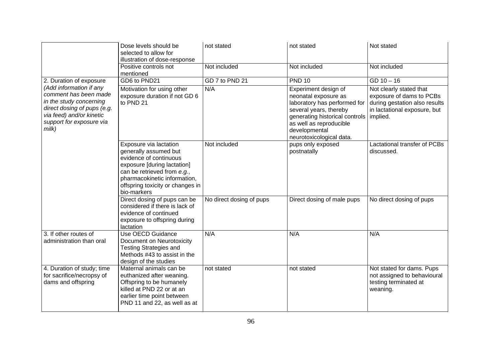|                                                                                                                                                                                | Dose levels should be<br>selected to allow for<br>illustration of dose-response                                                                                                                                            | not stated               | not stated                                                                                                                                                                                                                  | Not stated                                                                                                           |
|--------------------------------------------------------------------------------------------------------------------------------------------------------------------------------|----------------------------------------------------------------------------------------------------------------------------------------------------------------------------------------------------------------------------|--------------------------|-----------------------------------------------------------------------------------------------------------------------------------------------------------------------------------------------------------------------------|----------------------------------------------------------------------------------------------------------------------|
|                                                                                                                                                                                | Positive controls not<br>mentioned                                                                                                                                                                                         | Not included             | Not included                                                                                                                                                                                                                | Not included                                                                                                         |
| 2. Duration of exposure                                                                                                                                                        | GD6 to PND21                                                                                                                                                                                                               | GD 7 to PND 21           | <b>PND 10</b>                                                                                                                                                                                                               | $GD 10 - 16$                                                                                                         |
| (Add information if any<br>comment has been made<br>in the study concerning<br>direct dosing of pups (e.g.<br>via feed) and/or kinetic<br>support for exposure via<br>$m$ ilk) | Motivation for using other<br>exposure duration if not GD 6<br>to PND 21                                                                                                                                                   | N/A                      | Experiment design of<br>neonatal exposure as<br>laboratory has performed for<br>several years, thereby<br>generating historical controls   implied.<br>as well as reproducible<br>developmental<br>neurotoxicological data. | Not clearly stated that<br>exposure of dams to PCBs<br>during gestation also results<br>in lactational exposure, but |
|                                                                                                                                                                                | Exposure via lactation<br>generally assumed but<br>evidence of continuous<br>exposure [during lactation]<br>can be retrieved from e.g.,<br>pharmacokinetic information,<br>offspring toxicity or changes in<br>bio-markers | Not included             | pups only exposed<br>postnatally                                                                                                                                                                                            | Lactational transfer of PCBs<br>discussed.                                                                           |
|                                                                                                                                                                                | Direct dosing of pups can be<br>considered if there is lack of<br>evidence of continued<br>exposure to offspring during<br><b>lactation</b>                                                                                | No direct dosing of pups | Direct dosing of male pups                                                                                                                                                                                                  | No direct dosing of pups                                                                                             |
| 3. If other routes of<br>administration than oral                                                                                                                              | <b>Use OECD Guidance</b><br>Document on Neurotoxicity<br><b>Testing Strategies and</b><br>Methods #43 to assist in the<br>design of the studies                                                                            | N/A                      | N/A                                                                                                                                                                                                                         | N/A                                                                                                                  |
| 4. Duration of study; time<br>for sacrifice/necropsy of<br>dams and offspring                                                                                                  | Maternal animals can be<br>euthanized after weaning.<br>Offspring to be humanely<br>killed at PND 22 or at an<br>earlier time point between<br>PND 11 and 22, as well as at                                                | not stated               | not stated                                                                                                                                                                                                                  | Not stated for dams. Pups<br>not assigned to behavioural<br>testing terminated at<br>weaning.                        |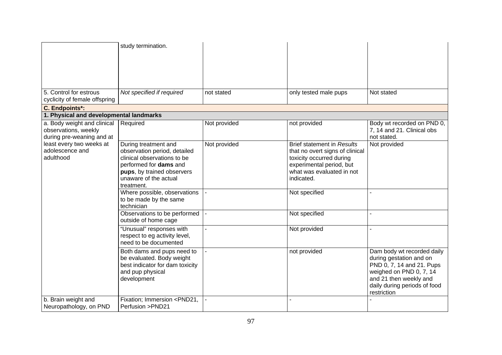|                                                                                  | study termination.                                                                                                                                                                 |              |                                                                                                                                                                         |                                                                                                                                                                                        |
|----------------------------------------------------------------------------------|------------------------------------------------------------------------------------------------------------------------------------------------------------------------------------|--------------|-------------------------------------------------------------------------------------------------------------------------------------------------------------------------|----------------------------------------------------------------------------------------------------------------------------------------------------------------------------------------|
| 5. Control for estrous<br>cyclicity of female offspring                          | Not specified if required                                                                                                                                                          | not stated   | only tested male pups                                                                                                                                                   | Not stated                                                                                                                                                                             |
| C. Endpoints*:                                                                   |                                                                                                                                                                                    |              |                                                                                                                                                                         |                                                                                                                                                                                        |
| 1. Physical and developmental landmarks                                          |                                                                                                                                                                                    |              |                                                                                                                                                                         |                                                                                                                                                                                        |
| a. Body weight and clinical<br>observations, weekly<br>during pre-weaning and at | Required                                                                                                                                                                           | Not provided | not provided                                                                                                                                                            | Body wt recorded on PND 0,<br>7, 14 and 21. Clinical obs<br>not stated.                                                                                                                |
| least every two weeks at<br>adolescence and<br>adulthood                         | During treatment and<br>observation period, detailed<br>clinical observations to be<br>performed for dams and<br>pups, by trained observers<br>unaware of the actual<br>treatment. | Not provided | <b>Brief statement in Results</b><br>that no overt signs of clinical<br>toxicity occurred during<br>experimental period, but<br>what was evaluated in not<br>indicated. | Not provided                                                                                                                                                                           |
|                                                                                  | Where possible, observations<br>to be made by the same<br>technician                                                                                                               |              | Not specified                                                                                                                                                           |                                                                                                                                                                                        |
|                                                                                  | Observations to be performed<br>outside of home cage                                                                                                                               |              | Not specified                                                                                                                                                           |                                                                                                                                                                                        |
|                                                                                  | "Unusual" responses with<br>respect to eg activity level,<br>need to be documented                                                                                                 |              | Not provided                                                                                                                                                            |                                                                                                                                                                                        |
|                                                                                  | Both dams and pups need to<br>be evaluated. Body weight<br>best indicator for dam toxicity<br>and pup physical<br>development                                                      |              | not provided                                                                                                                                                            | Dam body wt recorded daily<br>during gestation and on<br>PND 0, 7, 14 and 21. Pups<br>weighed on PND 0, 7, 14<br>and 21 then weekly and<br>daily during periods of food<br>restriction |
| b. Brain weight and<br>Neuropathology, on PND                                    | Fixation; Immersion <pnd21,<br>Perfusion &gt;PND21</pnd21,<br>                                                                                                                     |              |                                                                                                                                                                         |                                                                                                                                                                                        |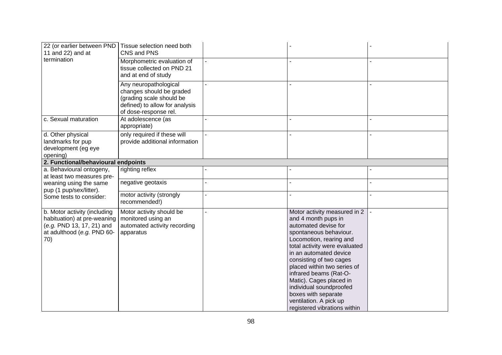| 22 (or earlier between PND<br>11 and 22) and at                                                                               | Tissue selection need both<br>CNS and PNS                                                                                                |                                                                                                                                                                                                                                                                                                                                                                                                                        |  |
|-------------------------------------------------------------------------------------------------------------------------------|------------------------------------------------------------------------------------------------------------------------------------------|------------------------------------------------------------------------------------------------------------------------------------------------------------------------------------------------------------------------------------------------------------------------------------------------------------------------------------------------------------------------------------------------------------------------|--|
| termination                                                                                                                   | Morphometric evaluation of<br>tissue collected on PND 21<br>and at end of study                                                          |                                                                                                                                                                                                                                                                                                                                                                                                                        |  |
|                                                                                                                               | Any neuropathological<br>changes should be graded<br>(grading scale should be<br>defined) to allow for analysis<br>of dose-response rel. |                                                                                                                                                                                                                                                                                                                                                                                                                        |  |
| c. Sexual maturation                                                                                                          | At adolescence (as<br>appropriate)                                                                                                       |                                                                                                                                                                                                                                                                                                                                                                                                                        |  |
| d. Other physical<br>landmarks for pup<br>development (eg eye<br>opening)                                                     | only required if these will<br>provide additional information                                                                            |                                                                                                                                                                                                                                                                                                                                                                                                                        |  |
| 2. Functional/behavioural endpoints                                                                                           |                                                                                                                                          |                                                                                                                                                                                                                                                                                                                                                                                                                        |  |
| a. Behavioural ontogeny,<br>at least two measures pre-                                                                        | righting reflex                                                                                                                          |                                                                                                                                                                                                                                                                                                                                                                                                                        |  |
| weaning using the same<br>pup (1 pup/sex/litter).                                                                             | negative geotaxis                                                                                                                        |                                                                                                                                                                                                                                                                                                                                                                                                                        |  |
| Some tests to consider:                                                                                                       | motor activity (strongly<br>recommended!)                                                                                                |                                                                                                                                                                                                                                                                                                                                                                                                                        |  |
| b. Motor activity (including<br>habituation) at pre-weaning<br>(e.g. PND 13, 17, 21) and<br>at adulthood (e.g. PND 60-<br>70) | Motor activity should be<br>monitored using an<br>automated activity recording<br>apparatus                                              | Motor activity measured in 2<br>and 4 month pups in<br>automated devise for<br>spontaneous behaviour.<br>Locomotion, rearing and<br>total activity were evaluated<br>in an automated device<br>consisting of two cages<br>placed within two series of<br>infrared beams (Rat-O-<br>Matic). Cages placed in<br>individual soundproofed<br>boxes with separate<br>ventilation. A pick up<br>registered vibrations within |  |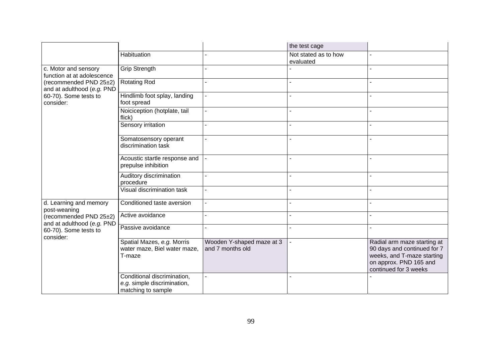|                                                                                                                                      |                                                                                  |                                               | the test cage                     |                                                                                                                                             |
|--------------------------------------------------------------------------------------------------------------------------------------|----------------------------------------------------------------------------------|-----------------------------------------------|-----------------------------------|---------------------------------------------------------------------------------------------------------------------------------------------|
|                                                                                                                                      | Habituation                                                                      |                                               | Not stated as to how<br>evaluated |                                                                                                                                             |
| c. Motor and sensory<br>function at at adolescence                                                                                   | <b>Grip Strength</b>                                                             |                                               |                                   |                                                                                                                                             |
| (recommended PND 25±2)<br>and at adulthood (e.g. PND                                                                                 | <b>Rotating Rod</b>                                                              |                                               |                                   |                                                                                                                                             |
| 60-70). Some tests to<br>consider:                                                                                                   | Hindlimb foot splay, landing<br>foot spread                                      |                                               |                                   |                                                                                                                                             |
|                                                                                                                                      | Noiciception (hotplate, tail<br>flick)                                           |                                               |                                   |                                                                                                                                             |
|                                                                                                                                      | <b>Sensory irritation</b>                                                        |                                               |                                   |                                                                                                                                             |
|                                                                                                                                      | Somatosensory operant<br>discrimination task                                     |                                               |                                   |                                                                                                                                             |
|                                                                                                                                      | Acoustic startle response and<br>prepulse inhibition                             |                                               |                                   |                                                                                                                                             |
|                                                                                                                                      | Auditory discrimination<br>procedure                                             |                                               |                                   |                                                                                                                                             |
|                                                                                                                                      | Visual discrimination task                                                       |                                               |                                   |                                                                                                                                             |
| d. Learning and memory<br>post-weaning<br>(recommended PND 25±2)<br>and at adulthood (e.g. PND<br>60-70). Some tests to<br>consider: | Conditioned taste aversion                                                       |                                               |                                   |                                                                                                                                             |
|                                                                                                                                      | Active avoidance                                                                 |                                               |                                   |                                                                                                                                             |
|                                                                                                                                      | Passive avoidance                                                                |                                               |                                   |                                                                                                                                             |
|                                                                                                                                      | Spatial Mazes, e.g. Morris<br>water maze, Biel water maze,<br>T-maze             | Wooden Y-shaped maze at 3<br>and 7 months old |                                   | Radial arm maze starting at<br>90 days and continued for 7<br>weeks, and T-maze starting<br>on approx. PND 165 and<br>continued for 3 weeks |
|                                                                                                                                      | Conditional discrimination,<br>e.g. simple discrimination,<br>matching to sample |                                               |                                   |                                                                                                                                             |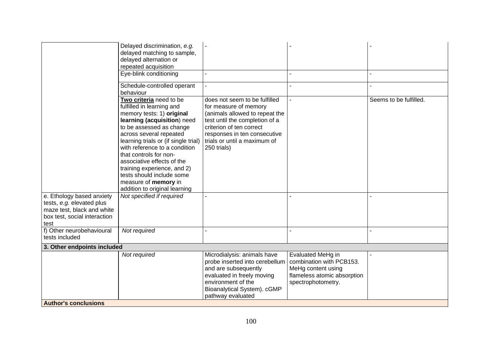|                                                                                                                              | Delayed discrimination, e.g.<br>delayed matching to sample,<br>delayed alternation or                                                                                                                                                                                                                                                                                                                                         |                                                                                                                                                                                                                                       |                                                                                                                          |                        |  |
|------------------------------------------------------------------------------------------------------------------------------|-------------------------------------------------------------------------------------------------------------------------------------------------------------------------------------------------------------------------------------------------------------------------------------------------------------------------------------------------------------------------------------------------------------------------------|---------------------------------------------------------------------------------------------------------------------------------------------------------------------------------------------------------------------------------------|--------------------------------------------------------------------------------------------------------------------------|------------------------|--|
|                                                                                                                              | repeated acquisition                                                                                                                                                                                                                                                                                                                                                                                                          |                                                                                                                                                                                                                                       |                                                                                                                          |                        |  |
|                                                                                                                              | Eye-blink conditioning                                                                                                                                                                                                                                                                                                                                                                                                        |                                                                                                                                                                                                                                       |                                                                                                                          |                        |  |
|                                                                                                                              | Schedule-controlled operant<br>behaviour                                                                                                                                                                                                                                                                                                                                                                                      |                                                                                                                                                                                                                                       |                                                                                                                          |                        |  |
|                                                                                                                              | Two criteria need to be<br>fulfilled in learning and<br>memory tests: 1) original<br>learning (acquisition) need<br>to be assessed as change<br>across several repeated<br>learning trials or (if single trial)<br>with reference to a condition<br>that controls for non-<br>associative effects of the<br>training experience, and 2)<br>tests should include some<br>measure of memory in<br>addition to original learning | does not seem to be fulfilled<br>for measure of memory<br>(animals allowed to repeat the<br>test until the completion of a<br>criterion of ten correct<br>responses in ten consecutive<br>trials or until a maximum of<br>250 trials) |                                                                                                                          | Seems to be fulfilled. |  |
| e. Ethology based anxiety<br>tests, e.g. elevated plus<br>maze test, black and white<br>box test, social interaction<br>test | Not specified if required                                                                                                                                                                                                                                                                                                                                                                                                     |                                                                                                                                                                                                                                       |                                                                                                                          |                        |  |
| f) Other neurobehavioural<br>tests included                                                                                  | Not required                                                                                                                                                                                                                                                                                                                                                                                                                  |                                                                                                                                                                                                                                       |                                                                                                                          |                        |  |
| 3. Other endpoints included                                                                                                  |                                                                                                                                                                                                                                                                                                                                                                                                                               |                                                                                                                                                                                                                                       |                                                                                                                          |                        |  |
|                                                                                                                              | Not required                                                                                                                                                                                                                                                                                                                                                                                                                  | Microdialysis: animals have<br>probe inserted into cerebellum<br>and are subsequently<br>evaluated in freely moving<br>environment of the<br>Bioanalytical System). cGMP<br>pathway evaluated                                         | Evaluated MeHg in<br>combination with PCB153.<br>MeHg content using<br>flameless atomic absorption<br>spectrophotometry. |                        |  |
| <b>Author's conclusions</b>                                                                                                  |                                                                                                                                                                                                                                                                                                                                                                                                                               |                                                                                                                                                                                                                                       |                                                                                                                          |                        |  |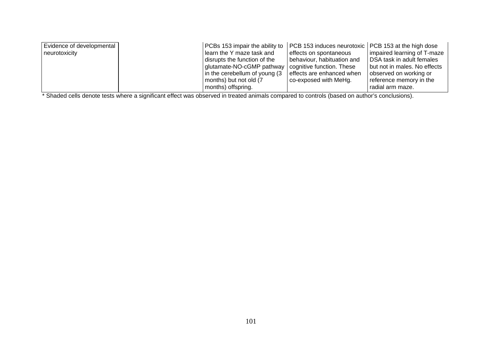| Evidence of developmental | PCBs 153 impair the ability to   PCB 153 induces neurotoxic   PCB 153 at the high dose |                            |                              |
|---------------------------|----------------------------------------------------------------------------------------|----------------------------|------------------------------|
| neurotoxicity             | learn the Y maze task and                                                              | effects on spontaneous     | impaired learning of T-maze  |
|                           | disrupts the function of the                                                           | behaviour, habituation and | DSA task in adult females    |
|                           | glutamate-NO-cGMP pathway   cognitive function. These                                  |                            | but not in males. No effects |
|                           | $\vert$ in the cerebellum of young (3 $\vert$ effects are enhanced when                |                            | observed on working or       |
|                           | months) but not old (7                                                                 | co-exposed with MeHg.      | reference memory in the      |
|                           | months) offspring.                                                                     |                            | radial arm maze.             |

\* Shaded cells denote tests where a significant effect was observed in treated animals compared to controls (based on author's conclusions).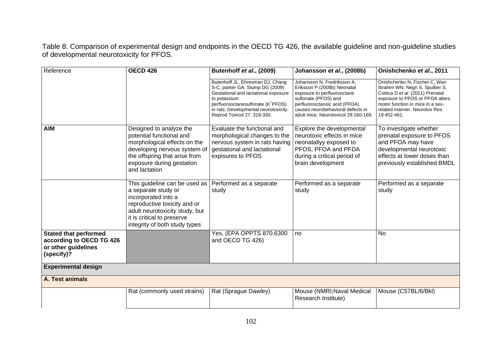Table 8. Comparison of experimental design and endpoints in the OECD TG 426, the available guideline and non-guideline studies of developmental neurotoxicity for PFOS.

| Reference                                                                                     | <b>OECD 426</b>                                                                                                                                                                                              | Butenhoff et al., (2009)                                                                                                                                                                                                                 | Johansson et al., (2008b)                                                                                                                                                                                                       | Onishchenko et al., 2011                                                                                                                                                                                                    |
|-----------------------------------------------------------------------------------------------|--------------------------------------------------------------------------------------------------------------------------------------------------------------------------------------------------------------|------------------------------------------------------------------------------------------------------------------------------------------------------------------------------------------------------------------------------------------|---------------------------------------------------------------------------------------------------------------------------------------------------------------------------------------------------------------------------------|-----------------------------------------------------------------------------------------------------------------------------------------------------------------------------------------------------------------------------|
|                                                                                               |                                                                                                                                                                                                              | Butenhoff JL, Ehresman DJ, Chang<br>S-C, parker GA, Stump DG (2009)<br>Gestational and lactational exposure<br>to potassium<br>perfluorooctanesulfonate (K+PFOS)<br>in rats; Developmental neurotoxicity.<br>Reprod Toxicol 27: 319-330. | Johansson N, Fredriksson A,<br>Eriksson P (2008b) Neonatal<br>exposure to perfluorooctane<br>sulfonate (PFOS) and<br>perfluorooctanoic acid (PFOA)<br>causes neurobehavioral defects in<br>adult mice. Neurotoxicol 29:160-169. | Onishchenko N, Fischer C, Wan<br>Ibrahim WN, Negri S, Spulber S,<br>Cottica D et al. (2011) Prenatal<br>exposure to PFOS or PFOA alters<br>motor function in mice in a sex-<br>related manner. Neurotox Res.<br>19:452-461. |
| <b>AIM</b>                                                                                    | Designed to analyze the<br>potential functional and<br>morphological effects on the<br>developing nervous system of<br>the offspring that arise from<br>exposure during gestation<br>and lactation           | Evaluate the functional and<br>morphological changes to the<br>nervous system in rats having<br>gestational and lactational<br>expisures to PFOS                                                                                         | Explore the developmental<br>neurotoxic effects in mice<br>neonatallyy exposed to<br>PFOS, PFOA and PFDA<br>during a critical period of<br>brain development                                                                    | To investigate whether<br>prenatal exposure to PFOS<br>and PFOA may have<br>developmental neurotoxic<br>effects at lower doses than<br>previously established BMDL                                                          |
|                                                                                               | This guideline can be used as<br>a separate study or<br>incorporated into a<br>reproductive toxicity and or<br>adult neurotoxicity study, but<br>it is critical to preserve<br>integrity of both study types | Performed as a separate<br>study                                                                                                                                                                                                         | Performed as a separate<br>study                                                                                                                                                                                                | Performed as a separate<br>study                                                                                                                                                                                            |
| <b>Stated that performed</b><br>according to OECD TG 426<br>or other guidelines<br>(specify)? |                                                                                                                                                                                                              | Yes, (EPA OPPTS 870.6300<br>and OECD TG 426)                                                                                                                                                                                             | no                                                                                                                                                                                                                              | <b>No</b>                                                                                                                                                                                                                   |
| <b>Experimental design</b>                                                                    |                                                                                                                                                                                                              |                                                                                                                                                                                                                                          |                                                                                                                                                                                                                                 |                                                                                                                                                                                                                             |
| A. Test animals                                                                               |                                                                                                                                                                                                              |                                                                                                                                                                                                                                          |                                                                                                                                                                                                                                 |                                                                                                                                                                                                                             |
|                                                                                               | Rat (commonly used strains)                                                                                                                                                                                  | Rat (Sprague Dawley)                                                                                                                                                                                                                     | Mouse (NMRI; Naval Medical<br>Research Institute)                                                                                                                                                                               | Mouse (C57BL/6/Bkl)                                                                                                                                                                                                         |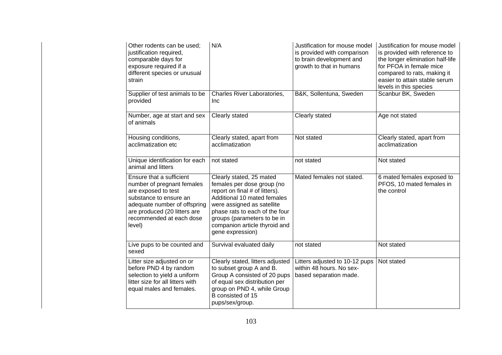| Other rodents can be used:<br>justification required,<br>comparable days for<br>exposure required if a<br>different species or unusual<br>strain                                                              | N/A                                                                                                                                                                                                                                                                         | Justification for mouse model<br>is provided with comparison<br>to brain development and<br>growth to that in humans | Justification for mouse model<br>is provided with reference to<br>the longer elimination half-life<br>for PFOA in female mice<br>compared to rats, making it<br>easier to attain stable serum<br>levels in this species |
|---------------------------------------------------------------------------------------------------------------------------------------------------------------------------------------------------------------|-----------------------------------------------------------------------------------------------------------------------------------------------------------------------------------------------------------------------------------------------------------------------------|----------------------------------------------------------------------------------------------------------------------|-------------------------------------------------------------------------------------------------------------------------------------------------------------------------------------------------------------------------|
| Supplier of test animals to be<br>provided                                                                                                                                                                    | Charles River Laboratories,<br>Inc                                                                                                                                                                                                                                          | B&K, Sollentuna, Sweden                                                                                              | Scanbur BK, Sweden                                                                                                                                                                                                      |
| Number, age at start and sex<br>of animals                                                                                                                                                                    | Clearly stated                                                                                                                                                                                                                                                              | Clearly stated                                                                                                       | Age not stated                                                                                                                                                                                                          |
| Housing conditions,<br>acclimatization etc                                                                                                                                                                    | Clearly stated, apart from<br>acclimatization                                                                                                                                                                                                                               | Not stated                                                                                                           | Clearly stated, apart from<br>acclimatization                                                                                                                                                                           |
| Unique identification for each<br>animal and litters                                                                                                                                                          | not stated                                                                                                                                                                                                                                                                  | not stated                                                                                                           | Not stated                                                                                                                                                                                                              |
| Ensure that a sufficient<br>number of pregnant females<br>are exposed to test<br>substance to ensure an<br>adequate number of offspring<br>are produced (20 litters are<br>recommended at each dose<br>level) | Clearly stated, 25 mated<br>females per dose group (no<br>report on final # of litters).<br>Additional 10 mated females<br>were assigned as satellite<br>phase rats to each of the four<br>groups (parameters to be in<br>companion article thyroid and<br>gene expression) | Mated females not stated.                                                                                            | 6 mated females exposed to<br>PFOS, 10 mated females in<br>the control                                                                                                                                                  |
| Live pups to be counted and<br>sexed                                                                                                                                                                          | Survival evaluated daily                                                                                                                                                                                                                                                    | not stated                                                                                                           | Not stated                                                                                                                                                                                                              |
| Litter size adjusted on or<br>before PND 4 by random<br>selection to yield a uniform<br>litter size for all litters with<br>equal males and females.                                                          | Clearly stated, litters adjusted<br>to subset group A and B.<br>Group A consisted of 20 pups<br>of equal sex distribution per<br>group on PND 4, while Group<br>B consisted of 15<br>pups/sex/group.                                                                        | Litters adjusted to 10-12 pups<br>within 48 hours. No sex-<br>based separation made.                                 | Not stated                                                                                                                                                                                                              |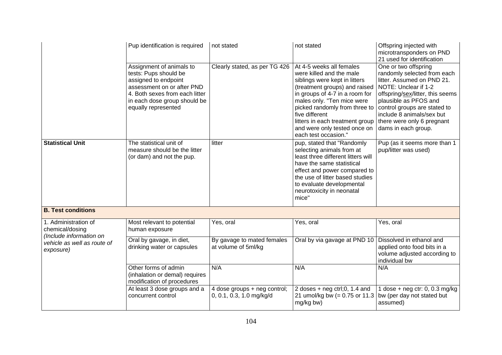|                                                                    | Pup identification is required                                                                                                                                                                   | not stated                                               | not stated                                                                                                                                                                                                                                                                                                                           | Offspring injected with<br>microtransponders on PND<br>21 used for identification                                                                                                                                                                                                        |
|--------------------------------------------------------------------|--------------------------------------------------------------------------------------------------------------------------------------------------------------------------------------------------|----------------------------------------------------------|--------------------------------------------------------------------------------------------------------------------------------------------------------------------------------------------------------------------------------------------------------------------------------------------------------------------------------------|------------------------------------------------------------------------------------------------------------------------------------------------------------------------------------------------------------------------------------------------------------------------------------------|
|                                                                    | Assignment of animals to<br>tests: Pups should be<br>assigned to endpoint<br>assessment on or after PND<br>4. Both sexes from each litter<br>in each dose group should be<br>equally represented | Clearly stated, as per TG 426                            | At 4-5 weeks all females<br>were killed and the male<br>siblings were kept in litters<br>(treatment groups) and raised<br>in groups of 4-7 in a room for<br>males only. "Ten mice were<br>picked randomly from three to<br>five different<br>litters in each treatment group<br>and were only tested once on<br>each test occasion." | One or two offspring<br>randomly selected from each<br>litter. Assumed on PND 21.<br>NOTE: Unclear if 1-2<br>offspring/sex/litter, this seems<br>plausible as PFOS and<br>control groups are stated to<br>include 8 animals/sex but<br>there were only 6 pregnant<br>dams in each group. |
| <b>Statistical Unit</b>                                            | The statistical unit of<br>measure should be the litter<br>(or dam) and not the pup.                                                                                                             | litter                                                   | pup, stated that "Randomly<br>selecting animals from at<br>least three different litters will<br>have the same statistical<br>effect and power compared to<br>the use of litter based studies<br>to evaluate developmental<br>neurotoxicity in neonatal<br>mice"                                                                     | Pup (as it seems more than 1<br>pup/litter was used)                                                                                                                                                                                                                                     |
| <b>B. Test conditions</b>                                          |                                                                                                                                                                                                  |                                                          |                                                                                                                                                                                                                                                                                                                                      |                                                                                                                                                                                                                                                                                          |
| 1. Administration of<br>chemical/dosing<br>(Include information on | Most relevant to potential<br>human exposure                                                                                                                                                     | Yes, oral                                                | Yes, oral                                                                                                                                                                                                                                                                                                                            | Yes, oral                                                                                                                                                                                                                                                                                |
| vehicle as well as route of<br>exposure)                           | Oral by gavage, in diet,<br>drinking water or capsules                                                                                                                                           | By gavage to mated females<br>at volume of 5ml/kg        | Oral by via gavage at PND 10   Dissolved in ethanol and                                                                                                                                                                                                                                                                              | applied onto food bits in a<br>volume adjusted according to<br>individual bw                                                                                                                                                                                                             |
|                                                                    | Other forms of admin<br>(inhalation or demal) requires<br>modification of procedures                                                                                                             | N/A                                                      | N/A                                                                                                                                                                                                                                                                                                                                  | N/A                                                                                                                                                                                                                                                                                      |
|                                                                    | At least 3 dose groups and a<br>concurrent control                                                                                                                                               | 4 dose groups + neg control;<br>0, 0.1, 0.3, 1.0 mg/kg/d | 2 doses + $neg \, ctr1; 0$ , 1.4 and<br>21 umol/kg bw (= $0.75$ or 11.3 bw (per day not stated but<br>mg/kg bw)                                                                                                                                                                                                                      | 1 dose + $neg$ ctr: 0, 0.3 mg/kg<br>assumed)                                                                                                                                                                                                                                             |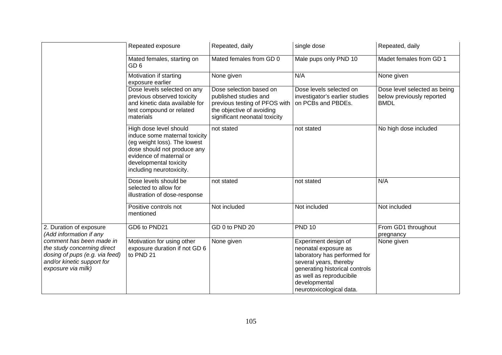|                                                                                                                                               | Repeated exposure                                                                                                                                                                                       | Repeated, daily                                                                                                                                 | single dose                                                                                                                                                                                                       | Repeated, daily                                                          |
|-----------------------------------------------------------------------------------------------------------------------------------------------|---------------------------------------------------------------------------------------------------------------------------------------------------------------------------------------------------------|-------------------------------------------------------------------------------------------------------------------------------------------------|-------------------------------------------------------------------------------------------------------------------------------------------------------------------------------------------------------------------|--------------------------------------------------------------------------|
|                                                                                                                                               | Mated females, starting on<br>GD <sub>6</sub>                                                                                                                                                           | Mated females from GD 0                                                                                                                         | Male pups only PND 10                                                                                                                                                                                             | Madet females from GD 1                                                  |
|                                                                                                                                               | Motivation if starting<br>exposure earlier                                                                                                                                                              | None given                                                                                                                                      | N/A                                                                                                                                                                                                               | None given                                                               |
|                                                                                                                                               | Dose levels selected on any<br>previous observed toxicity<br>and kinetic data available for<br>test compound or related<br>materials                                                                    | Dose selection based on<br>published studies and<br>previous testing of PFOS with<br>the objective of avoiding<br>significant neonatal toxicity | Dose levels selected on<br>investigator's earlier studies<br>on PCBs and PBDEs.                                                                                                                                   | Dose level selected as being<br>below previously reported<br><b>BMDL</b> |
|                                                                                                                                               | High dose level should<br>induce some maternal toxicity<br>(eg weight loss). The lowest<br>dose should not produce any<br>evidence of maternal or<br>developmental toxicity<br>including neurotoxicity. | not stated                                                                                                                                      | not stated                                                                                                                                                                                                        | No high dose included                                                    |
|                                                                                                                                               | Dose levels should be<br>selected to allow for<br>illustration of dose-response                                                                                                                         | not stated                                                                                                                                      | not stated                                                                                                                                                                                                        | N/A                                                                      |
|                                                                                                                                               | Positive controls not<br>mentioned                                                                                                                                                                      | Not included                                                                                                                                    | Not included                                                                                                                                                                                                      | Not included                                                             |
| 2. Duration of exposure<br>(Add information if any                                                                                            | GD6 to PND21                                                                                                                                                                                            | GD 0 to PND 20                                                                                                                                  | <b>PND 10</b>                                                                                                                                                                                                     | From GD1 throughout<br>pregnancy                                         |
| comment has been made in<br>the study concerning direct<br>dosing of pups (e.g. via feed)<br>and/or kinetic support for<br>exposure via milk) | Motivation for using other<br>exposure duration if not GD 6<br>to PND 21                                                                                                                                | None given                                                                                                                                      | Experiment design of<br>neonatal exposure as<br>laboratory has performed for<br>several years, thereby<br>generating historical controls<br>as well as reproducibile<br>developmental<br>neurotoxicological data. | None given                                                               |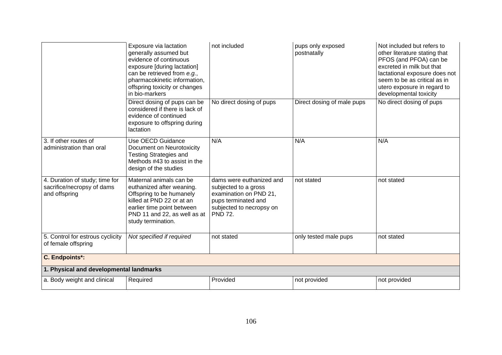|                                                                               | Exposure via lactation<br>generally assumed but<br>evidence of continuous<br>exposure [during lactation]<br>can be retrieved from e.g.,<br>pharmacokinetic information,<br>offspring toxicity or changes<br>in bio-markers | not included                                                                                                                                    | pups only exposed<br>postnatally | Not included but refers to<br>other literature stating that<br>PFOS (and PFOA) can be<br>excreted in milk but that<br>lactational exposure does not<br>seem to be as critical as in<br>utero exposure in regard to<br>developmental toxicity |
|-------------------------------------------------------------------------------|----------------------------------------------------------------------------------------------------------------------------------------------------------------------------------------------------------------------------|-------------------------------------------------------------------------------------------------------------------------------------------------|----------------------------------|----------------------------------------------------------------------------------------------------------------------------------------------------------------------------------------------------------------------------------------------|
|                                                                               | Direct dosing of pups can be<br>considered if there is lack of<br>evidence of continued<br>exposure to offspring during<br>lactation                                                                                       | No direct dosing of pups                                                                                                                        | Direct dosing of male pups       | No direct dosing of pups                                                                                                                                                                                                                     |
| 3. If other routes of<br>administration than oral                             | Use OECD Guidance<br>Document on Neurotoxicity<br><b>Testing Strategies and</b><br>Methods #43 to assist in the<br>design of the studies                                                                                   | N/A                                                                                                                                             | N/A                              | N/A                                                                                                                                                                                                                                          |
| 4. Duration of study; time for<br>sacrifice/necropsy of dams<br>and offspring | Maternal animals can be<br>euthanized after weaning.<br>Offspring to be humanely<br>killed at PND 22 or at an<br>earlier time point between<br>PND 11 and 22, as well as at<br>study termination.                          | dams were euthanized and<br>subjected to a gross<br>examination on PND 21,<br>pups terminated and<br>subjected to necropsy on<br><b>PND 72.</b> | not stated                       | not stated                                                                                                                                                                                                                                   |
| 5. Control for estrous cyclicity<br>of female offspring                       | Not specified if required                                                                                                                                                                                                  | not stated                                                                                                                                      | only tested male pups            | not stated                                                                                                                                                                                                                                   |
| <b>C. Endpoints*:</b>                                                         |                                                                                                                                                                                                                            |                                                                                                                                                 |                                  |                                                                                                                                                                                                                                              |
| 1. Physical and developmental landmarks                                       |                                                                                                                                                                                                                            |                                                                                                                                                 |                                  |                                                                                                                                                                                                                                              |
| a. Body weight and clinical                                                   | Required                                                                                                                                                                                                                   | Provided                                                                                                                                        | not provided                     | not provided                                                                                                                                                                                                                                 |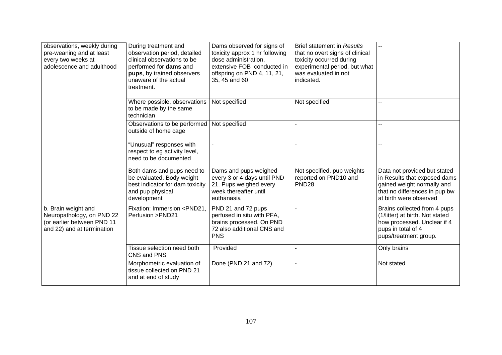| observations, weekly during<br>pre-weaning and at least<br>every two weeks at<br>adolescence and adulthood   | During treatment and<br>observation period, detailed<br>clinical observations to be<br>performed for dams and<br>pups, by trained observers<br>unaware of the actual<br>treatment. | Dams observed for signs of<br>toxicity approx 1 hr following<br>dose administration,<br>extensive FOB conducted in<br>offspring on PND 4, 11, 21,<br>35, 45 and 60 | <b>Brief statement in Results</b><br>that no overt signs of clinical<br>toxicity occurred during<br>experimental period, but what<br>was evaluated in not<br>indicated. | $\sim$ $\sim$                                                                                                                                         |
|--------------------------------------------------------------------------------------------------------------|------------------------------------------------------------------------------------------------------------------------------------------------------------------------------------|--------------------------------------------------------------------------------------------------------------------------------------------------------------------|-------------------------------------------------------------------------------------------------------------------------------------------------------------------------|-------------------------------------------------------------------------------------------------------------------------------------------------------|
|                                                                                                              | Where possible, observations<br>to be made by the same<br>technician                                                                                                               | Not specified                                                                                                                                                      | Not specified                                                                                                                                                           | --                                                                                                                                                    |
|                                                                                                              | Observations to be performed<br>outside of home cage                                                                                                                               | Not specified                                                                                                                                                      |                                                                                                                                                                         | --                                                                                                                                                    |
|                                                                                                              | "Unusual" responses with<br>respect to eg activity level,<br>need to be documented                                                                                                 |                                                                                                                                                                    |                                                                                                                                                                         | --                                                                                                                                                    |
|                                                                                                              | Both dams and pups need to<br>be evaluated. Body weight<br>best indicator for dam toxicity<br>and pup physical<br>development                                                      | Dams and pups weighed<br>every 3 or 4 days until PND<br>21. Pups weighed every<br>week thereafter until<br>euthanasia                                              | Not specified, pup weights<br>reported on PND10 and<br>PND <sub>28</sub>                                                                                                | Data not provided but stated<br>in Results that exposed dams<br>gained weight normally and<br>that no differences in pup bw<br>at birth were observed |
| b. Brain weight and<br>Neuropathology, on PND 22<br>(or earlier between PND 11<br>and 22) and at termination | Fixation; Immersion <pnd21,<br>Perfusion &gt;PND21</pnd21,<br>                                                                                                                     | PND 21 and 72 pups<br>perfused in situ with PFA,<br>brains processed. On PND<br>72 also additional CNS and<br><b>PNS</b>                                           |                                                                                                                                                                         | Brains collected from 4 pups<br>(1/litter) at birth. Not stated<br>how processed. Unclear if 4<br>pups in total of 4<br>pups/treatment group.         |
|                                                                                                              | Tissue selection need both<br>CNS and PNS                                                                                                                                          | Provided                                                                                                                                                           |                                                                                                                                                                         | Only brains                                                                                                                                           |
|                                                                                                              | Morphometric evaluation of<br>tissue collected on PND 21<br>and at end of study                                                                                                    | Done (PND 21 and 72)                                                                                                                                               |                                                                                                                                                                         | Not stated                                                                                                                                            |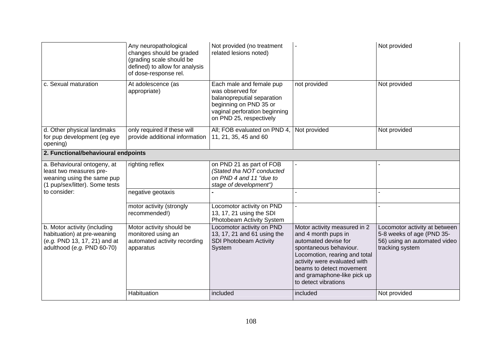|                                                                                                                           | Any neuropathological<br>changes should be graded<br>(grading scale should be<br>defined) to allow for analysis<br>of dose-response rel. | Not provided (no treatment<br>related lesions noted)                                                                                                             |                                                                                                                                                                                                                                                           | Not provided                                                                                                  |
|---------------------------------------------------------------------------------------------------------------------------|------------------------------------------------------------------------------------------------------------------------------------------|------------------------------------------------------------------------------------------------------------------------------------------------------------------|-----------------------------------------------------------------------------------------------------------------------------------------------------------------------------------------------------------------------------------------------------------|---------------------------------------------------------------------------------------------------------------|
| c. Sexual maturation                                                                                                      | At adolescence (as<br>appropriate)                                                                                                       | Each male and female pup<br>was observed for<br>balanopreputial separation<br>beginning on PND 35 or<br>vaginal perforation beginning<br>on PND 25, respectively | not provided                                                                                                                                                                                                                                              | Not provided                                                                                                  |
| d. Other physical landmaks<br>for pup development (eg eye<br>opening)                                                     | only required if these will<br>provide additional information                                                                            | All; FOB evaluated on PND 4,<br>11, 21, 35, 45 and 60                                                                                                            | Not provided                                                                                                                                                                                                                                              | Not provided                                                                                                  |
| 2. Functional/behavioural endpoints                                                                                       |                                                                                                                                          |                                                                                                                                                                  |                                                                                                                                                                                                                                                           |                                                                                                               |
| a. Behavioural ontogeny, at<br>least two measures pre-<br>weaning using the same pup<br>(1 pup/sex/litter). Some tests    | righting reflex                                                                                                                          | on PND 21 as part of FOB<br>(Stated tha NOT conducted<br>on PND 4 and 11 "due to<br>stage of development")                                                       |                                                                                                                                                                                                                                                           |                                                                                                               |
| to consider:                                                                                                              | negative geotaxis                                                                                                                        |                                                                                                                                                                  |                                                                                                                                                                                                                                                           |                                                                                                               |
|                                                                                                                           | motor activity (strongly<br>recommended!)                                                                                                | Locomotor activity on PND<br>13, 17, 21 using the SDI<br>Photobeam Activity System                                                                               | $\sim$                                                                                                                                                                                                                                                    |                                                                                                               |
| b. Motor activity (including<br>habituation) at pre-weaning<br>(e.g. PND 13, 17, 21) and at<br>adulthood (e.g. PND 60-70) | Motor activity should be<br>monitored using an<br>automated activity recording<br>apparatus                                              | Locomotor activity on PND<br>13, 17, 21 and 61 using the<br><b>SDI Photobeam Activity</b><br>System                                                              | Motor activity measured in 2<br>and 4 month pups in<br>automated devise for<br>spontaneous behaviour.<br>Locomotion, rearing and total<br>activity were evaluated with<br>beams to detect movement<br>and gramaphone-like pick up<br>to detect vibrations | Locomotor activity at between<br>5-8 weeks of age (PND 35-<br>56) using an automated video<br>tracking system |
|                                                                                                                           | Habituation                                                                                                                              | included                                                                                                                                                         | included                                                                                                                                                                                                                                                  | Not provided                                                                                                  |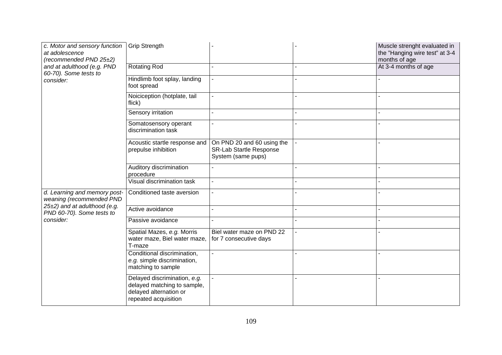| c. Motor and sensory function<br>at adolescence<br>(recommended PND 25±2)                                                          | <b>Grip Strength</b>                                                                                          |                                                                                    | Muscle strenght evaluated in<br>the "Hanging wire test" at 3-4<br>months of age |
|------------------------------------------------------------------------------------------------------------------------------------|---------------------------------------------------------------------------------------------------------------|------------------------------------------------------------------------------------|---------------------------------------------------------------------------------|
| and at adulthood (e.g. PND<br>60-70). Some tests to<br>consider:                                                                   | Rotating Rod                                                                                                  |                                                                                    | At 3-4 months of age                                                            |
|                                                                                                                                    | Hindlimb foot splay, landing<br>foot spread                                                                   |                                                                                    |                                                                                 |
|                                                                                                                                    | Noiciception (hotplate, tail<br>flick)                                                                        |                                                                                    |                                                                                 |
|                                                                                                                                    | Sensory irritation                                                                                            |                                                                                    |                                                                                 |
|                                                                                                                                    | Somatosensory operant<br>discrimination task                                                                  |                                                                                    |                                                                                 |
|                                                                                                                                    | Acoustic startle response and<br>prepulse inhibition                                                          | On PND 20 and 60 using the<br><b>SR-Lab Startle Response</b><br>System (same pups) |                                                                                 |
|                                                                                                                                    | Auditory discrimination<br>procedure                                                                          |                                                                                    |                                                                                 |
|                                                                                                                                    | Visual discrimination task                                                                                    |                                                                                    |                                                                                 |
| d. Learning and memory post-<br>weaning (recommended PND<br>25±2) and at adulthood (e.g.<br>PND 60-70). Some tests to<br>consider: | Conditioned taste aversion                                                                                    |                                                                                    |                                                                                 |
|                                                                                                                                    | Active avoidance                                                                                              |                                                                                    |                                                                                 |
|                                                                                                                                    | Passive avoidance                                                                                             |                                                                                    |                                                                                 |
|                                                                                                                                    | Spatial Mazes, e.g. Morris<br>water maze, Biel water maze,<br>T-maze                                          | Biel water maze on PND 22<br>for 7 consecutive days                                |                                                                                 |
|                                                                                                                                    | Conditional discrimination,<br>e.g. simple discrimination,<br>matching to sample                              |                                                                                    |                                                                                 |
|                                                                                                                                    | Delayed discrimination, e.g.<br>delayed matching to sample,<br>delayed alternation or<br>repeated acquisition |                                                                                    |                                                                                 |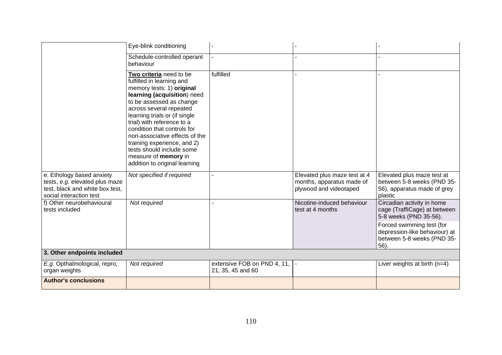|                                                                                                                           | Eye-blink conditioning                                                                                                                                                                                                                                                                                                                                                                                                       |                                                     |                                                                                     |                                                                                                    |
|---------------------------------------------------------------------------------------------------------------------------|------------------------------------------------------------------------------------------------------------------------------------------------------------------------------------------------------------------------------------------------------------------------------------------------------------------------------------------------------------------------------------------------------------------------------|-----------------------------------------------------|-------------------------------------------------------------------------------------|----------------------------------------------------------------------------------------------------|
|                                                                                                                           | Schedule-controlled operant<br>behaviour                                                                                                                                                                                                                                                                                                                                                                                     |                                                     |                                                                                     |                                                                                                    |
|                                                                                                                           | Two criteria need to be<br>fulfilled in learning and<br>memory tests: 1) original<br>learning (acquisition) need<br>to be assessed as change<br>across several repeated<br>learning trials or (if single<br>trial) with reference to a<br>condition that controls for<br>non-associative effects of the<br>training experience, and 2)<br>tests should include some<br>measure of memory in<br>addition to original learning | fulfilled                                           |                                                                                     |                                                                                                    |
| e. Ethology based anxiety<br>tests, e.g. elevated plus maze<br>test, black and white box test,<br>social interaction test | Not specified if required                                                                                                                                                                                                                                                                                                                                                                                                    |                                                     | Elevated plus maze test at 4<br>months, apparatus made of<br>plywood and videotaped | Elevated plus maze test at<br>between 5-8 weeks (PND 35-<br>56), apparatus made of grey<br>plastic |
| f) Other neurobehavioural<br>tests included                                                                               | Not required                                                                                                                                                                                                                                                                                                                                                                                                                 |                                                     | Nicotine-induced behaviour<br>test at 4 months                                      | Circadian activity in home<br>cage (TraffiCage) at between<br>5-8 weeks (PND 35-56).               |
|                                                                                                                           |                                                                                                                                                                                                                                                                                                                                                                                                                              |                                                     |                                                                                     | Forced swimming test (for<br>depression-like behaviour) at<br>between 5-8 weeks (PND 35-<br>56).   |
| 3. Other endpoints included                                                                                               |                                                                                                                                                                                                                                                                                                                                                                                                                              |                                                     |                                                                                     |                                                                                                    |
| E.g. Opthalmological, repro,<br>organ weights                                                                             | Not required                                                                                                                                                                                                                                                                                                                                                                                                                 | extensive FOB on PND 4, 11,  -<br>21, 35, 45 and 60 |                                                                                     | Liver weights at birth $(n=4)$                                                                     |
| <b>Author's conclusions</b>                                                                                               |                                                                                                                                                                                                                                                                                                                                                                                                                              |                                                     |                                                                                     |                                                                                                    |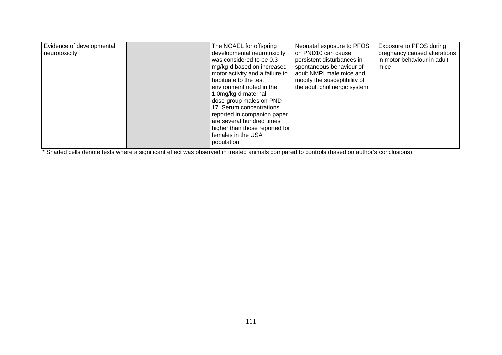| Evidence of developmental<br>neurotoxicity |  | The NOAEL for offspring<br>developmental neurotoxicity<br>was considered to be 0.3<br>mg/kg-d based on increased<br>motor activity and a failure to<br>habituate to the test<br>environment noted in the<br>1.0mg/kg-d maternal<br>dose-group males on PND<br>17. Serum concentrations<br>reported in companion paper<br>are several hundred times<br>higher than those reported for<br>females in the USA<br>population | Neonatal exposure to PFOS<br>on PND10 can cause<br>persistent disturbances in<br>spontaneous behaviour of<br>adult NMRI male mice and<br>modify the susceptibility of<br>the adult cholinergic system | Exposure to PFOS during<br>pregnancy caused alterations<br>in motor behaviour in adult<br>mice |
|--------------------------------------------|--|--------------------------------------------------------------------------------------------------------------------------------------------------------------------------------------------------------------------------------------------------------------------------------------------------------------------------------------------------------------------------------------------------------------------------|-------------------------------------------------------------------------------------------------------------------------------------------------------------------------------------------------------|------------------------------------------------------------------------------------------------|
|--------------------------------------------|--|--------------------------------------------------------------------------------------------------------------------------------------------------------------------------------------------------------------------------------------------------------------------------------------------------------------------------------------------------------------------------------------------------------------------------|-------------------------------------------------------------------------------------------------------------------------------------------------------------------------------------------------------|------------------------------------------------------------------------------------------------|

\* Shaded cells denote tests where a significant effect was observed in treated animals compared to controls (based on author's conclusions).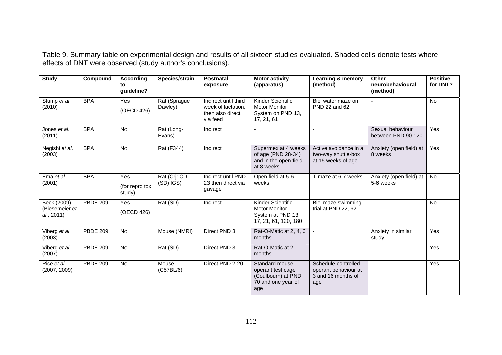Table 9. Summary table on experimental design and results of all sixteen studies evaluated. Shaded cells denote tests where effects of DNT were observed (study author's conclusions).

| <b>Study</b>                                | Compound        | <b>According</b><br>tο<br>guideline? | Species/strain                | Postnatal<br>exposure                                                      | <b>Motor activity</b><br>(apparatus)                                                   | Learning & memory<br>(method)                                            | Other<br>neurobehavioural<br>(method)  | <b>Positive</b><br>for DNT? |
|---------------------------------------------|-----------------|--------------------------------------|-------------------------------|----------------------------------------------------------------------------|----------------------------------------------------------------------------------------|--------------------------------------------------------------------------|----------------------------------------|-----------------------------|
| Stump et al.<br>(2010)                      | <b>BPA</b>      | Yes<br>(OECD 426)                    | Rat (Sprague<br>Dawley)       | Indirect until third<br>week of lactation,<br>then also direct<br>via feed | Kinder Scientific<br><b>Motor Monitor</b><br>System on PND 13,<br>17, 21, 61           | Biel water maze on<br>PND 22 and 62                                      |                                        | No                          |
| Jones et al.<br>(2011)                      | <b>BPA</b>      | <b>No</b>                            | Rat (Long-<br>Evans)          | Indirect                                                                   |                                                                                        |                                                                          | Sexual behaviour<br>between PND 90-120 | <b>Yes</b>                  |
| Negishi et al.<br>(2003)                    | <b>BPA</b>      | <b>No</b>                            | <b>Rat (F344)</b>             | Indirect                                                                   | Supermex at 4 weeks<br>of age (PND 28-34)<br>and in the open field<br>at 8 weeks       | Active avoidance in a<br>two-way shuttle-box<br>at 15 weeks of age       | Anxiety (open field) at<br>8 weeks     | Yes                         |
| Ema et al.<br>(2001)                        | <b>BPA</b>      | Yes<br>(for repro tox<br>study)      | Rat (Crj: CD<br>$(SD)$ $IGS)$ | Indirect until PND<br>23 then direct via<br>gavage                         | Open field at 5-6<br>weeks                                                             | T-maze at 6-7 weeks                                                      | Anxiety (open field) at<br>5-6 weeks   | <b>No</b>                   |
| Beck (2009)<br>(Biesemeier et<br>al., 2011) | <b>PBDE 209</b> | Yes<br>(OECD 426)                    | Rat (SD)                      | Indirect                                                                   | Kinder Scientific<br><b>Motor Monitor</b><br>System at PND 13,<br>17, 21, 61, 120, 180 | Biel maze swimming<br>trial at PND 22, 62                                | $\blacksquare$                         | No                          |
| Viberg et al.<br>(2003)                     | <b>PBDE 209</b> | <b>No</b>                            | Mouse (NMRI)                  | Direct PND 3                                                               | Rat-O-Matic at 2, 4, 6<br>months                                                       |                                                                          | Anxiety in similar<br>study            | Yes                         |
| Viberg et al.<br>(2007)                     | <b>PBDE 209</b> | <b>No</b>                            | Rat (SD)                      | Direct PND 3                                                               | Rat-O-Matic at 2<br>months                                                             |                                                                          |                                        | Yes                         |
| Rice et al.<br>(2007, 2009)                 | <b>PBDE 209</b> | <b>No</b>                            | Mouse<br>(C57BL/6)            | Direct PND 2-20                                                            | Standard mouse<br>operant test cage<br>(Coulbourn) at PND<br>70 and one year of<br>age | Schedule-controlled<br>operant behaviour at<br>3 and 16 months of<br>age | $\sim$                                 | <b>Yes</b>                  |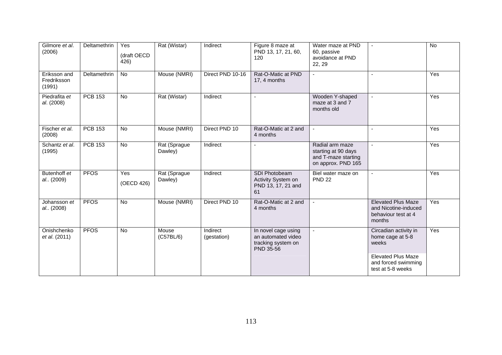| Gilmore et al.<br>(2006)              | Deltamethrin   | Yes<br>(draft OECD<br>426) | Rat (Wistar)            | Indirect                | Figure 8 maze at<br>PND 13, 17, 21, 60,<br>120                               | Water maze at PND<br>60, passive<br>avoidance at PND<br>22, 29                      | $\sim$                                                                             | No  |
|---------------------------------------|----------------|----------------------------|-------------------------|-------------------------|------------------------------------------------------------------------------|-------------------------------------------------------------------------------------|------------------------------------------------------------------------------------|-----|
| Eriksson and<br>Fredriksson<br>(1991) | Deltamethrin   | No                         | Mouse (NMRI)            | Direct PND 10-16        | Rat-O-Matic at PND<br>17, 4 months                                           |                                                                                     | $\overline{\phantom{a}}$                                                           | Yes |
| Piedrafita et<br>al. (2008)           | <b>PCB 153</b> | No                         | Rat (Wistar)            | Indirect                | ÷,                                                                           | Wooden Y-shaped<br>maze at 3 and 7<br>months old                                    | $\blacksquare$                                                                     | Yes |
| Fischer et al.<br>(2008)              | <b>PCB 153</b> | No                         | Mouse (NMRI)            | Direct PND 10           | Rat-O-Matic at 2 and<br>4 months                                             |                                                                                     | $\blacksquare$                                                                     | Yes |
| Schantz et al.<br>(1995)              | <b>PCB 153</b> | $\overline{N}$             | Rat (Sprague<br>Dawley) | Indirect                |                                                                              | Radial arm maze<br>starting at 90 days<br>and T-maze starting<br>on approx. PND 165 | $\blacksquare$                                                                     | Yes |
| Butenhoff et<br>al (2009)             | <b>PFOS</b>    | Yes<br>(OECD 426)          | Rat (Sprague<br>Dawley) | Indirect                | SDI Photobeam<br>Activity System on<br>PND 13, 17, 21 and<br>61              | Biel water maze on<br><b>PND 22</b>                                                 | $\overline{\phantom{a}}$                                                           | Yes |
| Johansson et<br>al (2008)             | <b>PFOS</b>    | <b>No</b>                  | Mouse (NMRI)            | Direct PND 10           | Rat-O-Matic at 2 and<br>4 months                                             |                                                                                     | <b>Elevated Plus Maze</b><br>and Nicotine-induced<br>behaviour test at 4<br>months | Yes |
| Onishchenko<br>et al. (2011)          | <b>PFOS</b>    | No                         | Mouse<br>(C57BL/6)      | Indirect<br>(gestation) | In novel cage using<br>an automated video<br>tracking system on<br>PND 35-56 |                                                                                     | Circadian activity in<br>home cage at 5-8<br>weeks                                 | Yes |
|                                       |                |                            |                         |                         |                                                                              |                                                                                     | <b>Elevated Plus Maze</b><br>and forced swimming<br>test at 5-8 weeks              |     |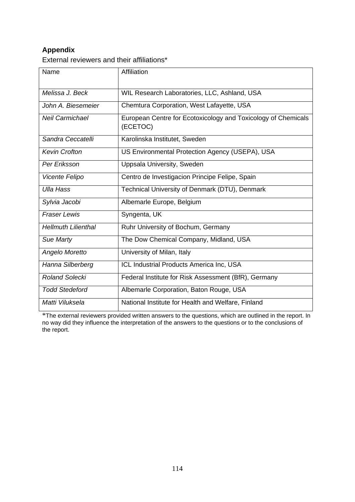## **Appendix**

External reviewers and their affiliations\*

| Name                       | Affiliation                                                               |
|----------------------------|---------------------------------------------------------------------------|
|                            |                                                                           |
| Melissa J. Beck            | WIL Research Laboratories, LLC, Ashland, USA                              |
| John A. Biesemeier         | Chemtura Corporation, West Lafayette, USA                                 |
| <b>Neil Carmichael</b>     | European Centre for Ecotoxicology and Toxicology of Chemicals<br>(ECETOC) |
| Sandra Ceccatelli          | Karolinska Institutet, Sweden                                             |
| <b>Kevin Crofton</b>       | US Environmental Protection Agency (USEPA), USA                           |
| Per Eriksson               | Uppsala University, Sweden                                                |
| Vicente Felipo             | Centro de Investigacion Principe Felipe, Spain                            |
| <b>Ulla Hass</b>           | Technical University of Denmark (DTU), Denmark                            |
| Sylvia Jacobi              | Albemarle Europe, Belgium                                                 |
| <b>Fraser Lewis</b>        | Syngenta, UK                                                              |
| <b>Hellmuth Lilienthal</b> | Ruhr University of Bochum, Germany                                        |
| Sue Marty                  | The Dow Chemical Company, Midland, USA                                    |
| Angelo Moretto             | University of Milan, Italy                                                |
| Hanna Silberberg           | ICL Industrial Products America Inc, USA                                  |
| <b>Roland Solecki</b>      | Federal Institute for Risk Assessment (BfR), Germany                      |
| <b>Todd Stedeford</b>      | Albemarle Corporation, Baton Rouge, USA                                   |
| Matti Viluksela            | National Institute for Health and Welfare, Finland                        |

\*The external reviewers provided written answers to the questions, which are outlined in the report. In no way did they influence the interpretation of the answers to the questions or to the conclusions of the report.